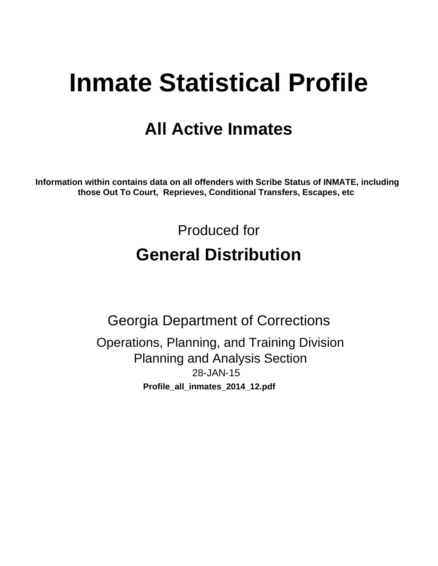# **Inmate Statistical Profile**

# **All Active Inmates**

Information within contains data on all offenders with Scribe Status of INMATE, including those Out To Court, Reprieves, Conditional Transfers, Escapes, etc

> Produced for **General Distribution**

**Georgia Department of Corrections** Operations, Planning, and Training Division **Planning and Analysis Section** 28-JAN-15 Profile\_all\_inmates\_2014\_12.pdf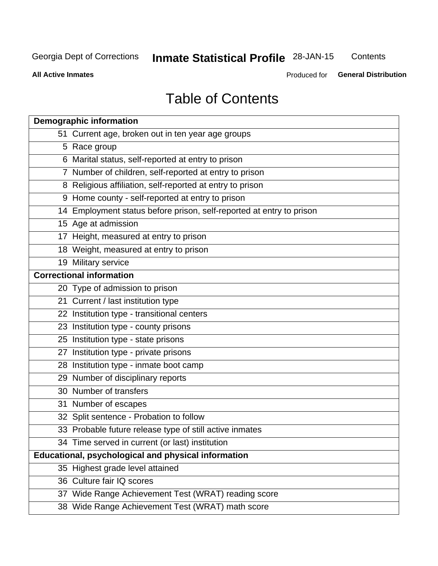# **Inmate Statistical Profile 28-JAN-15**

Contents

**All Active Inmates** 

Produced for General Distribution

# **Table of Contents**

| <b>Demographic information</b>                                       |
|----------------------------------------------------------------------|
| 51 Current age, broken out in ten year age groups                    |
| 5 Race group                                                         |
| 6 Marital status, self-reported at entry to prison                   |
| 7 Number of children, self-reported at entry to prison               |
| 8 Religious affiliation, self-reported at entry to prison            |
| 9 Home county - self-reported at entry to prison                     |
| 14 Employment status before prison, self-reported at entry to prison |
| 15 Age at admission                                                  |
| 17 Height, measured at entry to prison                               |
| 18 Weight, measured at entry to prison                               |
| 19 Military service                                                  |
| <b>Correctional information</b>                                      |
| 20 Type of admission to prison                                       |
| 21 Current / last institution type                                   |
| 22 Institution type - transitional centers                           |
| 23 Institution type - county prisons                                 |
| 25 Institution type - state prisons                                  |
| 27 Institution type - private prisons                                |
| 28 Institution type - inmate boot camp                               |
| 29 Number of disciplinary reports                                    |
| 30 Number of transfers                                               |
| 31 Number of escapes                                                 |
| 32 Split sentence - Probation to follow                              |
| 33 Probable future release type of still active inmates              |
| 34 Time served in current (or last) institution                      |
| Educational, psychological and physical information                  |
| 35 Highest grade level attained                                      |
| 36 Culture fair IQ scores                                            |
| 37 Wide Range Achievement Test (WRAT) reading score                  |
| 38 Wide Range Achievement Test (WRAT) math score                     |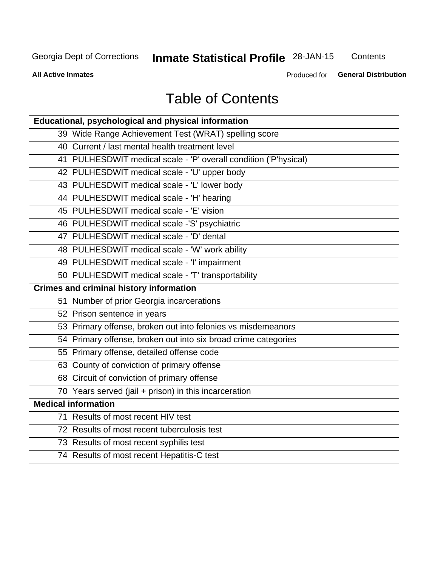# **Inmate Statistical Profile 28-JAN-15**

Contents

**All Active Inmates** 

Produced for General Distribution

# **Table of Contents**

| <b>Educational, psychological and physical information</b>       |
|------------------------------------------------------------------|
| 39 Wide Range Achievement Test (WRAT) spelling score             |
| 40 Current / last mental health treatment level                  |
| 41 PULHESDWIT medical scale - 'P' overall condition ('P'hysical) |
| 42 PULHESDWIT medical scale - 'U' upper body                     |
| 43 PULHESDWIT medical scale - 'L' lower body                     |
| 44 PULHESDWIT medical scale - 'H' hearing                        |
| 45 PULHESDWIT medical scale - 'E' vision                         |
| 46 PULHESDWIT medical scale -'S' psychiatric                     |
| 47 PULHESDWIT medical scale - 'D' dental                         |
| 48 PULHESDWIT medical scale - 'W' work ability                   |
| 49 PULHESDWIT medical scale - 'I' impairment                     |
| 50 PULHESDWIT medical scale - 'T' transportability               |
| <b>Crimes and criminal history information</b>                   |
| 51 Number of prior Georgia incarcerations                        |
| 52 Prison sentence in years                                      |
| 53 Primary offense, broken out into felonies vs misdemeanors     |
| 54 Primary offense, broken out into six broad crime categories   |
| 55 Primary offense, detailed offense code                        |
| 63 County of conviction of primary offense                       |
| 68 Circuit of conviction of primary offense                      |
| 70 Years served (jail + prison) in this incarceration            |
| <b>Medical information</b>                                       |
| 71 Results of most recent HIV test                               |
| 72 Results of most recent tuberculosis test                      |
| 73 Results of most recent syphilis test                          |
| 74 Results of most recent Hepatitis-C test                       |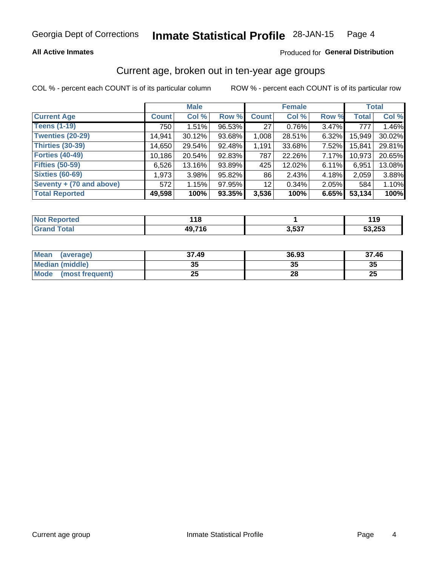### **All Active Inmates**

### Produced for General Distribution

# Current age, broken out in ten-year age groups

COL % - percent each COUNT is of its particular column

|                          | <b>Male</b>  |        |        | <b>Female</b>   |        |          | <b>Total</b> |        |
|--------------------------|--------------|--------|--------|-----------------|--------|----------|--------------|--------|
| <b>Current Age</b>       | <b>Count</b> | Col %  | Row %  | <b>Count</b>    | Col %  | Row %    | <b>Total</b> | Col %  |
| <b>Teens (1-19)</b>      | 750          | 1.51%  | 96.53% | 27 <sup>1</sup> | 0.76%  | 3.47%    | 777          | 1.46%  |
| <b>Twenties (20-29)</b>  | 14,941       | 30.12% | 93.68% | 1,008           | 28.51% | 6.32%    | 15,949       | 30.02% |
| <b>Thirties (30-39)</b>  | 14,650       | 29.54% | 92.48% | 1,191           | 33.68% | 7.52%    | 15,841       | 29.81% |
| <b>Forties (40-49)</b>   | 10,186       | 20.54% | 92.83% | 787             | 22.26% | 7.17%    | 10,973       | 20.65% |
| <b>Fifties (50-59)</b>   | 6,526        | 13.16% | 93.89% | 425             | 12.02% | 6.11%    | 6,951        | 13.08% |
| <b>Sixties (60-69)</b>   | 1,973        | 3.98%  | 95.82% | 86              | 2.43%  | 4.18%    | 2,059        | 3.88%  |
| Seventy + (70 and above) | 572          | 1.15%  | 97.95% | 12 <sub>1</sub> | 0.34%  | $2.05\%$ | 584          | 1.10%  |
| <b>Total Reported</b>    | 49,598       | 100%   | 93.35% | 3,536           | 100%   | 6.65%    | 53,134       | 100%   |

| <b>Not Reported</b> | 10                  |       | . I J  |
|---------------------|---------------------|-------|--------|
| <b>Total</b>        | 0. 74 C<br>40.<br>. | 3,537 | 53.253 |

| <b>Mean</b><br>(average)       | 37.49    | 36.93 | 37.46    |
|--------------------------------|----------|-------|----------|
| Median (middle)                | つん<br>vu | JJ    | 35       |
| <b>Mode</b><br>(most frequent) | つら<br>⊷  | 28    | つじ<br>ZJ |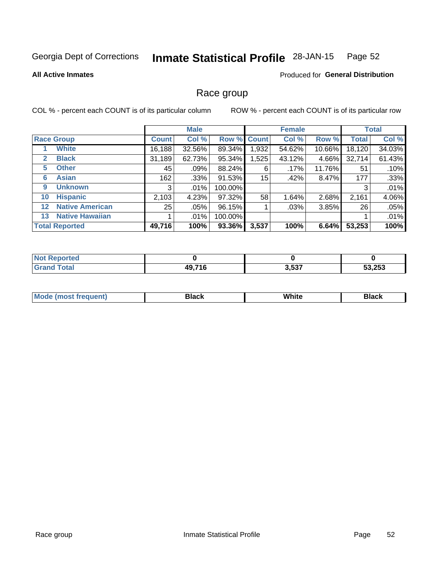#### Inmate Statistical Profile 28-JAN-15 Page 52

### **All Active Inmates**

### Produced for General Distribution

# Race group

COL % - percent each COUNT is of its particular column

|                   |                        | <b>Male</b>  |         |         | <b>Female</b> |        |        | <b>Total</b> |        |
|-------------------|------------------------|--------------|---------|---------|---------------|--------|--------|--------------|--------|
|                   | <b>Race Group</b>      | <b>Count</b> | Col %   | Row %   | <b>Count</b>  | Col %  | Row %  | <b>Total</b> | Col %  |
|                   | <b>White</b>           | 16, 188      | 32.56%  | 89.34%  | 1,932         | 54.62% | 10.66% | 18,120       | 34.03% |
| $\mathbf{2}$      | <b>Black</b>           | 31,189       | 62.73%  | 95.34%  | ,525          | 43.12% | 4.66%  | 32,714       | 61.43% |
| 5                 | <b>Other</b>           | 45           | .09%    | 88.24%  | 6             | .17%   | 11.76% | 51           | .10%   |
| 6                 | <b>Asian</b>           | 162          | .33%    | 91.53%  | 15            | .42%   | 8.47%  | 177          | .33%   |
| 9                 | <b>Unknown</b>         | 3            | $.01\%$ | 100.00% |               |        |        | 3            | .01%   |
| 10                | <b>Hispanic</b>        | 2,103        | 4.23%   | 97.32%  | 58            | 1.64%  | 2.68%  | 2,161        | 4.06%  |
| $12 \overline{ }$ | <b>Native American</b> | 25           | $.05\%$ | 96.15%  |               | .03%   | 3.85%  | 26           | .05%   |
| 13                | <b>Native Hawaiian</b> |              | $.01\%$ | 100.00% |               |        |        |              | .01%   |
|                   | <b>Total Reported</b>  | 49,716       | 100%    | 93.36%  | 3,537         | 100%   | 6.64%  | 53,253       | 100%   |

| <b>Reported</b><br><b>N</b> |        |       |        |
|-----------------------------|--------|-------|--------|
| <b>Total</b>                | 49,716 | 3,537 | 53,253 |

| <b>Mode</b><br>uent)<br>most treo | 3lack | White | Black |
|-----------------------------------|-------|-------|-------|
|                                   |       |       |       |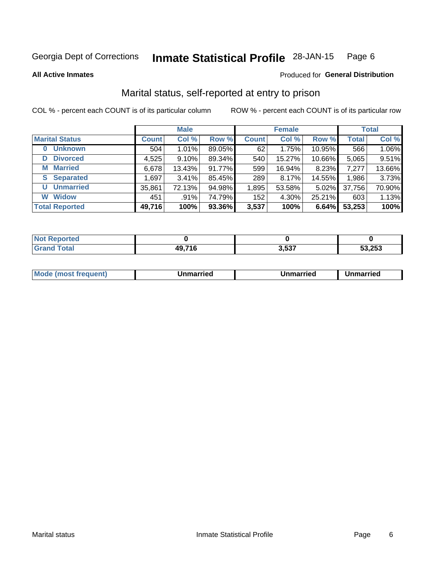#### **Inmate Statistical Profile 28-JAN-15** Page 6

**All Active Inmates** 

### Produced for General Distribution

# Marital status, self-reported at entry to prison

COL % - percent each COUNT is of its particular column

|                        | <b>Male</b>  |          |        |              | <b>Female</b> | <b>Total</b> |              |        |
|------------------------|--------------|----------|--------|--------------|---------------|--------------|--------------|--------|
| <b>Marital Status</b>  | <b>Count</b> | Col %    | Row %  | <b>Count</b> | Col %         | Row %        | <b>Total</b> | Col %  |
| <b>Unknown</b><br>0    | 504          | 1.01%    | 89.05% | 62           | 1.75%         | 10.95%       | 566          | 1.06%  |
| <b>Divorced</b><br>D   | 4,525        | $9.10\%$ | 89.34% | 540          | 15.27%        | 10.66%       | 5,065        | 9.51%  |
| <b>Married</b><br>M    | 6,678        | 13.43%   | 91.77% | 599          | 16.94%        | 8.23%        | 7,277        | 13.66% |
| <b>Separated</b><br>S. | 1,697        | 3.41%    | 85.45% | 289          | 8.17%         | 14.55%       | 1,986        | 3.73%  |
| <b>Unmarried</b><br>U  | 35,861       | 72.13%   | 94.98% | 1,895        | 53.58%        | $5.02\%$     | 37,756       | 70.90% |
| <b>Widow</b><br>W      | 451          | .91%     | 74.79% | 152          | 4.30%         | 25.21%       | 603          | 1.13%  |
| <b>Total Reported</b>  | 49,716       | 100%     | 93.36% | 3,537        | 100%          | 6.64%        | 53,253       | 100%   |

| <b>Not Reported</b> |            |                 |        |
|---------------------|------------|-----------------|--------|
| <b>Fotal</b>        | 74 C<br>Δq | ? ド?フ<br>. טטוע | 53,253 |

|--|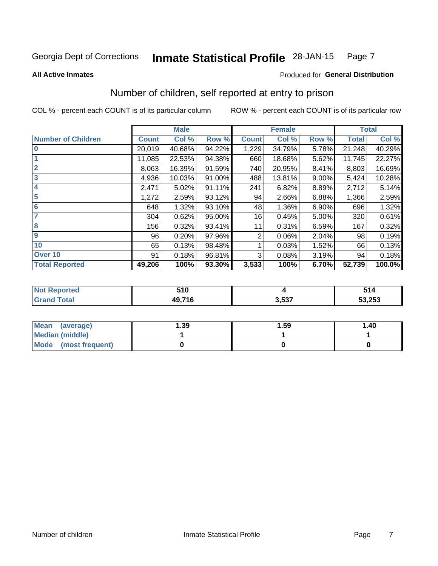#### **Inmate Statistical Profile 28-JAN-15** Page 7

**All Active Inmates** 

### Produced for General Distribution

# Number of children, self reported at entry to prison

COL % - percent each COUNT is of its particular column

|                           |              | <b>Male</b> |        |              | <b>Female</b> | <b>Total</b> |              |        |
|---------------------------|--------------|-------------|--------|--------------|---------------|--------------|--------------|--------|
| <b>Number of Children</b> | <b>Count</b> | Col %       | Row %  | <b>Count</b> | Col %         | Row %        | <b>Total</b> | Col %  |
| $\bf{0}$                  | 20,019       | 40.68%      | 94.22% | 1,229        | 34.79%        | 5.78%        | 21,248       | 40.29% |
|                           | 11,085       | 22.53%      | 94.38% | 660          | 18.68%        | 5.62%        | 11,745       | 22.27% |
| $\overline{2}$            | 8,063        | 16.39%      | 91.59% | 740          | 20.95%        | 8.41%        | 8,803        | 16.69% |
| $\mathbf{3}$              | 4,936        | 10.03%      | 91.00% | 488          | 13.81%        | $9.00\%$     | 5,424        | 10.28% |
| 4                         | 2,471        | 5.02%       | 91.11% | 241          | 6.82%         | 8.89%        | 2,712        | 5.14%  |
| $\overline{5}$            | 1,272        | 2.59%       | 93.12% | 94           | 2.66%         | 6.88%        | 1,366        | 2.59%  |
| 6                         | 648          | 1.32%       | 93.10% | 48           | 1.36%         | 6.90%        | 696          | 1.32%  |
| 7                         | 304          | 0.62%       | 95.00% | 16           | 0.45%         | 5.00%        | 320          | 0.61%  |
| 8                         | 156          | 0.32%       | 93.41% | 11           | 0.31%         | 6.59%        | 167          | 0.32%  |
| 9                         | 96           | 0.20%       | 97.96% | 2            | 0.06%         | 2.04%        | 98           | 0.19%  |
| 10                        | 65           | 0.13%       | 98.48% |              | 0.03%         | 1.52%        | 66           | 0.13%  |
| Over 10                   | 91           | 0.18%       | 96.81% | 3            | 0.08%         | 3.19%        | 94           | 0.18%  |
| <b>Total Reported</b>     | 49,206       | 100%        | 93.30% | 3,533        | 100%          | 6.70%        | 52,739       | 100.0% |

| 510                      |             | - -<br>٠,<br>514 |
|--------------------------|-------------|------------------|
| 10 71 <sub>6</sub><br>ч. | -07<br>. JJ | 53,253           |

| Mean<br>(average)       | 1.39 | 1.59 | 1.40 |
|-------------------------|------|------|------|
| <b>Median (middle)</b>  |      |      |      |
| Mode<br>(most frequent) |      |      |      |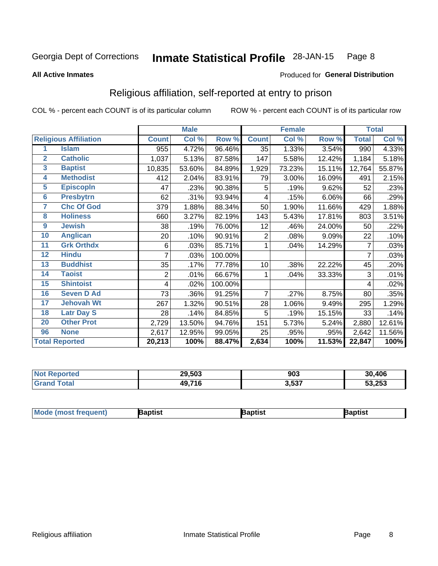#### **Inmate Statistical Profile 28-JAN-15** Page 8

### **All Active Inmates**

### Produced for General Distribution

# Religious affiliation, self-reported at entry to prison

COL % - percent each COUNT is of its particular column

|                |                              |              | <b>Male</b> |         |                 | <b>Female</b> |        |              | <b>Total</b> |
|----------------|------------------------------|--------------|-------------|---------|-----------------|---------------|--------|--------------|--------------|
|                | <b>Religious Affiliation</b> | <b>Count</b> | Col %       | Row %   | <b>Count</b>    | Col %         | Row %  | <b>Total</b> | Col %        |
| 1              | <b>Islam</b>                 | 955          | 4.72%       | 96.46%  | 35              | 1.33%         | 3.54%  | 990          | 4.33%        |
| $\overline{2}$ | <b>Catholic</b>              | 1,037        | 5.13%       | 87.58%  | 147             | 5.58%         | 12.42% | 1,184        | 5.18%        |
| 3              | <b>Baptist</b>               | 10,835       | 53.60%      | 84.89%  | 1,929           | 73.23%        | 15.11% | 12,764       | 55.87%       |
| 4              | <b>Methodist</b>             | 412          | 2.04%       | 83.91%  | 79              | 3.00%         | 16.09% | 491          | 2.15%        |
| 5              | <b>EpiscopIn</b>             | 47           | .23%        | 90.38%  | 5               | .19%          | 9.62%  | 52           | .23%         |
| $6\phantom{a}$ | <b>Presbytrn</b>             | 62           | .31%        | 93.94%  | 4               | .15%          | 6.06%  | 66           | .29%         |
| 7              | <b>Chc Of God</b>            | 379          | 1.88%       | 88.34%  | 50              | 1.90%         | 11.66% | 429          | 1.88%        |
| 8              | <b>Holiness</b>              | 660          | 3.27%       | 82.19%  | 143             | 5.43%         | 17.81% | 803          | 3.51%        |
| 9              | <b>Jewish</b>                | 38           | .19%        | 76.00%  | 12              | .46%          | 24.00% | 50           | .22%         |
| 10             | <b>Anglican</b>              | 20           | .10%        | 90.91%  | $\overline{2}$  | .08%          | 9.09%  | 22           | .10%         |
| 11             | <b>Grk Orthdx</b>            | 6            | .03%        | 85.71%  | 1               | .04%          | 14.29% | 7            | .03%         |
| 12             | <b>Hindu</b>                 | 7            | .03%        | 100.00% |                 |               |        | 7            | .03%         |
| 13             | <b>Buddhist</b>              | 35           | .17%        | 77.78%  | 10 <sup>1</sup> | .38%          | 22.22% | 45           | .20%         |
| 14             | <b>Taoist</b>                | 2            | .01%        | 66.67%  | 1               | .04%          | 33.33% | 3            | .01%         |
| 15             | <b>Shintoist</b>             | 4            | .02%        | 100.00% |                 |               |        | 4            | .02%         |
| 16             | <b>Seven D Ad</b>            | 73           | .36%        | 91.25%  | 7               | .27%          | 8.75%  | 80           | .35%         |
| 17             | <b>Jehovah Wt</b>            | 267          | 1.32%       | 90.51%  | 28              | 1.06%         | 9.49%  | 295          | 1.29%        |
| 18             | <b>Latr Day S</b>            | 28           | .14%        | 84.85%  | 5               | .19%          | 15.15% | 33           | .14%         |
| 20             | <b>Other Prot</b>            | 2,729        | 13.50%      | 94.76%  | 151             | 5.73%         | 5.24%  | 2,880        | 12.61%       |
| 96             | <b>None</b>                  | 2,617        | 12.95%      | 99.05%  | 25              | .95%          | .95%   | 2,642        | 11.56%       |
|                | <b>Total Reported</b>        | 20,213       | 100%        | 88.47%  | 2,634           | 100%          | 11.53% | 22,847       | 100%         |

|                 | 29,503<br>__ | 903   | 30,406 |
|-----------------|--------------|-------|--------|
| $\sim$ 4 $\sim$ | 49,716       | 3,537 | 53,253 |

| Mo<br><b>la</b> ptist<br>Baptist<br>3aptist |
|---------------------------------------------|
|---------------------------------------------|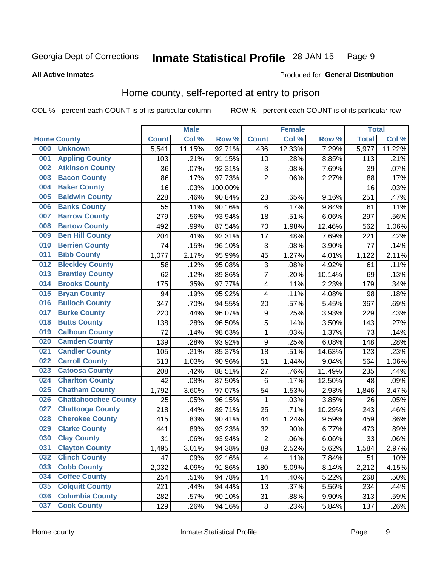#### **Inmate Statistical Profile 28-JAN-15** Page 9

### **All Active Inmates**

# Produced for General Distribution

# Home county, self-reported at entry to prison

COL % - percent each COUNT is of its particular column

|     |                             |              | <b>Male</b> |         |                  | <b>Female</b> |        | <b>Total</b> |        |
|-----|-----------------------------|--------------|-------------|---------|------------------|---------------|--------|--------------|--------|
|     | <b>Home County</b>          | <b>Count</b> | Col %       | Row %   | <b>Count</b>     | Col %         | Row %  | <b>Total</b> | Col %  |
| 000 | <b>Unknown</b>              | 5,541        | 11.15%      | 92.71%  | 436              | 12.33%        | 7.29%  | 5,977        | 11.22% |
| 001 | <b>Appling County</b>       | 103          | .21%        | 91.15%  | 10               | .28%          | 8.85%  | 113          | .21%   |
| 002 | <b>Atkinson County</b>      | 36           | .07%        | 92.31%  | 3                | .08%          | 7.69%  | 39           | .07%   |
| 003 | <b>Bacon County</b>         | 86           | .17%        | 97.73%  | $\overline{2}$   | .06%          | 2.27%  | 88           | .17%   |
| 004 | <b>Baker County</b>         | 16           | .03%        | 100.00% |                  |               |        | 16           | .03%   |
| 005 | <b>Baldwin County</b>       | 228          | .46%        | 90.84%  | 23               | .65%          | 9.16%  | 251          | .47%   |
| 006 | <b>Banks County</b>         | 55           | .11%        | 90.16%  | $6\phantom{1}6$  | .17%          | 9.84%  | 61           | .11%   |
| 007 | <b>Barrow County</b>        | 279          | .56%        | 93.94%  | 18               | .51%          | 6.06%  | 297          | .56%   |
| 008 | <b>Bartow County</b>        | 492          | .99%        | 87.54%  | 70               | 1.98%         | 12.46% | 562          | 1.06%  |
| 009 | <b>Ben Hill County</b>      | 204          | .41%        | 92.31%  | 17               | .48%          | 7.69%  | 221          | .42%   |
| 010 | <b>Berrien County</b>       | 74           | .15%        | 96.10%  | 3                | .08%          | 3.90%  | 77           | .14%   |
| 011 | <b>Bibb County</b>          | 1,077        | 2.17%       | 95.99%  | 45               | 1.27%         | 4.01%  | 1,122        | 2.11%  |
| 012 | <b>Bleckley County</b>      | 58           | .12%        | 95.08%  | 3                | .08%          | 4.92%  | 61           | .11%   |
| 013 | <b>Brantley County</b>      | 62           | .12%        | 89.86%  | $\overline{7}$   | .20%          | 10.14% | 69           | .13%   |
| 014 | <b>Brooks County</b>        | 175          | .35%        | 97.77%  | 4                | .11%          | 2.23%  | 179          | .34%   |
| 015 | <b>Bryan County</b>         | 94           | .19%        | 95.92%  | 4                | .11%          | 4.08%  | 98           | .18%   |
| 016 | <b>Bulloch County</b>       | 347          | .70%        | 94.55%  | 20               | .57%          | 5.45%  | 367          | .69%   |
| 017 | <b>Burke County</b>         | 220          | .44%        | 96.07%  | 9                | .25%          | 3.93%  | 229          | .43%   |
| 018 | <b>Butts County</b>         | 138          | .28%        | 96.50%  | $\overline{5}$   | .14%          | 3.50%  | 143          | .27%   |
| 019 | <b>Calhoun County</b>       | 72           | .14%        | 98.63%  | 1                | .03%          | 1.37%  | 73           | .14%   |
| 020 | <b>Camden County</b>        | 139          | .28%        | 93.92%  | $\boldsymbol{9}$ | .25%          | 6.08%  | 148          | .28%   |
| 021 | <b>Candler County</b>       | 105          | .21%        | 85.37%  | 18               | .51%          | 14.63% | 123          | .23%   |
| 022 | <b>Carroll County</b>       | 513          | 1.03%       | 90.96%  | 51               | 1.44%         | 9.04%  | 564          | 1.06%  |
| 023 | <b>Catoosa County</b>       | 208          | .42%        | 88.51%  | 27               | .76%          | 11.49% | 235          | .44%   |
| 024 | <b>Charlton County</b>      | 42           | .08%        | 87.50%  | 6                | .17%          | 12.50% | 48           | .09%   |
| 025 | <b>Chatham County</b>       | 1,792        | 3.60%       | 97.07%  | 54               | 1.53%         | 2.93%  | 1,846        | 3.47%  |
| 026 | <b>Chattahoochee County</b> | 25           | .05%        | 96.15%  | 1                | .03%          | 3.85%  | 26           | .05%   |
| 027 | <b>Chattooga County</b>     | 218          | .44%        | 89.71%  | 25               | .71%          | 10.29% | 243          | .46%   |
| 028 | <b>Cherokee County</b>      | 415          | .83%        | 90.41%  | 44               | 1.24%         | 9.59%  | 459          | .86%   |
| 029 | <b>Clarke County</b>        | 441          | .89%        | 93.23%  | 32               | .90%          | 6.77%  | 473          | .89%   |
| 030 | <b>Clay County</b>          | 31           | .06%        | 93.94%  | $\overline{2}$   | .06%          | 6.06%  | 33           | .06%   |
| 031 | <b>Clayton County</b>       | 1,495        | 3.01%       | 94.38%  | 89               | 2.52%         | 5.62%  | 1,584        | 2.97%  |
| 032 | <b>Clinch County</b>        | 47           | .09%        | 92.16%  | 4                | .11%          | 7.84%  | 51           | .10%   |
| 033 | <b>Cobb County</b>          | 2,032        | 4.09%       | 91.86%  | 180              | 5.09%         | 8.14%  | 2,212        | 4.15%  |
| 034 | <b>Coffee County</b>        | 254          | .51%        | 94.78%  | 14               | .40%          | 5.22%  | 268          | .50%   |
| 035 | <b>Colquitt County</b>      | 221          | .44%        | 94.44%  | 13               | .37%          | 5.56%  | 234          | .44%   |
| 036 | <b>Columbia County</b>      | 282          | .57%        | 90.10%  | 31               | .88%          | 9.90%  | 313          | .59%   |
| 037 | <b>Cook County</b>          | 129          | .26%        | 94.16%  | $\bf 8$          | .23%          | 5.84%  | 137          | .26%   |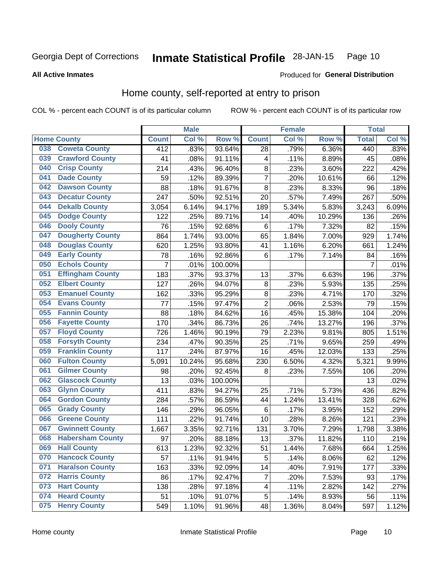#### Inmate Statistical Profile 28-JAN-15 Page 10

### **All Active Inmates**

### Produced for General Distribution

# Home county, self-reported at entry to prison

COL % - percent each COUNT is of its particular column

|     |                         |                  | <b>Male</b> |         |                 | <b>Female</b> |        | <b>Total</b>   |       |
|-----|-------------------------|------------------|-------------|---------|-----------------|---------------|--------|----------------|-------|
|     | <b>Home County</b>      | <b>Count</b>     | Col %       | Row %   | <b>Count</b>    | Col %         | Row %  | <b>Total</b>   | Col % |
| 038 | <b>Coweta County</b>    | $\overline{412}$ | .83%        | 93.64%  | 28              | .79%          | 6.36%  | 440            | .83%  |
| 039 | <b>Crawford County</b>  | 41               | .08%        | 91.11%  | 4               | .11%          | 8.89%  | 45             | .08%  |
| 040 | <b>Crisp County</b>     | 214              | .43%        | 96.40%  | $\bf 8$         | .23%          | 3.60%  | 222            | .42%  |
| 041 | <b>Dade County</b>      | 59               | .12%        | 89.39%  | $\overline{7}$  | .20%          | 10.61% | 66             | .12%  |
| 042 | <b>Dawson County</b>    | 88               | .18%        | 91.67%  | 8               | .23%          | 8.33%  | 96             | .18%  |
| 043 | <b>Decatur County</b>   | 247              | .50%        | 92.51%  | 20              | .57%          | 7.49%  | 267            | .50%  |
| 044 | <b>Dekalb County</b>    | 3,054            | 6.14%       | 94.17%  | 189             | 5.34%         | 5.83%  | 3,243          | 6.09% |
| 045 | <b>Dodge County</b>     | 122              | .25%        | 89.71%  | 14              | .40%          | 10.29% | 136            | .26%  |
| 046 | <b>Dooly County</b>     | 76               | .15%        | 92.68%  | 6               | .17%          | 7.32%  | 82             | .15%  |
| 047 | <b>Dougherty County</b> | 864              | 1.74%       | 93.00%  | 65              | 1.84%         | 7.00%  | 929            | 1.74% |
| 048 | <b>Douglas County</b>   | 620              | 1.25%       | 93.80%  | 41              | 1.16%         | 6.20%  | 661            | 1.24% |
| 049 | <b>Early County</b>     | 78               | .16%        | 92.86%  | $6\phantom{1}6$ | .17%          | 7.14%  | 84             | .16%  |
| 050 | <b>Echols County</b>    | $\overline{7}$   | .01%        | 100.00% |                 |               |        | $\overline{7}$ | .01%  |
| 051 | <b>Effingham County</b> | 183              | .37%        | 93.37%  | 13              | .37%          | 6.63%  | 196            | .37%  |
| 052 | <b>Elbert County</b>    | 127              | .26%        | 94.07%  | $\bf 8$         | .23%          | 5.93%  | 135            | .25%  |
| 053 | <b>Emanuel County</b>   | 162              | .33%        | 95.29%  | 8               | .23%          | 4.71%  | 170            | .32%  |
| 054 | <b>Evans County</b>     | 77               | .15%        | 97.47%  | $\mathbf 2$     | .06%          | 2.53%  | 79             | .15%  |
| 055 | <b>Fannin County</b>    | 88               | .18%        | 84.62%  | 16              | .45%          | 15.38% | 104            | .20%  |
| 056 | <b>Fayette County</b>   | 170              | .34%        | 86.73%  | 26              | .74%          | 13.27% | 196            | .37%  |
| 057 | <b>Floyd County</b>     | 726              | 1.46%       | 90.19%  | 79              | 2.23%         | 9.81%  | 805            | 1.51% |
| 058 | <b>Forsyth County</b>   | 234              | .47%        | 90.35%  | 25              | .71%          | 9.65%  | 259            | .49%  |
| 059 | <b>Franklin County</b>  | 117              | .24%        | 87.97%  | 16              | .45%          | 12.03% | 133            | .25%  |
| 060 | <b>Fulton County</b>    | 5,091            | 10.24%      | 95.68%  | 230             | 6.50%         | 4.32%  | 5,321          | 9.99% |
| 061 | <b>Gilmer County</b>    | 98               | .20%        | 92.45%  | 8               | .23%          | 7.55%  | 106            | .20%  |
| 062 | <b>Glascock County</b>  | 13               | .03%        | 100.00% |                 |               |        | 13             | .02%  |
| 063 | <b>Glynn County</b>     | 411              | .83%        | 94.27%  | 25              | .71%          | 5.73%  | 436            | .82%  |
| 064 | <b>Gordon County</b>    | 284              | .57%        | 86.59%  | 44              | 1.24%         | 13.41% | 328            | .62%  |
| 065 | <b>Grady County</b>     | 146              | .29%        | 96.05%  | $\,6$           | .17%          | 3.95%  | 152            | .29%  |
| 066 | <b>Greene County</b>    | 111              | .22%        | 91.74%  | 10              | .28%          | 8.26%  | 121            | .23%  |
| 067 | <b>Gwinnett County</b>  | 1,667            | 3.35%       | 92.71%  | 131             | 3.70%         | 7.29%  | 1,798          | 3.38% |
| 068 | <b>Habersham County</b> | 97               | .20%        | 88.18%  | 13              | .37%          | 11.82% | 110            | .21%  |
| 069 | <b>Hall County</b>      | 613              | 1.23%       | 92.32%  | 51              | 1.44%         | 7.68%  | 664            | 1.25% |
| 070 | <b>Hancock County</b>   | 57               | .11%        | 91.94%  | 5               | .14%          | 8.06%  | 62             | .12%  |
| 071 | <b>Haralson County</b>  | 163              | .33%        | 92.09%  | 14              | .40%          | 7.91%  | 177            | .33%  |
| 072 | <b>Harris County</b>    | 86               | .17%        | 92.47%  | $\overline{7}$  | .20%          | 7.53%  | 93             | .17%  |
| 073 | <b>Hart County</b>      | 138              | .28%        | 97.18%  | 4               | .11%          | 2.82%  | 142            | .27%  |
| 074 | <b>Heard County</b>     | 51               | .10%        | 91.07%  | $\mathbf 5$     | .14%          | 8.93%  | 56             | .11%  |
| 075 | <b>Henry County</b>     | 549              | 1.10%       | 91.96%  | 48              | 1.36%         | 8.04%  | 597            | 1.12% |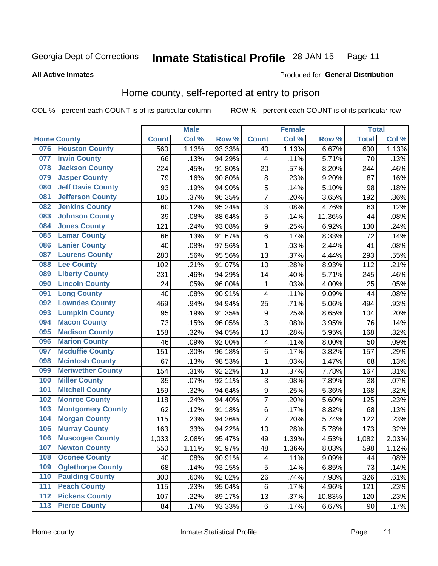#### **Inmate Statistical Profile 28-JAN-15** Page 11

### **All Active Inmates**

# Produced for General Distribution

# Home county, self-reported at entry to prison

COL % - percent each COUNT is of its particular column

|     |                          |              | <b>Male</b> |        |                         | <b>Female</b> |        | <b>Total</b> |       |
|-----|--------------------------|--------------|-------------|--------|-------------------------|---------------|--------|--------------|-------|
|     | <b>Home County</b>       | <b>Count</b> | Col %       | Row %  | <b>Count</b>            | Col %         | Row %  | <b>Total</b> | Col%  |
| 076 | <b>Houston County</b>    | 560          | 1.13%       | 93.33% | 40                      | 1.13%         | 6.67%  | 600          | 1.13% |
| 077 | <b>Irwin County</b>      | 66           | .13%        | 94.29% | 4                       | .11%          | 5.71%  | 70           | .13%  |
| 078 | <b>Jackson County</b>    | 224          | .45%        | 91.80% | 20                      | .57%          | 8.20%  | 244          | .46%  |
| 079 | <b>Jasper County</b>     | 79           | .16%        | 90.80% | 8                       | .23%          | 9.20%  | 87           | .16%  |
| 080 | <b>Jeff Davis County</b> | 93           | .19%        | 94.90% | 5                       | .14%          | 5.10%  | 98           | .18%  |
| 081 | <b>Jefferson County</b>  | 185          | .37%        | 96.35% | $\overline{7}$          | .20%          | 3.65%  | 192          | .36%  |
| 082 | <b>Jenkins County</b>    | 60           | .12%        | 95.24% | $\overline{3}$          | .08%          | 4.76%  | 63           | .12%  |
| 083 | <b>Johnson County</b>    | 39           | .08%        | 88.64% | 5                       | .14%          | 11.36% | 44           | .08%  |
| 084 | <b>Jones County</b>      | 121          | .24%        | 93.08% | $\boldsymbol{9}$        | .25%          | 6.92%  | 130          | .24%  |
| 085 | <b>Lamar County</b>      | 66           | .13%        | 91.67% | $\,6$                   | .17%          | 8.33%  | 72           | .14%  |
| 086 | <b>Lanier County</b>     | 40           | .08%        | 97.56% | $\mathbf 1$             | .03%          | 2.44%  | 41           | .08%  |
| 087 | <b>Laurens County</b>    | 280          | .56%        | 95.56% | 13                      | .37%          | 4.44%  | 293          | .55%  |
| 088 | <b>Lee County</b>        | 102          | .21%        | 91.07% | 10                      | .28%          | 8.93%  | 112          | .21%  |
| 089 | <b>Liberty County</b>    | 231          | .46%        | 94.29% | 14                      | .40%          | 5.71%  | 245          | .46%  |
| 090 | <b>Lincoln County</b>    | 24           | .05%        | 96.00% | $\mathbf 1$             | .03%          | 4.00%  | 25           | .05%  |
| 091 | <b>Long County</b>       | 40           | .08%        | 90.91% | 4                       | .11%          | 9.09%  | 44           | .08%  |
| 092 | <b>Lowndes County</b>    | 469          | .94%        | 94.94% | 25                      | .71%          | 5.06%  | 494          | .93%  |
| 093 | <b>Lumpkin County</b>    | 95           | .19%        | 91.35% | $\boldsymbol{9}$        | .25%          | 8.65%  | 104          | .20%  |
| 094 | <b>Macon County</b>      | 73           | .15%        | 96.05% | 3                       | .08%          | 3.95%  | 76           | .14%  |
| 095 | <b>Madison County</b>    | 158          | .32%        | 94.05% | 10                      | .28%          | 5.95%  | 168          | .32%  |
| 096 | <b>Marion County</b>     | 46           | .09%        | 92.00% | $\overline{\mathbf{4}}$ | .11%          | 8.00%  | 50           | .09%  |
| 097 | <b>Mcduffie County</b>   | 151          | .30%        | 96.18% | $\,6$                   | .17%          | 3.82%  | 157          | .29%  |
| 098 | <b>Mcintosh County</b>   | 67           | .13%        | 98.53% | $\mathbf{1}$            | .03%          | 1.47%  | 68           | .13%  |
| 099 | <b>Meriwether County</b> | 154          | .31%        | 92.22% | 13                      | .37%          | 7.78%  | 167          | .31%  |
| 100 | <b>Miller County</b>     | 35           | .07%        | 92.11% | 3                       | .08%          | 7.89%  | 38           | .07%  |
| 101 | <b>Mitchell County</b>   | 159          | .32%        | 94.64% | $\boldsymbol{9}$        | .25%          | 5.36%  | 168          | .32%  |
| 102 | <b>Monroe County</b>     | 118          | .24%        | 94.40% | $\overline{7}$          | .20%          | 5.60%  | 125          | .23%  |
| 103 | <b>Montgomery County</b> | 62           | .12%        | 91.18% | $\,6$                   | .17%          | 8.82%  | 68           | .13%  |
| 104 | <b>Morgan County</b>     | 115          | .23%        | 94.26% | $\overline{7}$          | .20%          | 5.74%  | 122          | .23%  |
| 105 | <b>Murray County</b>     | 163          | .33%        | 94.22% | 10                      | .28%          | 5.78%  | 173          | .32%  |
| 106 | <b>Muscogee County</b>   | 1,033        | 2.08%       | 95.47% | 49                      | 1.39%         | 4.53%  | 1,082        | 2.03% |
| 107 | <b>Newton County</b>     | 550          | 1.11%       | 91.97% | 48                      | 1.36%         | 8.03%  | 598          | 1.12% |
| 108 | <b>Oconee County</b>     | 40           | .08%        | 90.91% | 4                       | .11%          | 9.09%  | 44           | .08%  |
| 109 | <b>Oglethorpe County</b> | 68           | .14%        | 93.15% | 5                       | .14%          | 6.85%  | 73           | .14%  |
| 110 | <b>Paulding County</b>   | 300          | .60%        | 92.02% | 26                      | .74%          | 7.98%  | 326          | .61%  |
| 111 | <b>Peach County</b>      | 115          | .23%        | 95.04% | 6                       | .17%          | 4.96%  | 121          | .23%  |
| 112 | <b>Pickens County</b>    | 107          | .22%        | 89.17% | 13                      | .37%          | 10.83% | 120          | .23%  |
| 113 | <b>Pierce County</b>     | 84           | .17%        | 93.33% | $\,6$                   | .17%          | 6.67%  | 90           | .17%  |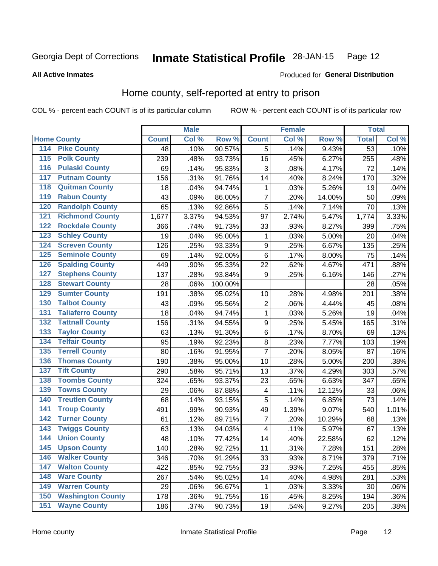#### Inmate Statistical Profile 28-JAN-15 Page 12

### **All Active Inmates**

### Produced for General Distribution

# Home county, self-reported at entry to prison

COL % - percent each COUNT is of its particular column

|                    |                          |              | <b>Male</b> |         |                  | <b>Female</b> |        | <b>Total</b>    |       |
|--------------------|--------------------------|--------------|-------------|---------|------------------|---------------|--------|-----------------|-------|
| <b>Home County</b> |                          | <b>Count</b> | Col %       | Row %   | <b>Count</b>     | Col %         | Row %  | <b>Total</b>    | Col%  |
| 114                | <b>Pike County</b>       | 48           | .10%        | 90.57%  | 5                | .14%          | 9.43%  | $\overline{53}$ | .10%  |
| $\overline{115}$   | <b>Polk County</b>       | 239          | .48%        | 93.73%  | 16               | .45%          | 6.27%  | 255             | .48%  |
| 116                | <b>Pulaski County</b>    | 69           | .14%        | 95.83%  | 3                | .08%          | 4.17%  | 72              | .14%  |
| 117                | <b>Putnam County</b>     | 156          | .31%        | 91.76%  | 14               | .40%          | 8.24%  | 170             | .32%  |
| 118                | <b>Quitman County</b>    | 18           | .04%        | 94.74%  | 1                | .03%          | 5.26%  | 19              | .04%  |
| 119                | <b>Rabun County</b>      | 43           | .09%        | 86.00%  | $\overline{7}$   | .20%          | 14.00% | 50              | .09%  |
| 120                | <b>Randolph County</b>   | 65           | .13%        | 92.86%  | 5                | .14%          | 7.14%  | 70              | .13%  |
| 121                | <b>Richmond County</b>   | 1,677        | 3.37%       | 94.53%  | 97               | 2.74%         | 5.47%  | 1,774           | 3.33% |
| 122                | <b>Rockdale County</b>   | 366          | .74%        | 91.73%  | 33               | .93%          | 8.27%  | 399             | .75%  |
| 123                | <b>Schley County</b>     | 19           | .04%        | 95.00%  | 1                | .03%          | 5.00%  | 20              | .04%  |
| 124                | <b>Screven County</b>    | 126          | .25%        | 93.33%  | $\boldsymbol{9}$ | .25%          | 6.67%  | 135             | .25%  |
| 125                | <b>Seminole County</b>   | 69           | .14%        | 92.00%  | 6                | .17%          | 8.00%  | 75              | .14%  |
| 126                | <b>Spalding County</b>   | 449          | .90%        | 95.33%  | 22               | .62%          | 4.67%  | 471             | .88%  |
| 127                | <b>Stephens County</b>   | 137          | .28%        | 93.84%  | 9                | .25%          | 6.16%  | 146             | .27%  |
| 128                | <b>Stewart County</b>    | 28           | .06%        | 100.00% |                  |               |        | 28              | .05%  |
| 129                | <b>Sumter County</b>     | 191          | .38%        | 95.02%  | 10               | .28%          | 4.98%  | 201             | .38%  |
| 130                | <b>Talbot County</b>     | 43           | .09%        | 95.56%  | $\overline{2}$   | .06%          | 4.44%  | 45              | .08%  |
| 131                | <b>Taliaferro County</b> | 18           | .04%        | 94.74%  | 1                | .03%          | 5.26%  | 19              | .04%  |
| 132                | <b>Tattnall County</b>   | 156          | .31%        | 94.55%  | $\boldsymbol{9}$ | .25%          | 5.45%  | 165             | .31%  |
| 133                | <b>Taylor County</b>     | 63           | .13%        | 91.30%  | 6                | .17%          | 8.70%  | 69              | .13%  |
| 134                | <b>Telfair County</b>    | 95           | .19%        | 92.23%  | 8                | .23%          | 7.77%  | 103             | .19%  |
| 135                | <b>Terrell County</b>    | 80           | .16%        | 91.95%  | $\overline{7}$   | .20%          | 8.05%  | 87              | .16%  |
| 136                | <b>Thomas County</b>     | 190          | .38%        | 95.00%  | 10               | .28%          | 5.00%  | 200             | .38%  |
| 137                | <b>Tift County</b>       | 290          | .58%        | 95.71%  | 13               | .37%          | 4.29%  | 303             | .57%  |
| 138                | <b>Toombs County</b>     | 324          | .65%        | 93.37%  | 23               | .65%          | 6.63%  | 347             | .65%  |
| 139                | <b>Towns County</b>      | 29           | .06%        | 87.88%  | 4                | .11%          | 12.12% | 33              | .06%  |
| 140                | <b>Treutlen County</b>   | 68           | .14%        | 93.15%  | 5                | .14%          | 6.85%  | 73              | .14%  |
| 141                | <b>Troup County</b>      | 491          | .99%        | 90.93%  | 49               | 1.39%         | 9.07%  | 540             | 1.01% |
| $\overline{142}$   | <b>Turner County</b>     | 61           | .12%        | 89.71%  | 7                | .20%          | 10.29% | 68              | .13%  |
| 143                | <b>Twiggs County</b>     | 63           | .13%        | 94.03%  | 4                | .11%          | 5.97%  | 67              | .13%  |
| 144                | <b>Union County</b>      | 48           | .10%        | 77.42%  | 14               | .40%          | 22.58% | 62              | .12%  |
| 145                | <b>Upson County</b>      | 140          | .28%        | 92.72%  | 11               | .31%          | 7.28%  | 151             | .28%  |
| 146                | <b>Walker County</b>     | 346          | .70%        | 91.29%  | 33               | .93%          | 8.71%  | 379             | .71%  |
| 147                | <b>Walton County</b>     | 422          | .85%        | 92.75%  | 33               | .93%          | 7.25%  | 455             | .85%  |
| 148                | <b>Ware County</b>       | 267          | .54%        | 95.02%  | 14               | .40%          | 4.98%  | 281             | .53%  |
| 149                | <b>Warren County</b>     | 29           | .06%        | 96.67%  | 1                | .03%          | 3.33%  | 30              | .06%  |
| 150                | <b>Washington County</b> | 178          | .36%        | 91.75%  | 16               | .45%          | 8.25%  | 194             | .36%  |
| 151                | <b>Wayne County</b>      | 186          | .37%        | 90.73%  | 19               | .54%          | 9.27%  | 205             | .38%  |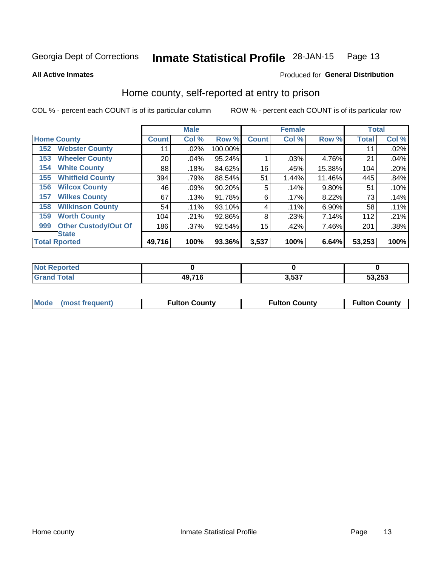#### Inmate Statistical Profile 28-JAN-15 Page 13

### **All Active Inmates**

# Produced for General Distribution

# Home county, self-reported at entry to prison

COL % - percent each COUNT is of its particular column

|     |                             |              | <b>Male</b> |           |                 | <b>Female</b> |        | <b>Total</b> |       |
|-----|-----------------------------|--------------|-------------|-----------|-----------------|---------------|--------|--------------|-------|
|     | <b>Home County</b>          | <b>Count</b> | Col %       | Row %     | <b>Count</b>    | Col %         | Row %  | <b>Total</b> | Col % |
| 152 | <b>Webster County</b>       | 11           | .02%        | 100.00%   |                 |               |        | 11           | .02%  |
| 153 | <b>Wheeler County</b>       | 20           | .04%        | 95.24%    |                 | .03%          | 4.76%  | 21           | .04%  |
| 154 | <b>White County</b>         | 88           | .18%        | 84.62%    | 16              | .45%          | 15.38% | 104          | .20%  |
| 155 | <b>Whitfield County</b>     | 394          | .79%        | 88.54%    | 51              | 1.44%         | 11.46% | 445          | .84%  |
| 156 | <b>Wilcox County</b>        | 46           | .09%        | $90.20\%$ | 5               | .14%          | 9.80%  | 51           | .10%  |
| 157 | <b>Wilkes County</b>        | 67           | .13%        | 91.78%    | 6               | .17%          | 8.22%  | 73           | .14%  |
| 158 | <b>Wilkinson County</b>     | 54           | $.11\%$     | 93.10%    | 4               | .11%          | 6.90%  | 58           | .11%  |
| 159 | <b>Worth County</b>         | 104          | .21%        | 92.86%    | 8               | .23%          | 7.14%  | 112          | .21%  |
| 999 | <b>Other Custody/Out Of</b> | 186          | .37%        | 92.54%    | 15 <sub>1</sub> | .42%          | 7.46%  | 201          | .38%  |
|     | <b>State</b>                |              |             |           |                 |               |        |              |       |
|     | <b>Total Rported</b>        | 49,716       | 100%        | 93.36%    | 3,537           | 100%          | 6.64%  | 53,253       | 100%  |

| Reported<br>NOT |        |       |        |
|-----------------|--------|-------|--------|
| <b>Total</b>    | 49,716 | 3,537 | 53,253 |

|  | Mode (most frequent) | <b>Fulton County</b> | <b>Fulton County</b> | <b>Fulton County</b> |
|--|----------------------|----------------------|----------------------|----------------------|
|--|----------------------|----------------------|----------------------|----------------------|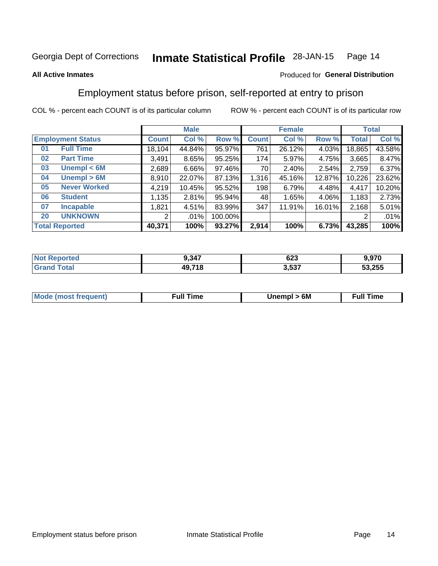#### **Inmate Statistical Profile 28-JAN-15** Page 14

### **All Active Inmates**

### Produced for General Distribution

# Employment status before prison, self-reported at entry to prison

COL % - percent each COUNT is of its particular column

|                           | <b>Male</b>  |        |         |              | <b>Female</b> | <b>Total</b> |        |        |
|---------------------------|--------------|--------|---------|--------------|---------------|--------------|--------|--------|
| <b>Employment Status</b>  | <b>Count</b> | Col %  | Row %   | <b>Count</b> | Col %         | Row %        | Total  | Col %  |
| <b>Full Time</b><br>01    | 18,104       | 44.84% | 95.97%  | 761          | 26.12%        | 4.03%        | 18,865 | 43.58% |
| <b>Part Time</b><br>02    | 3,491        | 8.65%  | 95.25%  | 174          | 5.97%         | 4.75%        | 3,665  | 8.47%  |
| Unempl $<$ 6M<br>03       | 2,689        | 6.66%  | 97.46%  | 70           | 2.40%         | 2.54%        | 2,759  | 6.37%  |
| Unempl > 6M<br>04         | 8,910        | 22.07% | 87.13%  | 1,316        | 45.16%        | 12.87%       | 10,226 | 23.62% |
| <b>Never Worked</b><br>05 | 4,219        | 10.45% | 95.52%  | 198          | 6.79%         | 4.48%        | 4,417  | 10.20% |
| 06<br><b>Student</b>      | 1,135        | 2.81%  | 95.94%  | 48           | 1.65%         | 4.06%        | 1,183  | 2.73%  |
| <b>Incapable</b><br>07    | ,821         | 4.51%  | 83.99%  | 347          | 11.91%        | 16.01%       | 2,168  | 5.01%  |
| <b>UNKNOWN</b><br>20      | 2            | .01%   | 100.00% |              |               |              | 2      | .01%   |
| <b>Total Reported</b>     | 40,371       | 100%   | 93.27%  | 2,914        | 100%          | 6.73%        | 43,285 | 100%   |

| <b>Not Reported</b> | 9,347  | $\sim$<br>ט∠ס | 9,970  |
|---------------------|--------|---------------|--------|
| <b>Grand Total</b>  | 49,718 | 3,537         | 53,255 |

| <b>Mode (most frequent)</b> | 6M<br><b>Jnempl</b> | <b>Full Time</b> |
|-----------------------------|---------------------|------------------|
|                             |                     |                  |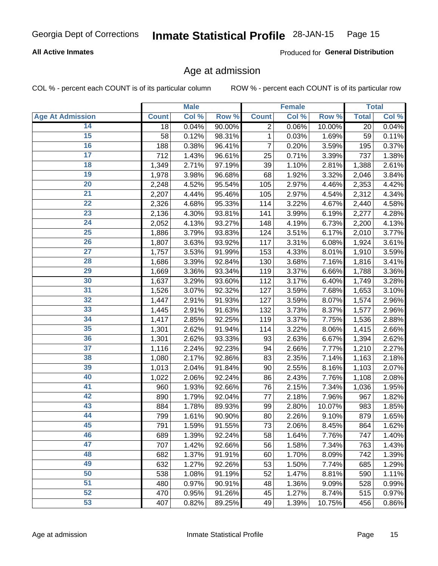### **All Active Inmates**

Produced for General Distribution

# Age at admission

COL % - percent each COUNT is of its particular column

|                         |                    | <b>Male</b> |        |                | <b>Female</b> |        |              | <b>Total</b> |
|-------------------------|--------------------|-------------|--------|----------------|---------------|--------|--------------|--------------|
| <b>Age At Admission</b> | <b>Count</b>       | Col %       | Row %  | <b>Count</b>   | Col %         | Row %  | <b>Total</b> | Col %        |
| 14                      | 18                 | 0.04%       | 90.00% | $\overline{2}$ | 0.06%         | 10.00% | 20           | 0.04%        |
| $\overline{15}$         | 58                 | 0.12%       | 98.31% | 1              | 0.03%         | 1.69%  | 59           | 0.11%        |
| 16                      | 188                | 0.38%       | 96.41% | 7              | 0.20%         | 3.59%  | 195          | 0.37%        |
| $\overline{17}$         | 712                | 1.43%       | 96.61% | 25             | 0.71%         | 3.39%  | 737          | 1.38%        |
| $\overline{18}$         | 1,349              | 2.71%       | 97.19% | 39             | 1.10%         | 2.81%  | 1,388        | 2.61%        |
| 19                      | 1,978              | 3.98%       | 96.68% | 68             | 1.92%         | 3.32%  | 2,046        | 3.84%        |
| 20                      | 2,248              | 4.52%       | 95.54% | 105            | 2.97%         | 4.46%  | 2,353        | 4.42%        |
| $\overline{21}$         | 2,207              | 4.44%       | 95.46% | 105            | 2.97%         | 4.54%  | 2,312        | 4.34%        |
| $\overline{22}$         | 2,326              | 4.68%       | 95.33% | 114            | 3.22%         | 4.67%  | 2,440        | 4.58%        |
| 23                      | 2,136              | 4.30%       | 93.81% | 141            | 3.99%         | 6.19%  | 2,277        | 4.28%        |
| 24                      | 2,052              | 4.13%       | 93.27% | 148            | 4.19%         | 6.73%  | 2,200        | 4.13%        |
| $\overline{25}$         | 1,886              | 3.79%       | 93.83% | 124            | 3.51%         | 6.17%  | 2,010        | 3.77%        |
| $\overline{26}$         | 1,807              | 3.63%       | 93.92% | 117            | 3.31%         | 6.08%  | 1,924        | 3.61%        |
| $\overline{27}$         | 1,757              | 3.53%       | 91.99% | 153            | 4.33%         | 8.01%  | 1,910        | 3.59%        |
| 28                      | 1,686              | 3.39%       | 92.84% | 130            | 3.68%         | 7.16%  | 1,816        | 3.41%        |
| 29                      | 1,669              | 3.36%       | 93.34% | 119            | 3.37%         | 6.66%  | 1,788        | 3.36%        |
| 30                      | 1,637              | 3.29%       | 93.60% | 112            | 3.17%         | 6.40%  | 1,749        | 3.28%        |
| 31                      | 1,526              | 3.07%       | 92.32% | 127            | 3.59%         | 7.68%  | 1,653        | 3.10%        |
| 32                      | 1,447              | 2.91%       | 91.93% | 127            | 3.59%         | 8.07%  | 1,574        | 2.96%        |
| 33                      | 1,445              | 2.91%       | 91.63% | 132            | 3.73%         | 8.37%  | 1,577        | 2.96%        |
| 34                      | 1,417              | 2.85%       | 92.25% | 119            | 3.37%         | 7.75%  | 1,536        | 2.88%        |
| 35                      | 1,301              | 2.62%       | 91.94% | 114            | 3.22%         | 8.06%  | 1,415        | 2.66%        |
| 36                      | 1,301              | 2.62%       | 93.33% | 93             | 2.63%         | 6.67%  | 1,394        | 2.62%        |
| $\overline{37}$         | $\overline{1,}116$ | 2.24%       | 92.23% | 94             | 2.66%         | 7.77%  | 1,210        | 2.27%        |
| 38                      | 1,080              | 2.17%       | 92.86% | 83             | 2.35%         | 7.14%  | 1,163        | 2.18%        |
| 39                      | 1,013              | 2.04%       | 91.84% | 90             | 2.55%         | 8.16%  | 1,103        | 2.07%        |
| 40                      | 1,022              | 2.06%       | 92.24% | 86             | 2.43%         | 7.76%  | 1,108        | 2.08%        |
| 41                      | 960                | 1.93%       | 92.66% | 76             | 2.15%         | 7.34%  | 1,036        | 1.95%        |
| 42                      | 890                | 1.79%       | 92.04% | 77             | 2.18%         | 7.96%  | 967          | 1.82%        |
| 43                      | 884                | 1.78%       | 89.93% | 99             | 2.80%         | 10.07% | 983          | 1.85%        |
| 44                      | 799                | 1.61%       | 90.90% | 80             | 2.26%         | 9.10%  | 879          | 1.65%        |
| 45                      | 791                | 1.59%       | 91.55% | 73             | 2.06%         | 8.45%  | 864          | 1.62%        |
| 46                      | 689                | 1.39%       | 92.24% | 58             | 1.64%         | 7.76%  | 747          | 1.40%        |
| 47                      | 707                | 1.42%       | 92.66% | 56             | 1.58%         | 7.34%  | 763          | 1.43%        |
| 48                      | 682                | 1.37%       | 91.91% | 60             | 1.70%         | 8.09%  | 742          | 1.39%        |
| 49                      | 632                | 1.27%       | 92.26% | 53             | 1.50%         | 7.74%  | 685          | 1.29%        |
| 50                      | 538                | 1.08%       | 91.19% | 52             | 1.47%         | 8.81%  | 590          | 1.11%        |
| 51                      | 480                | 0.97%       | 90.91% | 48             | 1.36%         | 9.09%  | 528          | 0.99%        |
| 52                      | 470                | 0.95%       | 91.26% | 45             | 1.27%         | 8.74%  | 515          | 0.97%        |
| 53                      | 407                | 0.82%       | 89.25% | 49             | 1.39%         | 10.75% | 456          | 0.86%        |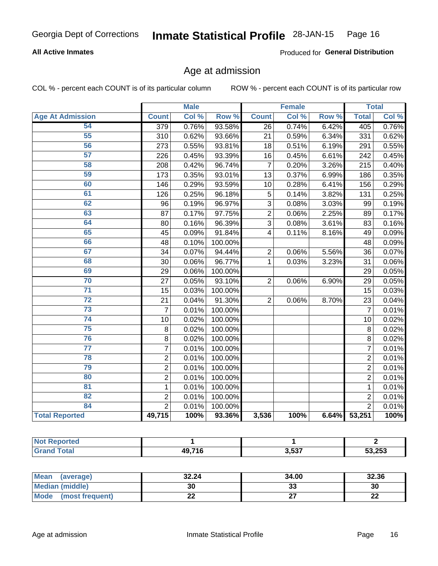### **All Active Inmates**

Produced for General Distribution

# Age at admission

COL % - percent each COUNT is of its particular column

|                         |                  | <b>Male</b> |         |                 | <b>Female</b> |                  |                | <b>Total</b> |
|-------------------------|------------------|-------------|---------|-----------------|---------------|------------------|----------------|--------------|
| <b>Age At Admission</b> | <b>Count</b>     | Col %       | Row %   | <b>Count</b>    | Col %         | Row <sup>%</sup> | <b>Total</b>   | Col %        |
| 54                      | $\overline{379}$ | 0.76%       | 93.58%  | $\overline{26}$ | 0.74%         | 6.42%            | 405            | 0.76%        |
| 55                      | 310              | 0.62%       | 93.66%  | 21              | 0.59%         | 6.34%            | 331            | 0.62%        |
| 56                      | 273              | 0.55%       | 93.81%  | 18              | 0.51%         | 6.19%            | 291            | 0.55%        |
| 57                      | 226              | 0.45%       | 93.39%  | 16              | 0.45%         | 6.61%            | 242            | 0.45%        |
| 58                      | 208              | 0.42%       | 96.74%  | $\overline{7}$  | 0.20%         | 3.26%            | 215            | 0.40%        |
| 59                      | 173              | 0.35%       | 93.01%  | $\overline{13}$ | 0.37%         | 6.99%            | 186            | 0.35%        |
| 60                      | 146              | 0.29%       | 93.59%  | 10              | 0.28%         | 6.41%            | 156            | 0.29%        |
| 61                      | 126              | 0.25%       | 96.18%  | 5               | 0.14%         | 3.82%            | 131            | 0.25%        |
| 62                      | 96               | 0.19%       | 96.97%  | 3               | 0.08%         | 3.03%            | 99             | 0.19%        |
| 63                      | 87               | 0.17%       | 97.75%  | $\overline{2}$  | 0.06%         | 2.25%            | 89             | 0.17%        |
| 64                      | 80               | 0.16%       | 96.39%  | $\overline{3}$  | 0.08%         | 3.61%            | 83             | 0.16%        |
| 65                      | 45               | 0.09%       | 91.84%  | 4               | 0.11%         | 8.16%            | 49             | 0.09%        |
| 66                      | 48               | 0.10%       | 100.00% |                 |               |                  | 48             | 0.09%        |
| 67                      | 34               | 0.07%       | 94.44%  | $\overline{2}$  | 0.06%         | 5.56%            | 36             | 0.07%        |
| 68                      | 30               | 0.06%       | 96.77%  | 1               | 0.03%         | 3.23%            | 31             | 0.06%        |
| 69                      | 29               | 0.06%       | 100.00% |                 |               |                  | 29             | 0.05%        |
| 70                      | 27               | 0.05%       | 93.10%  | $\overline{2}$  | 0.06%         | 6.90%            | 29             | 0.05%        |
| $\overline{71}$         | 15               | 0.03%       | 100.00% |                 |               |                  | 15             | 0.03%        |
| $\overline{72}$         | 21               | 0.04%       | 91.30%  | $\overline{2}$  | 0.06%         | 8.70%            | 23             | 0.04%        |
| 73                      | $\overline{7}$   | 0.01%       | 100.00% |                 |               |                  | $\overline{7}$ | 0.01%        |
| 74                      | 10               | 0.02%       | 100.00% |                 |               |                  | 10             | 0.02%        |
| 75                      | 8                | 0.02%       | 100.00% |                 |               |                  | 8              | 0.02%        |
| 76                      | 8                | 0.02%       | 100.00% |                 |               |                  | 8              | 0.02%        |
| $\overline{77}$         | $\overline{7}$   | 0.01%       | 100.00% |                 |               |                  | $\overline{7}$ | 0.01%        |
| 78                      | $\overline{2}$   | 0.01%       | 100.00% |                 |               |                  | $\overline{2}$ | 0.01%        |
| 79                      | $\overline{2}$   | 0.01%       | 100.00% |                 |               |                  | $\overline{2}$ | 0.01%        |
| 80                      | $\overline{2}$   | 0.01%       | 100.00% |                 |               |                  | $\overline{2}$ | 0.01%        |
| 81                      | $\mathbf{1}$     | 0.01%       | 100.00% |                 |               |                  | $\mathbf{1}$   | 0.01%        |
| $\overline{82}$         | $\overline{2}$   | 0.01%       | 100.00% |                 |               |                  | $\overline{2}$ | 0.01%        |
| 84                      | $\overline{2}$   | 0.01%       | 100.00% |                 |               |                  | $\overline{2}$ | 0.01%        |
| <b>Total Reported</b>   | 49,715           | 100%        | 93.36%  | 3,536           | 100%          | 6.64%            | 53,251         | 100%         |

| <b>Not Reported</b> |              |       |        |
|---------------------|--------------|-------|--------|
| <b>Grand Total</b>  | <b>49716</b> | 3,537 | 53,253 |

| <b>Mean</b><br>(average) | 32.24       | 34.00    | 32.36    |
|--------------------------|-------------|----------|----------|
| <b>Median (middle)</b>   | 30          | າາ<br>აა | 30       |
| Mode<br>(most frequent)  | <u>. . </u> |          | n,<br>LL |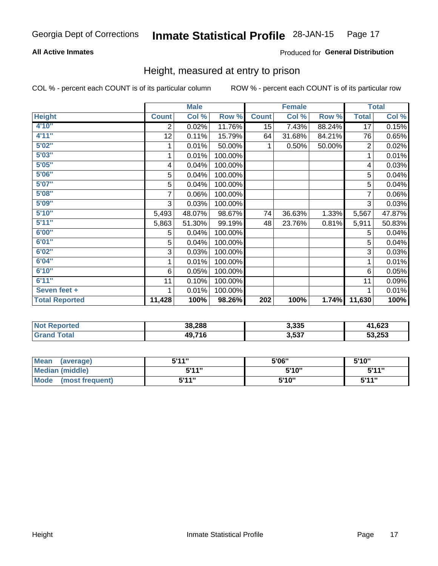### **All Active Inmates**

### Produced for General Distribution

# Height, measured at entry to prison

COL % - percent each COUNT is of its particular column

|                       |                | <b>Male</b> |         |              | <b>Female</b> |        |                | <b>Total</b> |
|-----------------------|----------------|-------------|---------|--------------|---------------|--------|----------------|--------------|
| <b>Height</b>         | <b>Count</b>   | Col %       | Row %   | <b>Count</b> | Col %         | Row %  | <b>Total</b>   | Col %        |
| 4'10''                | 2              | 0.02%       | 11.76%  | 15           | 7.43%         | 88.24% | 17             | 0.15%        |
| 4'11''                | 12             | 0.11%       | 15.79%  | 64           | 31.68%        | 84.21% | 76             | 0.65%        |
| 5'02''                |                | 0.01%       | 50.00%  |              | 0.50%         | 50.00% | $\overline{2}$ | 0.02%        |
| 5'03''                |                | 0.01%       | 100.00% |              |               |        |                | 0.01%        |
| 5'05''                | 4              | 0.04%       | 100.00% |              |               |        | 4              | 0.03%        |
| 5'06''                | 5              | 0.04%       | 100.00% |              |               |        | 5              | 0.04%        |
| 5'07''                | 5              | 0.04%       | 100.00% |              |               |        | 5              | 0.04%        |
| 5'08''                | $\overline{7}$ | 0.06%       | 100.00% |              |               |        | $\overline{7}$ | 0.06%        |
| 5'09''                | 3              | 0.03%       | 100.00% |              |               |        | 3              | 0.03%        |
| 5'10''                | 5,493          | 48.07%      | 98.67%  | 74           | 36.63%        | 1.33%  | 5,567          | 47.87%       |
| 5'11''                | 5,863          | 51.30%      | 99.19%  | 48           | 23.76%        | 0.81%  | 5,911          | 50.83%       |
| 6'00''                | 5              | 0.04%       | 100.00% |              |               |        | 5              | 0.04%        |
| 6'01''                | 5              | 0.04%       | 100.00% |              |               |        | 5              | 0.04%        |
| 6'02''                | 3              | 0.03%       | 100.00% |              |               |        | 3              | 0.03%        |
| 6'04"                 | 1              | 0.01%       | 100.00% |              |               |        | 1              | 0.01%        |
| 6'10''                | 6              | 0.05%       | 100.00% |              |               |        | 6              | 0.05%        |
| 6'11''                | 11             | 0.10%       | 100.00% |              |               |        | 11             | 0.09%        |
| Seven feet +          |                | 0.01%       | 100.00% |              |               |        |                | 0.01%        |
| <b>Total Reported</b> | 11,428         | 100%        | 98.26%  | 202          | 100%          | 1.74%  | 11,630         | 100%         |

| τec<br>m. | 38,288         | 3,335 | coo<br>נ∡ס, ו |
|-----------|----------------|-------|---------------|
|           | $AQ$ 716<br>۰o | 3,537 | 53,253        |

| Mean<br>(average)              | 5'11" | 5'06" | 5'10" |
|--------------------------------|-------|-------|-------|
| Median (middle)                | 5'11" | 5'10" | 5'11" |
| <b>Mode</b><br>(most frequent) | 5'11" | 5'10" | 5'11" |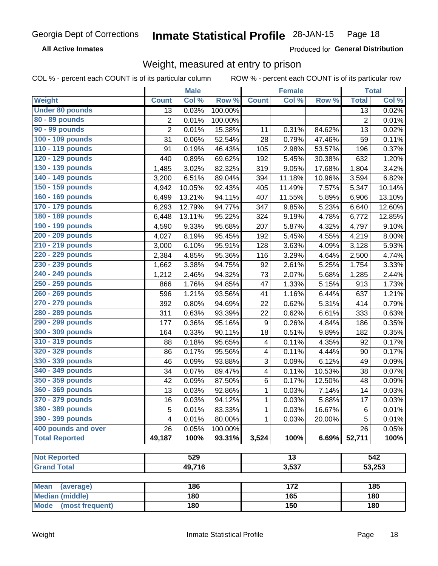**All Active Inmates** 

Produced for General Distribution

# Weight, measured at entry to prison

COL % - percent each COUNT is of its particular column

|                                                    |                | <b>Male</b> |         |                         | <b>Female</b>   |        |                | <b>Total</b> |
|----------------------------------------------------|----------------|-------------|---------|-------------------------|-----------------|--------|----------------|--------------|
| Weight                                             | <b>Count</b>   | Col %       | Row %   | <b>Count</b>            | Col %           | Row %  | <b>Total</b>   | Col %        |
| <b>Under 80 pounds</b>                             | 13             | 0.03%       | 100.00% |                         |                 |        | 13             | 0.02%        |
| 80 - 89 pounds                                     | $\mathbf 2$    | 0.01%       | 100.00% |                         |                 |        | $\overline{2}$ | 0.01%        |
| 90 - 99 pounds                                     | $\overline{2}$ | 0.01%       | 15.38%  | 11                      | 0.31%           | 84.62% | 13             | 0.02%        |
| 100 - 109 pounds                                   | 31             | 0.06%       | 52.54%  | 28                      | 0.79%           | 47.46% | 59             | 0.11%        |
| 110 - 119 pounds                                   | 91             | 0.19%       | 46.43%  | 105                     | 2.98%           | 53.57% | 196            | 0.37%        |
| 120 - 129 pounds                                   | 440            | 0.89%       | 69.62%  | 192                     | 5.45%           | 30.38% | 632            | 1.20%        |
| 130 - 139 pounds                                   | 1,485          | 3.02%       | 82.32%  | 319                     | 9.05%           | 17.68% | 1,804          | 3.42%        |
| 140 - 149 pounds                                   | 3,200          | 6.51%       | 89.04%  | 394                     | 11.18%          | 10.96% | 3,594          | 6.82%        |
| 150 - 159 pounds                                   | 4,942          | 10.05%      | 92.43%  | 405                     | 11.49%          | 7.57%  | 5,347          | 10.14%       |
| 160 - 169 pounds                                   | 6,499          | 13.21%      | 94.11%  | 407                     | 11.55%          | 5.89%  | 6,906          | 13.10%       |
| 170 - 179 pounds                                   | 6,293          | 12.79%      | 94.77%  | 347                     | 9.85%           | 5.23%  | 6,640          | 12.60%       |
| 180 - 189 pounds                                   | 6,448          | 13.11%      | 95.22%  | 324                     | 9.19%           | 4.78%  | 6,772          | 12.85%       |
| 190 - 199 pounds                                   | 4,590          | 9.33%       | 95.68%  | 207                     | 5.87%           | 4.32%  | 4,797          | 9.10%        |
| 200 - 209 pounds                                   | 4,027          | 8.19%       | 95.45%  | 192                     | 5.45%           | 4.55%  | 4,219          | 8.00%        |
| 210 - 219 pounds                                   | 3,000          | 6.10%       | 95.91%  | 128                     | 3.63%           | 4.09%  | 3,128          | 5.93%        |
| 220 - 229 pounds                                   | 2,384          | 4.85%       | 95.36%  | 116                     | 3.29%           | 4.64%  | 2,500          | 4.74%        |
| 230 - 239 pounds                                   | 1,662          | 3.38%       | 94.75%  | 92                      | 2.61%           | 5.25%  | 1,754          | 3.33%        |
| 240 - 249 pounds                                   | 1,212          | 2.46%       | 94.32%  | 73                      | 2.07%           | 5.68%  | 1,285          | 2.44%        |
| 250 - 259 pounds                                   | 866            | 1.76%       | 94.85%  | 47                      | 1.33%           | 5.15%  | 913            | 1.73%        |
| 260 - 269 pounds                                   | 596            | 1.21%       | 93.56%  | 41                      | 1.16%           | 6.44%  | 637            | 1.21%        |
| 270 - 279 pounds                                   | 392            | 0.80%       | 94.69%  | 22                      | 0.62%           | 5.31%  | 414            | 0.79%        |
| 280 - 289 pounds                                   | 311            | 0.63%       | 93.39%  | 22                      | 0.62%           | 6.61%  | 333            | 0.63%        |
| 290 - 299 pounds                                   | 177            | 0.36%       | 95.16%  | 9                       | 0.26%           | 4.84%  | 186            | 0.35%        |
| 300 - 309 pounds                                   | 164            | 0.33%       | 90.11%  | 18                      | 0.51%           | 9.89%  | 182            | 0.35%        |
| 310 - 319 pounds                                   | 88             | 0.18%       | 95.65%  | 4                       | 0.11%           | 4.35%  | 92             | 0.17%        |
| 320 - 329 pounds                                   | 86             | 0.17%       | 95.56%  | 4                       | 0.11%           | 4.44%  | 90             | 0.17%        |
| 330 - 339 pounds                                   | 46             | 0.09%       | 93.88%  | 3                       | 0.09%           | 6.12%  | 49             | 0.09%        |
| 340 - 349 pounds                                   | 34             | 0.07%       | 89.47%  | $\overline{\mathbf{4}}$ | 0.11%           | 10.53% | 38             | 0.07%        |
| 350 - 359 pounds                                   | 42             | 0.09%       | 87.50%  | 6                       | 0.17%           | 12.50% | 48             | 0.09%        |
| 360 - 369 pounds                                   | 13             | 0.03%       | 92.86%  | 1                       | 0.03%           | 7.14%  | 14             | 0.03%        |
| 370 - 379 pounds                                   | 16             | 0.03%       | 94.12%  | 1                       | 0.03%           | 5.88%  | 17             | 0.03%        |
| 380 - 389 pounds                                   | 5              | 0.01%       | 83.33%  | 1                       | 0.03%           | 16.67% | 6              | 0.01%        |
| 390 - 399 pounds                                   | 4              | 0.01%       | 80.00%  | 1                       | 0.03%           | 20.00% | 5              | 0.01%        |
| 400 pounds and over                                | 26             | 0.05%       | 100.00% |                         |                 |        | 26             | 0.05%        |
| <b>Total Reported</b>                              | 49,187         | 100%        | 93.31%  | 3,524                   | 100%            | 6.69%  | 52,711         | 100%         |
|                                                    |                |             |         |                         |                 |        |                |              |
| <b>Not Reported</b>                                |                | 529         |         |                         | $\overline{13}$ |        |                | 542          |
| <b>Grand Total</b>                                 |                | 49,716      |         |                         | 3,537           |        |                | 53,253       |
|                                                    |                |             |         |                         |                 |        |                |              |
| <b>Mean</b><br>(average)<br><b>Median (middle)</b> |                | 186<br>180  |         |                         | 172<br>165      |        |                | 185<br>180   |
| Mode (most frequent)                               |                | 180         |         |                         | 150             |        |                | 180          |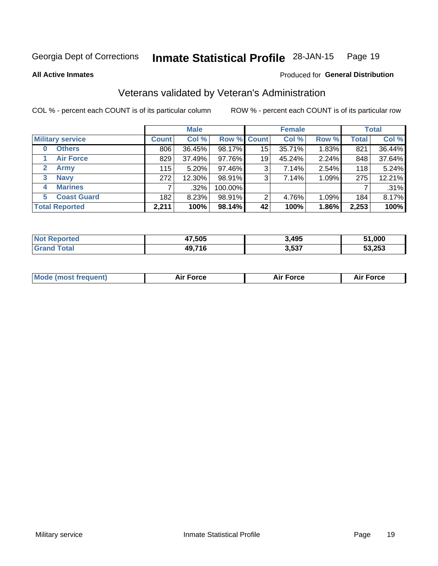#### **Inmate Statistical Profile 28-JAN-15** Page 19

**All Active Inmates** 

# Produced for General Distribution

# Veterans validated by Veteran's Administration

COL % - percent each COUNT is of its particular column

|                             | <b>Male</b>  |        |             | <b>Female</b> |        |       | <b>Total</b> |        |
|-----------------------------|--------------|--------|-------------|---------------|--------|-------|--------------|--------|
| <b>Military service</b>     | <b>Count</b> | Col %  | Row % Count |               | Col %  | Row % | <b>Total</b> | Col %  |
| <b>Others</b><br>0          | 806          | 36.45% | 98.17%      | 15            | 35.71% | 1.83% | 821          | 36.44% |
| <b>Air Force</b>            | 829          | 37.49% | 97.76%      | 19            | 45.24% | 2.24% | 848          | 37.64% |
| $\mathbf{2}$<br><b>Army</b> | 115          | 5.20%  | 97.46%      | 3             | 7.14%  | 2.54% | 118          | 5.24%  |
| <b>Navy</b><br>3            | 272          | 12.30% | 98.91%      | 3             | 7.14%  | 1.09% | 275          | 12.21% |
| <b>Marines</b><br>4         |              | .32%   | 100.00%     |               |        |       |              | .31%   |
| <b>Coast Guard</b><br>5.    | 182          | 8.23%  | 98.91%      | 2             | 4.76%  | 1.09% | 184          | 8.17%  |
| <b>Total Reported</b>       | 2,211        | 100%   | 98.14%      | 42            | 100%   | 1.86% | 2,253        | 100%   |

| rteo | 47,505 | 3,495 | 51,000 |
|------|--------|-------|--------|
|      | 49,71F | 3,537 | 53.253 |

| <b>Mode (most frequent)</b><br><b>Force</b><br><b>Force</b><br>orce<br>Aır |
|----------------------------------------------------------------------------|
|----------------------------------------------------------------------------|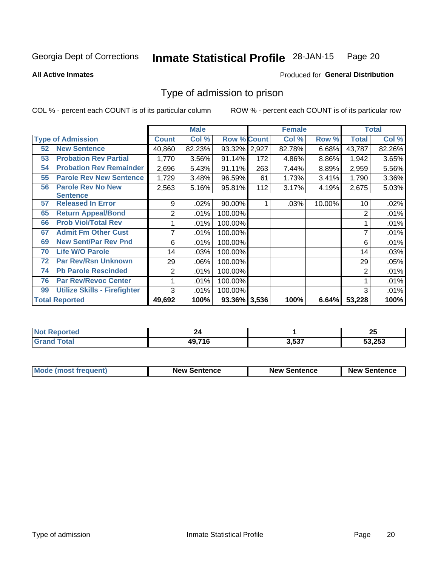#### Inmate Statistical Profile 28-JAN-15 Page 20

**All Active Inmates** 

### Produced for General Distribution

# Type of admission to prison

COL % - percent each COUNT is of its particular column

|    |                                     |              | <b>Male</b> |                    |     | <b>Female</b> |        |              | <b>Total</b> |
|----|-------------------------------------|--------------|-------------|--------------------|-----|---------------|--------|--------------|--------------|
|    | <b>Type of Admission</b>            | <b>Count</b> | Col %       | <b>Row % Count</b> |     | Col %         | Row %  | <b>Total</b> | Col %        |
| 52 | <b>New Sentence</b>                 | 40,860       | 82.23%      | 93.32% 2,927       |     | 82.78%        | 6.68%  | 43,787       | 82.26%       |
| 53 | <b>Probation Rev Partial</b>        | 1,770        | 3.56%       | 91.14%             | 172 | 4.86%         | 8.86%  | 1,942        | 3.65%        |
| 54 | <b>Probation Rev Remainder</b>      | 2,696        | 5.43%       | 91.11%             | 263 | 7.44%         | 8.89%  | 2,959        | 5.56%        |
| 55 | <b>Parole Rev New Sentence</b>      | 1,729        | 3.48%       | 96.59%             | 61  | 1.73%         | 3.41%  | 1,790        | 3.36%        |
| 56 | <b>Parole Rev No New</b>            | 2,563        | 5.16%       | 95.81%             | 112 | 3.17%         | 4.19%  | 2,675        | 5.03%        |
|    | <b>Sentence</b>                     |              |             |                    |     |               |        |              |              |
| 57 | <b>Released In Error</b>            | 9            | .02%        | 90.00%             |     | .03%          | 10.00% | 10           | .02%         |
| 65 | <b>Return Appeal/Bond</b>           | 2            | .01%        | 100.00%            |     |               |        | 2            | .01%         |
| 66 | <b>Prob Viol/Total Rev</b>          |              | .01%        | 100.00%            |     |               |        |              | .01%         |
| 67 | <b>Admit Fm Other Cust</b>          | 7            | .01%        | 100.00%            |     |               |        |              | .01%         |
| 69 | <b>New Sent/Par Rev Pnd</b>         | 6            | .01%        | 100.00%            |     |               |        | 6            | .01%         |
| 70 | <b>Life W/O Parole</b>              | 14           | .03%        | 100.00%            |     |               |        | 14           | .03%         |
| 72 | <b>Par Rev/Rsn Unknown</b>          | 29           | .06%        | 100.00%            |     |               |        | 29           | .05%         |
| 74 | <b>Pb Parole Rescinded</b>          | 2            | .01%        | 100.00%            |     |               |        | 2            | .01%         |
| 76 | <b>Par Rev/Revoc Center</b>         |              | .01%        | 100.00%            |     |               |        |              | .01%         |
| 99 | <b>Utilize Skills - Firefighter</b> | 3            | .01%        | 100.00%            |     |               |        | 3            | .01%         |
|    | <b>Total Reported</b>               | 49,692       | 100%        | 93.36% 3,536       |     | 100%          | 6.64%  | 53,228       | 100%         |

| N.<br>orreo |         |            | OF.<br>ZJ |  |  |
|-------------|---------|------------|-----------|--|--|
| . Gr        | 10 71 F | ドゥフ<br>. . | 53,253    |  |  |

| <b>Mode (most frequent)</b> | <b>New Sentence</b> | <b>New Sentence</b> | <b>New Sentence</b> |
|-----------------------------|---------------------|---------------------|---------------------|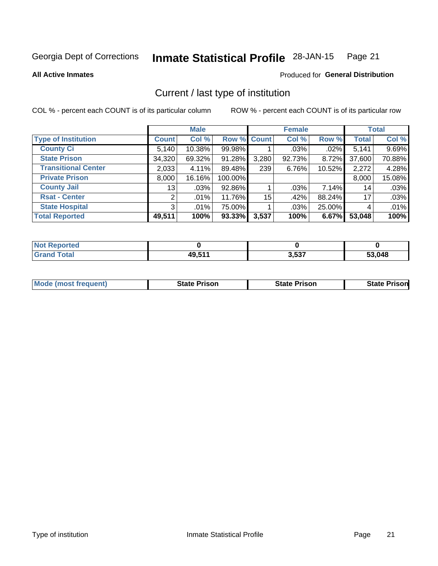#### Inmate Statistical Profile 28-JAN-15 Page 21

### **All Active Inmates**

# Produced for General Distribution

# Current / last type of institution

COL % - percent each COUNT is of its particular column

|                            |                 | <b>Male</b> |             |       | <b>Female</b> |        |              | <b>Total</b> |
|----------------------------|-----------------|-------------|-------------|-------|---------------|--------|--------------|--------------|
| <b>Type of Institution</b> | <b>Count</b>    | Col %       | Row % Count |       | Col %         | Row %  | <b>Total</b> | Col %        |
| <b>County Ci</b>           | 5,140           | 10.38%      | 99.98%      |       | $.03\%$       | .02%   | 5,141        | 9.69%        |
| <b>State Prison</b>        | 34,320          | 69.32%      | 91.28%      | 3,280 | 92.73%        | 8.72%  | 37,600       | 70.88%       |
| <b>Transitional Center</b> | 2,033           | 4.11%       | 89.48%      | 239   | 6.76%         | 10.52% | 2,272        | 4.28%        |
| <b>Private Prison</b>      | 8,000           | 16.16%      | 100.00%     |       |               |        | 8,000        | 15.08%       |
| <b>County Jail</b>         | 13 <sup>1</sup> | .03%        | 92.86%      |       | .03%          | 7.14%  | 14           | .03%         |
| <b>Rsat - Center</b>       | 2 <sub>1</sub>  | .01%        | 11.76%      | 15    | .42%          | 88.24% | 17           | .03%         |
| <b>State Hospital</b>      | 3 <sup>1</sup>  | $.01\%$     | 75.00%      |       | .03%          | 25.00% | 4            | .01%         |
| <b>Total Reported</b>      | 49,511          | 100%        | 93.33%      | 3,537 | 100%          | 6.67%  | 53,048       | 100%         |

| ported<br>' NOT |       |       |                 |
|-----------------|-------|-------|-----------------|
| <b>otal</b>     | 49511 | 3,537 | 53,048<br>- 1.7 |

| <b>Mode (most frequent)</b> | <b>State Prison</b> | <b>State Prison</b> | <b>State Prison</b> |
|-----------------------------|---------------------|---------------------|---------------------|
|                             |                     |                     |                     |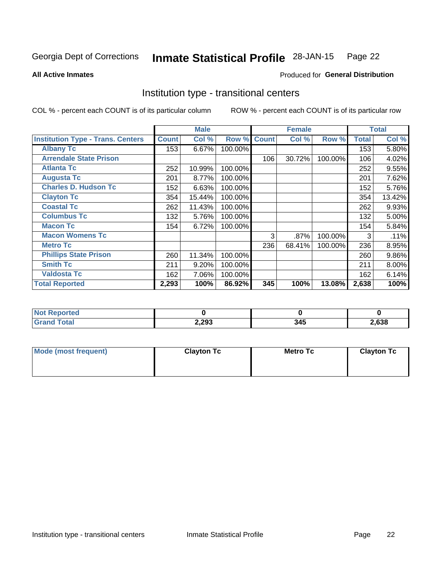#### Inmate Statistical Profile 28-JAN-15 Page 22

**All Active Inmates** 

### Produced for General Distribution

# Institution type - transitional centers

COL % - percent each COUNT is of its particular column

|                                          |              | <b>Male</b> |         |              | <b>Female</b> |         |              | <b>Total</b> |
|------------------------------------------|--------------|-------------|---------|--------------|---------------|---------|--------------|--------------|
| <b>Institution Type - Trans. Centers</b> | <b>Count</b> | Col %       | Row %   | <b>Count</b> | Col %         | Row %   | <b>Total</b> | Col %        |
| <b>Albany Tc</b>                         | 153          | 6.67%       | 100.00% |              |               |         | 153          | 5.80%        |
| <b>Arrendale State Prison</b>            |              |             |         | 106          | 30.72%        | 100.00% | 106          | 4.02%        |
| <b>Atlanta Tc</b>                        | 252          | 10.99%      | 100.00% |              |               |         | 252          | 9.55%        |
| <b>Augusta Tc</b>                        | 201          | 8.77%       | 100.00% |              |               |         | 201          | 7.62%        |
| <b>Charles D. Hudson Tc</b>              | 152          | 6.63%       | 100.00% |              |               |         | 152          | 5.76%        |
| <b>Clayton Tc</b>                        | 354          | 15.44%      | 100.00% |              |               |         | 354          | 13.42%       |
| <b>Coastal Tc</b>                        | 262          | 11.43%      | 100.00% |              |               |         | 262          | 9.93%        |
| <b>Columbus Tc</b>                       | 132          | 5.76%       | 100.00% |              |               |         | 132          | 5.00%        |
| <b>Macon Tc</b>                          | 154          | 6.72%       | 100.00% |              |               |         | 154          | 5.84%        |
| <b>Macon Womens Tc</b>                   |              |             |         | 3            | $.87\%$       | 100.00% | 3            | .11%         |
| <b>Metro Tc</b>                          |              |             |         | 236          | 68.41%        | 100.00% | 236          | 8.95%        |
| <b>Phillips State Prison</b>             | 260          | 11.34%      | 100.00% |              |               |         | 260          | $9.86\%$     |
| <b>Smith Tc</b>                          | 211          | 9.20%       | 100.00% |              |               |         | 211          | $8.00\%$     |
| <b>Valdosta Tc</b>                       | 162          | 7.06%       | 100.00% |              |               |         | 162          | 6.14%        |
| <b>Total Reported</b>                    | 2,293        | 100%        | 86.92%  | 345          | 100%          | 13.08%  | 2,638        | 100%         |

| <b>orted</b><br>$\sim$ |       |     |      |
|------------------------|-------|-----|------|
| <b>ota</b>             | 2,293 | , л | ,638 |

| Mode (most frequent) | <b>Clayton Tc</b> | <b>Metro Tc</b> | <b>Clayton Tc</b> |
|----------------------|-------------------|-----------------|-------------------|
|                      |                   |                 |                   |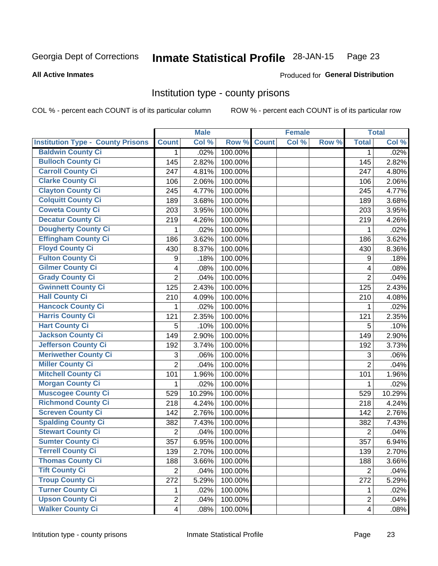#### **Inmate Statistical Profile 28-JAN-15** Page 23

### **All Active Inmates**

### Produced for General Distribution

# Institution type - county prisons

COL % - percent each COUNT is of its particular column

|                                          |                         | <b>Male</b> |         |              | <b>Female</b> |       |                | <b>Total</b> |
|------------------------------------------|-------------------------|-------------|---------|--------------|---------------|-------|----------------|--------------|
| <b>Institution Type - County Prisons</b> | <b>Count</b>            | Col %       | Row %   | <b>Count</b> | Col %         | Row % | <b>Total</b>   | Col %        |
| <b>Baldwin County Ci</b>                 | $\mathbf{1}$            | .02%        | 100.00% |              |               |       | $\mathbf{1}$   | .02%         |
| <b>Bulloch County Ci</b>                 | 145                     | 2.82%       | 100.00% |              |               |       | 145            | 2.82%        |
| <b>Carroll County Ci</b>                 | 247                     | 4.81%       | 100.00% |              |               |       | 247            | 4.80%        |
| <b>Clarke County Ci</b>                  | 106                     | 2.06%       | 100.00% |              |               |       | 106            | 2.06%        |
| <b>Clayton County Ci</b>                 | 245                     | 4.77%       | 100.00% |              |               |       | 245            | 4.77%        |
| <b>Colquitt County Ci</b>                | 189                     | 3.68%       | 100.00% |              |               |       | 189            | 3.68%        |
| <b>Coweta County Ci</b>                  | 203                     | 3.95%       | 100.00% |              |               |       | 203            | 3.95%        |
| <b>Decatur County Ci</b>                 | 219                     | 4.26%       | 100.00% |              |               |       | 219            | 4.26%        |
| <b>Dougherty County Ci</b>               | 1                       | .02%        | 100.00% |              |               |       | 1              | .02%         |
| <b>Effingham County Ci</b>               | 186                     | 3.62%       | 100.00% |              |               |       | 186            | 3.62%        |
| <b>Floyd County Ci</b>                   | 430                     | 8.37%       | 100.00% |              |               |       | 430            | 8.36%        |
| <b>Fulton County Ci</b>                  | 9                       | .18%        | 100.00% |              |               |       | 9              | .18%         |
| <b>Gilmer County Ci</b>                  | 4                       | .08%        | 100.00% |              |               |       | 4              | .08%         |
| <b>Grady County Ci</b>                   | $\overline{2}$          | .04%        | 100.00% |              |               |       | $\overline{2}$ | .04%         |
| <b>Gwinnett County Ci</b>                | 125                     | 2.43%       | 100.00% |              |               |       | 125            | 2.43%        |
| <b>Hall County Ci</b>                    | 210                     | 4.09%       | 100.00% |              |               |       | 210            | 4.08%        |
| <b>Hancock County Ci</b>                 | 1                       | .02%        | 100.00% |              |               |       | 1              | .02%         |
| <b>Harris County Ci</b>                  | 121                     | 2.35%       | 100.00% |              |               |       | 121            | 2.35%        |
| <b>Hart County Ci</b>                    | 5                       | .10%        | 100.00% |              |               |       | 5              | .10%         |
| <b>Jackson County Ci</b>                 | 149                     | 2.90%       | 100.00% |              |               |       | 149            | 2.90%        |
| <b>Jefferson County Ci</b>               | 192                     | 3.74%       | 100.00% |              |               |       | 192            | 3.73%        |
| <b>Meriwether County Ci</b>              | 3                       | .06%        | 100.00% |              |               |       | 3              | .06%         |
| <b>Miller County Ci</b>                  | $\overline{2}$          | .04%        | 100.00% |              |               |       | $\overline{2}$ | .04%         |
| <b>Mitchell County Ci</b>                | 101                     | 1.96%       | 100.00% |              |               |       | 101            | 1.96%        |
| <b>Morgan County Ci</b>                  | 1                       | .02%        | 100.00% |              |               |       | 1              | .02%         |
| <b>Muscogee County Ci</b>                | 529                     | 10.29%      | 100.00% |              |               |       | 529            | 10.29%       |
| <b>Richmond County Ci</b>                | 218                     | 4.24%       | 100.00% |              |               |       | 218            | 4.24%        |
| <b>Screven County Ci</b>                 | 142                     | 2.76%       | 100.00% |              |               |       | 142            | 2.76%        |
| <b>Spalding County Ci</b>                | 382                     | 7.43%       | 100.00% |              |               |       | 382            | 7.43%        |
| <b>Stewart County Ci</b>                 | $\overline{2}$          | .04%        | 100.00% |              |               |       | $\overline{2}$ | .04%         |
| <b>Sumter County Ci</b>                  | 357                     | 6.95%       | 100.00% |              |               |       | 357            | 6.94%        |
| <b>Terrell County Ci</b>                 | 139                     | 2.70%       | 100.00% |              |               |       | 139            | 2.70%        |
| <b>Thomas County Ci</b>                  | 188                     | 3.66%       | 100.00% |              |               |       | 188            | 3.66%        |
| <b>Tift County Ci</b>                    | $\overline{2}$          | .04%        | 100.00% |              |               |       | $\overline{2}$ | .04%         |
| <b>Troup County Ci</b>                   | 272                     | 5.29%       | 100.00% |              |               |       | 272            | 5.29%        |
| <b>Turner County Ci</b>                  | 1.                      | .02%        | 100.00% |              |               |       | 1              | .02%         |
| <b>Upson County Ci</b>                   | $\overline{2}$          | .04%        | 100.00% |              |               |       | $\overline{2}$ | .04%         |
| <b>Walker County Ci</b>                  | $\overline{\mathbf{4}}$ | .08%        | 100.00% |              |               |       | $\overline{4}$ | .08%         |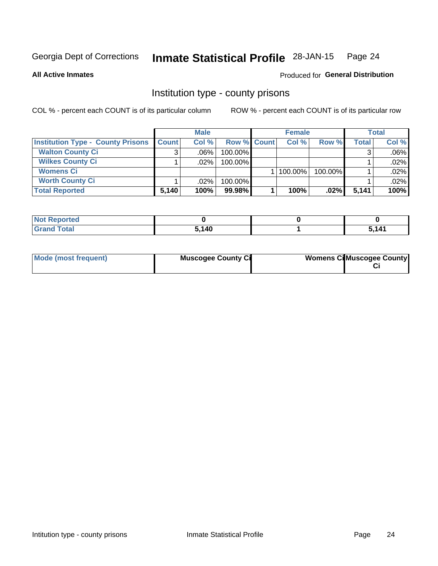#### **Inmate Statistical Profile 28-JAN-15** Page 24

### **All Active Inmates**

# Produced for General Distribution

# Institution type - county prisons

COL % - percent each COUNT is of its particular column

|                                          | <b>Male</b>  |         |                    | <b>Female</b> |              |         | <b>Total</b> |         |
|------------------------------------------|--------------|---------|--------------------|---------------|--------------|---------|--------------|---------|
| <b>Institution Type - County Prisons</b> | <b>Count</b> | Col%    | <b>Row % Count</b> |               | Col%         | Row %   | Total        | Col %   |
| <b>Walton County Ci</b>                  | 3            | $.06\%$ | 100.00%            |               |              |         |              | $.06\%$ |
| <b>Wilkes County Ci</b>                  |              | $.02\%$ | 100.00%            |               |              |         |              | .02%    |
| <b>Womens Ci</b>                         |              |         |                    |               | $ 100.00\% $ | 100.00% |              | $.02\%$ |
| <b>Worth County Ci</b>                   |              | $.02\%$ | 100.00%            |               |              |         |              | .02%    |
| <b>Total Reported</b>                    | 5,140        | 100%    | 99.98%             |               | 100%         | $.02\%$ | 5,141        | 100%    |

| ported<br><b>NOT</b>           |       |     |
|--------------------------------|-------|-----|
| $\sim$ $\sim$ $\sim$<br>______ | 5,140 | 111 |

| Mode (most frequent) | <b>Muscogee County Ci</b> | <b>Womens Ci</b> Muscogee County |
|----------------------|---------------------------|----------------------------------|
|----------------------|---------------------------|----------------------------------|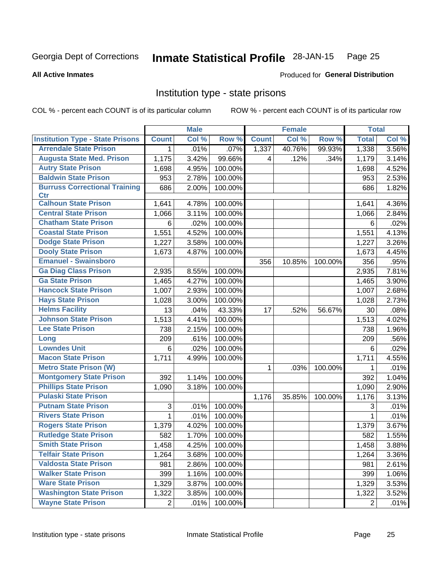#### Inmate Statistical Profile 28-JAN-15 Page 25

### **All Active Inmates**

### Produced for General Distribution

# Institution type - state prisons

COL % - percent each COUNT is of its particular column

|                                         |                | <b>Male</b> |         |              | <b>Female</b> |         | <b>Total</b>   |       |
|-----------------------------------------|----------------|-------------|---------|--------------|---------------|---------|----------------|-------|
| <b>Institution Type - State Prisons</b> | <b>Count</b>   | Col %       | Row %   | <b>Count</b> | Col %         | Row %   | <b>Total</b>   | Col % |
| <b>Arrendale State Prison</b>           | 1              | .01%        | .07%    | 1,337        | 40.76%        | 99.93%  | 1,338          | 3.56% |
| <b>Augusta State Med. Prison</b>        | 1,175          | 3.42%       | 99.66%  | 4            | .12%          | .34%    | 1,179          | 3.14% |
| <b>Autry State Prison</b>               | 1,698          | 4.95%       | 100.00% |              |               |         | 1,698          | 4.52% |
| <b>Baldwin State Prison</b>             | 953            | 2.78%       | 100.00% |              |               |         | 953            | 2.53% |
| <b>Burruss Correctional Training</b>    | 686            | 2.00%       | 100.00% |              |               |         | 686            | 1.82% |
| <b>Ctr</b>                              |                |             |         |              |               |         |                |       |
| <b>Calhoun State Prison</b>             | 1,641          | 4.78%       | 100.00% |              |               |         | 1,641          | 4.36% |
| <b>Central State Prison</b>             | 1,066          | 3.11%       | 100.00% |              |               |         | 1,066          | 2.84% |
| <b>Chatham State Prison</b>             | 6              | .02%        | 100.00% |              |               |         | 6              | .02%  |
| <b>Coastal State Prison</b>             | 1,551          | 4.52%       | 100.00% |              |               |         | 1,551          | 4.13% |
| <b>Dodge State Prison</b>               | 1,227          | 3.58%       | 100.00% |              |               |         | 1,227          | 3.26% |
| <b>Dooly State Prison</b>               | 1,673          | 4.87%       | 100.00% |              |               |         | 1,673          | 4.45% |
| <b>Emanuel - Swainsboro</b>             |                |             |         | 356          | 10.85%        | 100.00% | 356            | .95%  |
| <b>Ga Diag Class Prison</b>             | 2,935          | 8.55%       | 100.00% |              |               |         | 2,935          | 7.81% |
| <b>Ga State Prison</b>                  | 1,465          | 4.27%       | 100.00% |              |               |         | 1,465          | 3.90% |
| <b>Hancock State Prison</b>             | 1,007          | 2.93%       | 100.00% |              |               |         | 1,007          | 2.68% |
| <b>Hays State Prison</b>                | 1,028          | 3.00%       | 100.00% |              |               |         | 1,028          | 2.73% |
| <b>Helms Facility</b>                   | 13             | .04%        | 43.33%  | 17           | .52%          | 56.67%  | 30             | .08%  |
| <b>Johnson State Prison</b>             | 1,513          | 4.41%       | 100.00% |              |               |         | 1,513          | 4.02% |
| <b>Lee State Prison</b>                 | 738            | 2.15%       | 100.00% |              |               |         | 738            | 1.96% |
| Long                                    | 209            | .61%        | 100.00% |              |               |         | 209            | .56%  |
| <b>Lowndes Unit</b>                     | 6              | .02%        | 100.00% |              |               |         | 6              | .02%  |
| <b>Macon State Prison</b>               | 1,711          | 4.99%       | 100.00% |              |               |         | 1,711          | 4.55% |
| <b>Metro State Prison (W)</b>           |                |             |         | 1            | .03%          | 100.00% | 1              | .01%  |
| <b>Montgomery State Prison</b>          | 392            | 1.14%       | 100.00% |              |               |         | 392            | 1.04% |
| <b>Phillips State Prison</b>            | 1,090          | 3.18%       | 100.00% |              |               |         | 1,090          | 2.90% |
| <b>Pulaski State Prison</b>             |                |             |         | 1,176        | 35.85%        | 100.00% | 1,176          | 3.13% |
| <b>Putnam State Prison</b>              | 3              | .01%        | 100.00% |              |               |         | 3              | .01%  |
| <b>Rivers State Prison</b>              | 1              | .01%        | 100.00% |              |               |         | 1              | .01%  |
| <b>Rogers State Prison</b>              | 1,379          | 4.02%       | 100.00% |              |               |         | 1,379          | 3.67% |
| <b>Rutledge State Prison</b>            | 582            | 1.70%       | 100.00% |              |               |         | 582            | 1.55% |
| <b>Smith State Prison</b>               | 1,458          | 4.25%       | 100.00% |              |               |         | 1,458          | 3.88% |
| <b>Telfair State Prison</b>             | 1,264          | 3.68%       | 100.00% |              |               |         | 1,264          | 3.36% |
| <b>Valdosta State Prison</b>            | 981            | 2.86%       | 100.00% |              |               |         | 981            | 2.61% |
| <b>Walker State Prison</b>              | 399            | 1.16%       | 100.00% |              |               |         | 399            | 1.06% |
| <b>Ware State Prison</b>                | 1,329          | 3.87%       | 100.00% |              |               |         | 1,329          | 3.53% |
| <b>Washington State Prison</b>          | 1,322          | 3.85%       | 100.00% |              |               |         | 1,322          | 3.52% |
| <b>Wayne State Prison</b>               | $\overline{2}$ | .01%        | 100.00% |              |               |         | $\overline{2}$ | .01%  |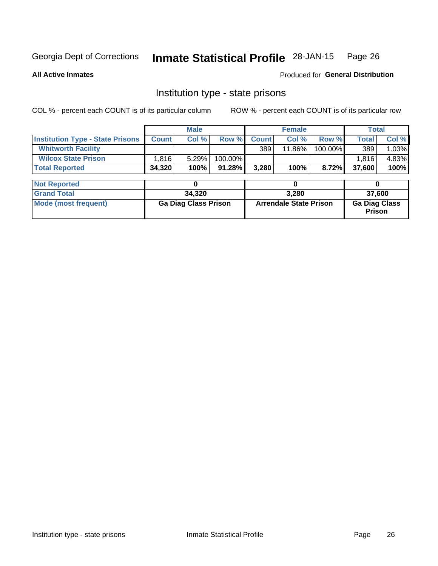#### Inmate Statistical Profile 28-JAN-15 Page 26

**All Active Inmates** 

Produced for General Distribution

# Institution type - state prisons

COL % - percent each COUNT is of its particular column

|                                         | <b>Male</b>                 |        |                               |              | <b>Female</b> |                                | <b>Total</b> |        |  |
|-----------------------------------------|-----------------------------|--------|-------------------------------|--------------|---------------|--------------------------------|--------------|--------|--|
| <b>Institution Type - State Prisons</b> | <b>Count</b>                | Col %  | Row %                         | <b>Count</b> | Col %         | Row %                          | Total        | Col %  |  |
| <b>Whitworth Facility</b>               |                             |        |                               | 389          | 11.86%        | 100.00%                        | 389          | 1.03%  |  |
| <b>Wilcox State Prison</b>              | 1,816                       | 5.29%  | 100.00%                       |              |               |                                | 1,816        | 4.83%  |  |
| <b>Total Reported</b>                   | 34,320                      | 100%   | 91.28%                        | 3,280        | 100%          | 8.72%                          | 37,600       | 100%   |  |
| <b>Not Reported</b>                     |                             | 0      |                               |              | 0             |                                | 0            |        |  |
|                                         |                             |        |                               |              |               |                                |              |        |  |
| <b>Grand Total</b>                      |                             | 34,320 |                               |              | 3,280         |                                |              | 37,600 |  |
| <b>Mode (most frequent)</b>             | <b>Ga Diag Class Prison</b> |        | <b>Arrendale State Prison</b> |              |               | <b>Ga Diag Class</b><br>Prison |              |        |  |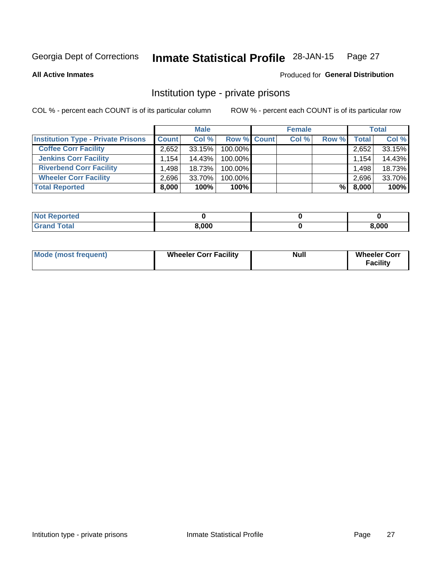#### **Inmate Statistical Profile 28-JAN-15** Page 27

**All Active Inmates** 

### Produced for General Distribution

# Institution type - private prisons

COL % - percent each COUNT is of its particular column

|                                           | <b>Male</b>          |        |                    | <b>Female</b> |       |       | <b>Total</b> |        |
|-------------------------------------------|----------------------|--------|--------------------|---------------|-------|-------|--------------|--------|
| <b>Institution Type - Private Prisons</b> | <b>Count</b>         | Col %  | <b>Row % Count</b> |               | Col % | Row % | Total        | Col %  |
| <b>Coffee Corr Facility</b>               | 2,652                | 33.15% | 100.00%            |               |       |       | 2,652        | 33.15% |
| <b>Jenkins Corr Facility</b>              | $1,154$ <sup>1</sup> | 14.43% | 100.00%            |               |       |       | 1,154        | 14.43% |
| <b>Riverbend Corr Facility</b>            | .498                 | 18.73% | 100.00%            |               |       |       | 1.498        | 18.73% |
| <b>Wheeler Corr Facility</b>              | 2.696                | 33.70% | 100.00%            |               |       |       | 2,696        | 33.70% |
| <b>Total Reported</b>                     | 8,000                | 100%   | $100\%$            |               |       | %Ⅰ    | 8,000        | 100%   |

| 'Noi<br><b>Reported</b> |       |       |
|-------------------------|-------|-------|
| <b>Total</b>            | 8,000 | 3,000 |

| <b>Mode (most frequent)</b> | <b>Wheeler Corr Facility</b> | <b>Null</b> | <b>Wheeler Corr</b><br><b>Facility</b> |
|-----------------------------|------------------------------|-------------|----------------------------------------|
|-----------------------------|------------------------------|-------------|----------------------------------------|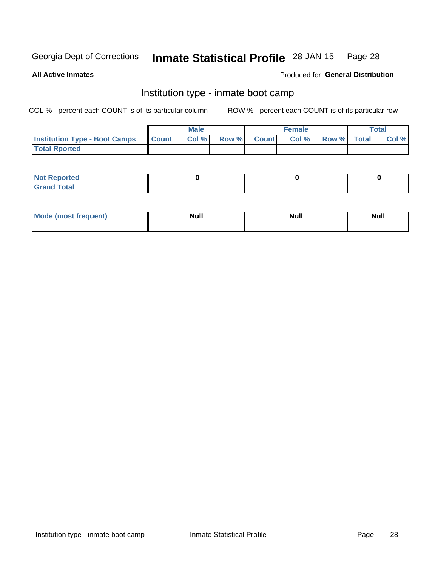#### **Inmate Statistical Profile 28-JAN-15** Page 28

**All Active Inmates** 

### Produced for General Distribution

# Institution type - inmate boot camp

COL % - percent each COUNT is of its particular column

|                                      |              | <b>Male</b> |       |              | <b>Female</b> |             | <b>Total</b> |
|--------------------------------------|--------------|-------------|-------|--------------|---------------|-------------|--------------|
| <b>Institution Type - Boot Camps</b> | <b>Count</b> | Col %       | Row % | <b>Count</b> | Col %         | Row % Total | Col %        |
| <b>Total Rported</b>                 |              |             |       |              |               |             |              |

| <b>Not Reported</b> |  |  |
|---------------------|--|--|
| <b>Total</b><br>Cro |  |  |

| Mod<br>uamo | Nul.<br>$- - - - - -$ | <b>Null</b> | <br>uu.<br>------ |
|-------------|-----------------------|-------------|-------------------|
|             |                       |             |                   |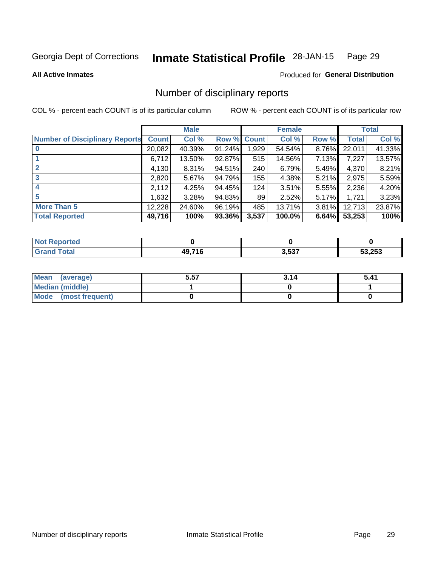#### Inmate Statistical Profile 28-JAN-15 Page 29

### **All Active Inmates**

### Produced for General Distribution

# Number of disciplinary reports

COL % - percent each COUNT is of its particular column

|                                       |              | <b>Male</b> |             |       | <b>Female</b> |       |              | <b>Total</b> |
|---------------------------------------|--------------|-------------|-------------|-------|---------------|-------|--------------|--------------|
| <b>Number of Disciplinary Reports</b> | <b>Count</b> | Col %       | Row % Count |       | Col %         | Row % | <b>Total</b> | Col %        |
|                                       | 20,082       | 40.39%      | 91.24%      | 1,929 | 54.54%        | 8.76% | 22,011       | 41.33%       |
|                                       | 6,712        | 13.50%      | $92.87\%$   | 515   | 14.56%        | 7.13% | 7,227        | 13.57%       |
|                                       | 4,130        | $8.31\%$    | 94.51%      | 240   | 6.79%         | 5.49% | 4,370        | 8.21%        |
| 3                                     | 2,820        | 5.67%       | 94.79%      | 155   | 4.38%         | 5.21% | 2,975        | 5.59%        |
|                                       | 2,112        | 4.25%       | 94.45%      | 124   | 3.51%         | 5.55% | 2,236        | 4.20%        |
| 5                                     | 1,632        | 3.28%       | 94.83%      | 89    | 2.52%         | 5.17% | 1,721        | 3.23%        |
| <b>More Than 5</b>                    | 12,228       | 24.60%      | 96.19%      | 485   | 13.71%        | 3.81% | 12,713       | 23.87%       |
| <b>Total Reported</b>                 | 49,716       | 100%        | 93.36%      | 3,537 | 100.0%        | 6.64% | 53,253       | 100%         |

| <b>Not Reported</b> |                      |       |        |
|---------------------|----------------------|-------|--------|
| Total               | 49 71 <i>6</i><br>۱b | 3,537 | 53,253 |

| Mean (average)         | 5.57 | 3.14 | 5.41 |
|------------------------|------|------|------|
| <b>Median (middle)</b> |      |      |      |
| Mode (most frequent)   |      |      |      |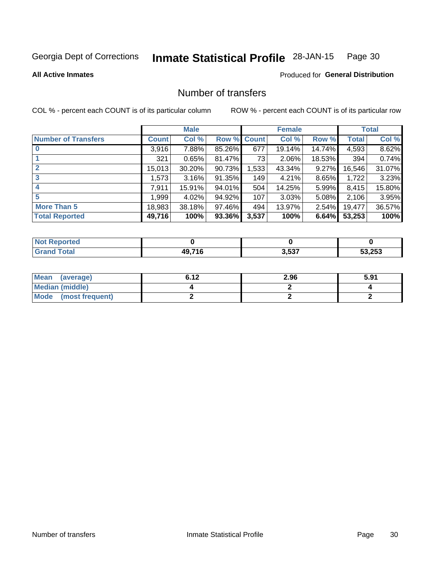#### **Inmate Statistical Profile 28-JAN-15** Page 30

**All Active Inmates** 

### Produced for General Distribution

# Number of transfers

COL % - percent each COUNT is of its particular column

|                            | <b>Male</b>  |        |             | <b>Female</b> |        |          | <b>Total</b> |        |
|----------------------------|--------------|--------|-------------|---------------|--------|----------|--------------|--------|
| <b>Number of Transfers</b> | <b>Count</b> | Col %  | Row % Count |               | Col %  | Row %    | Total        | Col %  |
| $\bf{0}$                   | 3,916        | 7.88%  | 85.26%      | 677           | 19.14% | 14.74%   | 4,593        | 8.62%  |
|                            | 321          | 0.65%  | 81.47%      | 73            | 2.06%  | 18.53%   | 394          | 0.74%  |
| $\mathbf{2}$               | 15,013       | 30.20% | $90.73\%$   | 1,533         | 43.34% | 9.27%    | 16,546       | 31.07% |
| 3                          | 1,573        | 3.16%  | 91.35%      | 149           | 4.21%  | 8.65%    | 1,722        | 3.23%  |
| 4                          | 7,911        | 15.91% | 94.01%      | 504           | 14.25% | 5.99%    | 8,415        | 15.80% |
| 5                          | 999. ا       | 4.02%  | 94.92%      | 107           | 3.03%  | $5.08\%$ | 2,106        | 3.95%  |
| <b>More Than 5</b>         | 18,983       | 38.18% | 97.46%      | 494           | 13.97% | $2.54\%$ | 19,477       | 36.57% |
| <b>Total Reported</b>      | 49,716       | 100%   | 93.36%      | 3,537         | 100%   | 6.64%    | 53,253       | 100%   |

| <b>Not Reported</b> |                      |       |        |
|---------------------|----------------------|-------|--------|
| Total               | 49 71 <i>6</i><br>۱b | 3,537 | 53,253 |

| Mean (average)         | 6.42 | 2.96 | 5.91 |
|------------------------|------|------|------|
| <b>Median (middle)</b> |      |      |      |
| Mode (most frequent)   |      |      |      |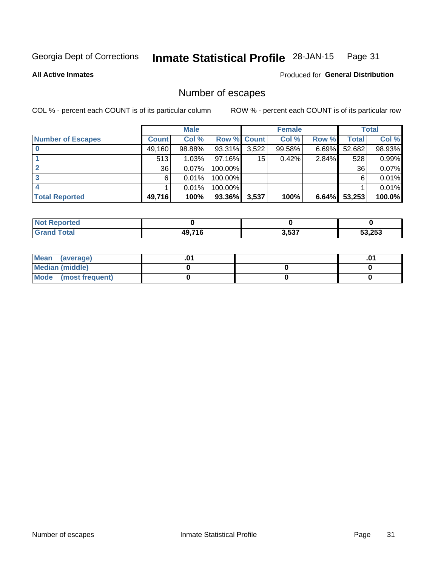#### **Inmate Statistical Profile 28-JAN-15** Page 31

**All Active Inmates** 

### Produced for General Distribution

# Number of escapes

COL % - percent each COUNT is of its particular column

|                          | <b>Male</b>  |        |             | <b>Female</b> |        |          | <b>Total</b> |           |
|--------------------------|--------------|--------|-------------|---------------|--------|----------|--------------|-----------|
| <b>Number of Escapes</b> | <b>Count</b> | Col %  | Row % Count |               | Col %  | Row %    | Total        | Col %     |
|                          | 49,160       | 98.88% | 93.31%      | 3,522         | 99.58% | $6.69\%$ | 52,682       | 98.93%    |
|                          | 513          | 1.03%  | 97.16%      | 15            | 0.42%  | 2.84%    | 528          | 0.99%     |
|                          | 36           | 0.07%  | 100.00%     |               |        |          | 36           | 0.07%     |
|                          | 6            | 0.01%  | 100.00%     |               |        |          | 6            | $0.01\%$  |
|                          |              | 0.01%  | 100.00%     |               |        |          |              | $0.01\%$  |
| <b>Total Reported</b>    | 49,716       | 100%   | 93.36%      | 3,537         | 100%   | 6.64%    | 53,253       | $100.0\%$ |

| <b>Not Reported</b> |        |       |        |
|---------------------|--------|-------|--------|
| <b>Grand Total</b>  | 49.716 | 3,537 | 53,253 |

| Mean (average)         |  | .0 <sup>4</sup> |
|------------------------|--|-----------------|
| <b>Median (middle)</b> |  |                 |
| Mode (most frequent)   |  |                 |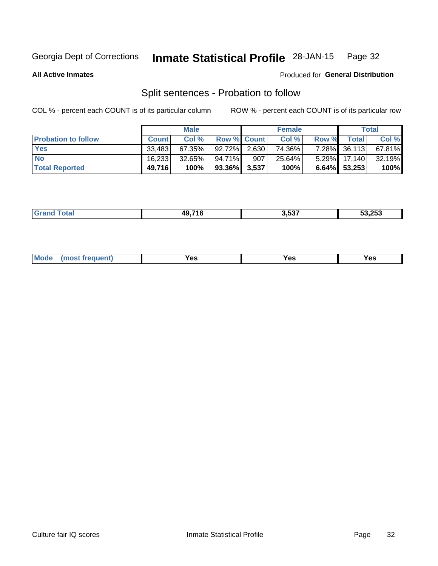#### **Inmate Statistical Profile 28-JAN-15** Page 32

**All Active Inmates** 

### Produced for General Distribution

# Split sentences - Probation to follow

COL % - percent each COUNT is of its particular column

|                            | <b>Male</b>  |           |                 | <b>Female</b> |        |          | <b>Total</b>    |           |
|----------------------------|--------------|-----------|-----------------|---------------|--------|----------|-----------------|-----------|
| <b>Probation to follow</b> | <b>Count</b> | Col%      | Row % Count     |               | Col %  | Row %    | <b>Total</b>    | Col %     |
| <b>Yes</b>                 | 33.483       | 67.35%    | 92.72% 2.630    |               | 74.36% |          | 7.28% 36,113    | $67.81\%$ |
| <b>No</b>                  | 16,233       | $32.65\%$ | 94.71%          | 907           | 25.64% | $5.29\%$ | 17.140          | $32.19\%$ |
| <b>Total Reported</b>      | 49,716       | 100%      | $93.36\%$ 3,537 |               | 100%   |          | $6.64\%$ 53,253 | 100%      |

| AO71C | .<br>ו נכ.נ | 53.253 |
|-------|-------------|--------|
|       |             |        |

| M<br>reauent)<br>/٥<br>$\sim$<br>v.,<br>.<br>w<br>$\cdot$ - $\cdot$ |
|---------------------------------------------------------------------|
|---------------------------------------------------------------------|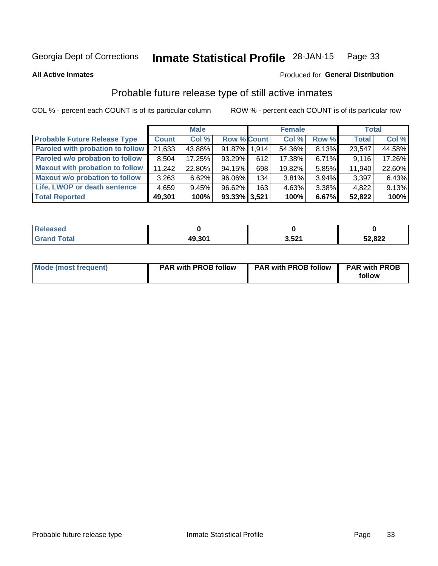#### **Inmate Statistical Profile 28-JAN-15** Page 33

### **All Active Inmates**

# Produced for General Distribution

# Probable future release type of still active inmates

COL % - percent each COUNT is of its particular column

|                                         | <b>Male</b>  |        |                    | <b>Female</b> |        |       | <b>Total</b> |        |
|-----------------------------------------|--------------|--------|--------------------|---------------|--------|-------|--------------|--------|
| <b>Probable Future Release Type</b>     | <b>Count</b> | Col %  | <b>Row % Count</b> |               | Col %  | Row % | <b>Total</b> | Col %  |
| <b>Paroled with probation to follow</b> | 21,633       | 43.88% | 91.87% 1.914       |               | 54.36% | 8.13% | 23,547       | 44.58% |
| Paroled w/o probation to follow         | 8,504        | 17.25% | 93.29%             | 612           | 17.38% | 6.71% | 9,116        | 17.26% |
| <b>Maxout with probation to follow</b>  | 11,242       | 22.80% | 94.15%             | 698           | 19.82% | 5.85% | 11,940       | 22.60% |
| <b>Maxout w/o probation to follow</b>   | 3,263        | 6.62%  | 96.06%             | 134           | 3.81%  | 3.94% | 3,397        | 6.43%  |
| Life, LWOP or death sentence            | 4,659        | 9.45%  | 96.62%             | 163           | 4.63%  | 3.38% | 4,822        | 9.13%  |
| <b>Total Reported</b>                   | 49,301       | 100%   | 93.33% 3,521       |               | 100%   | 6.67% | 52,822       | 100%   |

| eleased     |        |                     |        |
|-------------|--------|---------------------|--------|
| <b>otal</b> | 49.301 | <b>E94</b><br>ו געו | 52,822 |

| Mode (most frequent) | <b>PAR with PROB follow</b> | <b>PAR with PROB follow</b> | <b>PAR with PROB</b> |
|----------------------|-----------------------------|-----------------------------|----------------------|
|                      |                             |                             | follow               |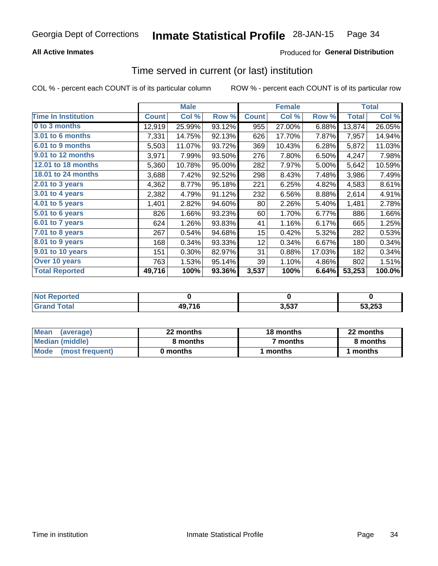### **All Active Inmates**

# **Produced for General Distribution**

# Time served in current (or last) institution

COL % - percent each COUNT is of its particular column

|                            |              | <b>Male</b> |        |              | <b>Female</b> |        |              | <b>Total</b> |
|----------------------------|--------------|-------------|--------|--------------|---------------|--------|--------------|--------------|
| <b>Time In Institution</b> | <b>Count</b> | Col %       | Row %  | <b>Count</b> | Col %         | Row %  | <b>Total</b> | Col %        |
| 0 to 3 months              | 12,919       | 25.99%      | 93.12% | 955          | 27.00%        | 6.88%  | 13,874       | 26.05%       |
| <b>3.01 to 6 months</b>    | 7,331        | 14.75%      | 92.13% | 626          | 17.70%        | 7.87%  | 7,957        | 14.94%       |
| 6.01 to 9 months           | 5,503        | 11.07%      | 93.72% | 369          | 10.43%        | 6.28%  | 5,872        | 11.03%       |
| 9.01 to 12 months          | 3,971        | 7.99%       | 93.50% | 276          | 7.80%         | 6.50%  | 4,247        | 7.98%        |
| <b>12.01 to 18 months</b>  | 5,360        | 10.78%      | 95.00% | 282          | 7.97%         | 5.00%  | 5,642        | 10.59%       |
| <b>18.01 to 24 months</b>  | 3,688        | 7.42%       | 92.52% | 298          | 8.43%         | 7.48%  | 3,986        | 7.49%        |
| $2.01$ to 3 years          | 4,362        | 8.77%       | 95.18% | 221          | 6.25%         | 4.82%  | 4,583        | 8.61%        |
| $3.01$ to 4 years          | 2,382        | 4.79%       | 91.12% | 232          | 6.56%         | 8.88%  | 2,614        | 4.91%        |
| 4.01 to 5 years            | 1,401        | 2.82%       | 94.60% | 80           | 2.26%         | 5.40%  | 1,481        | 2.78%        |
| 5.01 to 6 years            | 826          | 1.66%       | 93.23% | 60           | 1.70%         | 6.77%  | 886          | 1.66%        |
| 6.01 to 7 years            | 624          | 1.26%       | 93.83% | 41           | 1.16%         | 6.17%  | 665          | 1.25%        |
| $7.01$ to 8 years          | 267          | 0.54%       | 94.68% | 15           | 0.42%         | 5.32%  | 282          | 0.53%        |
| 8.01 to 9 years            | 168          | 0.34%       | 93.33% | 12           | 0.34%         | 6.67%  | 180          | 0.34%        |
| 9.01 to 10 years           | 151          | 0.30%       | 82.97% | 31           | 0.88%         | 17.03% | 182          | 0.34%        |
| Over 10 years              | 763          | 1.53%       | 95.14% | 39           | 1.10%         | 4.86%  | 802          | 1.51%        |
| <b>Total Reported</b>      | 49,716       | 100%        | 93.36% | 3,537        | 100%          | 6.64%  | 53,253       | 100.0%       |

| neo<br>NO |        |      |        |
|-----------|--------|------|--------|
|           | 49,716 | 3537 | 53.253 |

| <b>Mean</b><br>(average) | 22 months | 18 months | 22 months |
|--------------------------|-----------|-----------|-----------|
| Median (middle)          | 8 months  | 7 months  | 8 months  |
| Mode (most frequent)     | 0 months  | months    | l months  |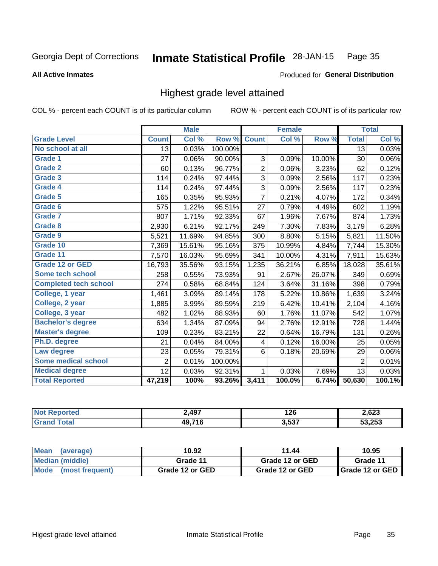### **All Active Inmates**

### Produced for General Distribution

# Highest grade level attained

COL % - percent each COUNT is of its particular column

|                              |                 | <b>Male</b> |         |                | <b>Female</b> |        |                 | <b>Total</b> |
|------------------------------|-----------------|-------------|---------|----------------|---------------|--------|-----------------|--------------|
| <b>Grade Level</b>           | <b>Count</b>    | Col %       | Row %   | <b>Count</b>   | Col %         | Row %  | <b>Total</b>    | Col %        |
| No school at all             | $\overline{13}$ | 0.03%       | 100.00% |                |               |        | $\overline{13}$ | 0.03%        |
| <b>Grade 1</b>               | 27              | 0.06%       | 90.00%  | 3              | 0.09%         | 10.00% | 30              | 0.06%        |
| <b>Grade 2</b>               | 60              | 0.13%       | 96.77%  | $\overline{2}$ | 0.06%         | 3.23%  | 62              | 0.12%        |
| <b>Grade 3</b>               | 114             | 0.24%       | 97.44%  | 3              | 0.09%         | 2.56%  | 117             | 0.23%        |
| Grade 4                      | 114             | 0.24%       | 97.44%  | 3              | 0.09%         | 2.56%  | 117             | 0.23%        |
| Grade 5                      | 165             | 0.35%       | 95.93%  | $\overline{7}$ | 0.21%         | 4.07%  | 172             | 0.34%        |
| Grade 6                      | 575             | 1.22%       | 95.51%  | 27             | 0.79%         | 4.49%  | 602             | 1.19%        |
| Grade 7                      | 807             | 1.71%       | 92.33%  | 67             | 1.96%         | 7.67%  | 874             | 1.73%        |
| Grade 8                      | 2,930           | 6.21%       | 92.17%  | 249            | 7.30%         | 7.83%  | 3,179           | 6.28%        |
| Grade 9                      | 5,521           | 11.69%      | 94.85%  | 300            | 8.80%         | 5.15%  | 5,821           | 11.50%       |
| Grade 10                     | 7,369           | 15.61%      | 95.16%  | 375            | 10.99%        | 4.84%  | 7,744           | 15.30%       |
| Grade 11                     | 7,570           | 16.03%      | 95.69%  | 341            | 10.00%        | 4.31%  | 7,911           | 15.63%       |
| <b>Grade 12 or GED</b>       | 16,793          | 35.56%      | 93.15%  | 1,235          | 36.21%        | 6.85%  | 18,028          | 35.61%       |
| Some tech school             | 258             | 0.55%       | 73.93%  | 91             | 2.67%         | 26.07% | 349             | 0.69%        |
| <b>Completed tech school</b> | 274             | 0.58%       | 68.84%  | 124            | 3.64%         | 31.16% | 398             | 0.79%        |
| College, 1 year              | 1,461           | 3.09%       | 89.14%  | 178            | 5.22%         | 10.86% | 1,639           | 3.24%        |
| College, 2 year              | 1,885           | 3.99%       | 89.59%  | 219            | 6.42%         | 10.41% | 2,104           | 4.16%        |
| College, 3 year              | 482             | 1.02%       | 88.93%  | 60             | 1.76%         | 11.07% | 542             | 1.07%        |
| <b>Bachelor's degree</b>     | 634             | 1.34%       | 87.09%  | 94             | 2.76%         | 12.91% | 728             | 1.44%        |
| <b>Master's degree</b>       | 109             | 0.23%       | 83.21%  | 22             | 0.64%         | 16.79% | 131             | 0.26%        |
| Ph.D. degree                 | 21              | 0.04%       | 84.00%  | 4              | 0.12%         | 16.00% | 25              | 0.05%        |
| Law degree                   | 23              | 0.05%       | 79.31%  | 6              | 0.18%         | 20.69% | 29              | $0.06\%$     |
| <b>Some medical school</b>   | $\overline{2}$  | 0.01%       | 100.00% |                |               |        | $\overline{2}$  | 0.01%        |
| <b>Medical degree</b>        | 12              | 0.03%       | 92.31%  | 1              | 0.03%         | 7.69%  | 13              | 0.03%        |
| <b>Total Reported</b>        | 47,219          | 100%        | 93.26%  | 3,411          | 100.0%        | 6.74%  | 50,630          | 100.1%       |

| 2,497    | 126            | 2,623  |
|----------|----------------|--------|
| $AQ$ 716 | 2527<br>. J.J. | 53.253 |

| <b>Mean</b><br>(average)       | 10.92           | 11.44           | 10.95           |
|--------------------------------|-----------------|-----------------|-----------------|
| Median (middle)                | Grade 11        | Grade 12 or GED | Grade 11        |
| <b>Mode</b><br>(most frequent) | Grade 12 or GED | Grade 12 or GED | Grade 12 or GED |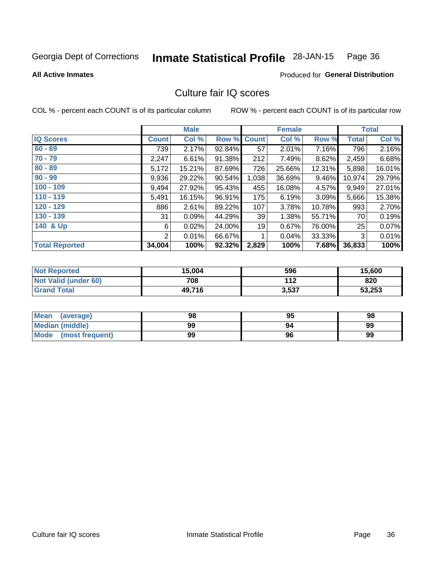#### **Inmate Statistical Profile 28-JAN-15** Page 36

### **All Active Inmates**

# Produced for General Distribution

# Culture fair IQ scores

COL % - percent each COUNT is of its particular column

|                       |                | <b>Male</b> |        |              | <b>Female</b> |        |        | <b>Total</b> |
|-----------------------|----------------|-------------|--------|--------------|---------------|--------|--------|--------------|
| <b>IQ Scores</b>      | <b>Count</b>   | Col %       | Row %  | <b>Count</b> | Col %         | Row %  | Total  | Col %        |
| $60 - 69$             | 739            | 2.17%       | 92.84% | 57           | 2.01%         | 7.16%  | 796    | 2.16%        |
| $70 - 79$             | 2,247          | 6.61%       | 91.38% | 212          | 7.49%         | 8.62%  | 2,459  | 6.68%        |
| $80 - 89$             | 5,172          | 15.21%      | 87.69% | 726          | 25.66%        | 12.31% | 5,898  | 16.01%       |
| $90 - 99$             | 9,936          | 29.22%      | 90.54% | 1,038        | 36.69%        | 9.46%  | 10,974 | 29.79%       |
| $100 - 109$           | 9,494          | 27.92%      | 95.43% | 455          | 16.08%        | 4.57%  | 9,949  | 27.01%       |
| $110 - 119$           | 5,491          | 16.15%      | 96.91% | 175          | 6.19%         | 3.09%  | 5,666  | 15.38%       |
| 120 - 129             | 886            | 2.61%       | 89.22% | 107          | 3.78%         | 10.78% | 993    | 2.70%        |
| 130 - 139             | 31             | 0.09%       | 44.29% | 39           | 1.38%         | 55.71% | 70     | 0.19%        |
| 140 & Up              | 6              | 0.02%       | 24.00% | 19           | 0.67%         | 76.00% | 25     | 0.07%        |
|                       | $\overline{2}$ | 0.01%       | 66.67% | 1            | 0.04%         | 33.33% | 3      | 0.01%        |
| <b>Total Reported</b> | 34,004         | 100%        | 92.32% | 2,829        | 100%          | 7.68%  | 36,833 | 100%         |

| <b>Not Reported</b>  | 15,004 | 596   | 15,600 |
|----------------------|--------|-------|--------|
| Not Valid (under 60) | 708    | 112   | 820    |
| <b>Grand Total</b>   | 49,716 | 3,537 | 53,253 |

| <b>Mean</b><br>(average) | 98 | 95 | 98 |
|--------------------------|----|----|----|
| <b>Median (middle)</b>   | 99 |    | 99 |
| Mode (most frequent)     | 99 | 96 | 99 |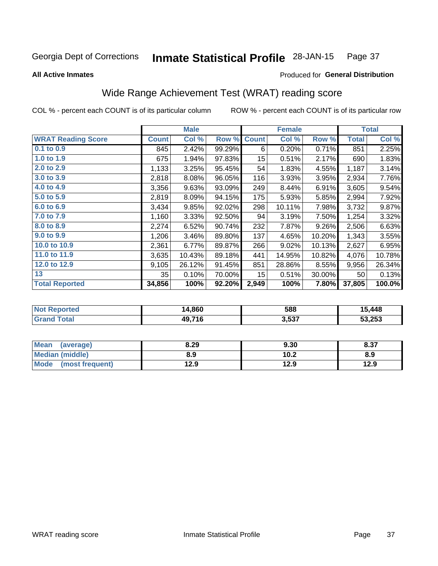#### **Inmate Statistical Profile 28-JAN-15** Page 37

Produced for General Distribution

### **All Active Inmates**

# Wide Range Achievement Test (WRAT) reading score

COL % - percent each COUNT is of its particular column

|                           |              | <b>Male</b> |        |                 | <b>Female</b> |        |              | <b>Total</b> |
|---------------------------|--------------|-------------|--------|-----------------|---------------|--------|--------------|--------------|
| <b>WRAT Reading Score</b> | <b>Count</b> | Col %       | Row %  | <b>Count</b>    | Col %         | Row %  | <b>Total</b> | Col %        |
| $0.1$ to $0.9$            | 845          | 2.42%       | 99.29% | 6               | 0.20%         | 0.71%  | 851          | 2.25%        |
| 1.0 to 1.9                | 675          | 1.94%       | 97.83% | 15 <sub>1</sub> | 0.51%         | 2.17%  | 690          | 1.83%        |
| 2.0 to 2.9                | 1,133        | 3.25%       | 95.45% | 54              | 1.83%         | 4.55%  | 1,187        | 3.14%        |
| 3.0 to 3.9                | 2,818        | 8.08%       | 96.05% | 116             | 3.93%         | 3.95%  | 2,934        | 7.76%        |
| 4.0 to 4.9                | 3,356        | 9.63%       | 93.09% | 249             | 8.44%         | 6.91%  | 3,605        | 9.54%        |
| 5.0 to 5.9                | 2,819        | 8.09%       | 94.15% | 175             | 5.93%         | 5.85%  | 2,994        | 7.92%        |
| 6.0 to 6.9                | 3,434        | 9.85%       | 92.02% | 298             | 10.11%        | 7.98%  | 3,732        | 9.87%        |
| 7.0 to 7.9                | 1,160        | 3.33%       | 92.50% | 94              | 3.19%         | 7.50%  | 1,254        | 3.32%        |
| 8.0 to 8.9                | 2,274        | 6.52%       | 90.74% | 232             | 7.87%         | 9.26%  | 2,506        | 6.63%        |
| 9.0 to 9.9                | 1,206        | 3.46%       | 89.80% | 137             | 4.65%         | 10.20% | 1,343        | 3.55%        |
| 10.0 to 10.9              | 2,361        | 6.77%       | 89.87% | 266             | 9.02%         | 10.13% | 2,627        | 6.95%        |
| 11.0 to 11.9              | 3,635        | 10.43%      | 89.18% | 441             | 14.95%        | 10.82% | 4,076        | 10.78%       |
| 12.0 to 12.9              | 9,105        | 26.12%      | 91.45% | 851             | 28.86%        | 8.55%  | 9,956        | 26.34%       |
| 13                        | 35           | 0.10%       | 70.00% | 15              | 0.51%         | 30.00% | 50           | 0.13%        |
| <b>Total Reported</b>     | 34,856       | 100%        | 92.20% | 2,949           | 100%          | 7.80%  | 37,805       | 100.0%       |

| prtea<br>NO.      | 14,860 | 588   | 15,448 |
|-------------------|--------|-------|--------|
| $T \sim 4 \sim 1$ | 49,716 | 3,537 | 53,253 |

| <b>Mean</b><br>(average) | 8.29 | 9.30 | 8.37 |
|--------------------------|------|------|------|
| <b>Median (middle)</b>   | 8.9  | 10.2 | 8.9  |
| Mode (most frequent)     | 12.9 | 12.9 | 12.9 |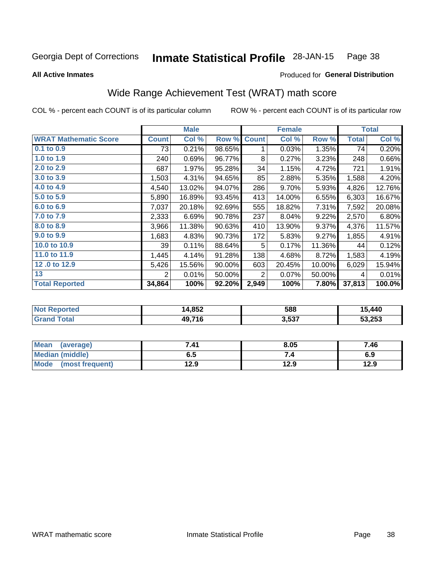#### **Inmate Statistical Profile 28-JAN-15** Page 38

### **All Active Inmates**

## Produced for General Distribution

## Wide Range Achievement Test (WRAT) math score

COL % - percent each COUNT is of its particular column

|                              |              | <b>Male</b> |        |                | <b>Female</b> |        |              | <b>Total</b> |
|------------------------------|--------------|-------------|--------|----------------|---------------|--------|--------------|--------------|
| <b>WRAT Mathematic Score</b> | <b>Count</b> | Col %       | Row %  | <b>Count</b>   | Col %         | Row %  | <b>Total</b> | Col %        |
| 0.1 to 0.9                   | 73           | 0.21%       | 98.65% | 1              | 0.03%         | 1.35%  | 74           | 0.20%        |
| 1.0 to 1.9                   | 240          | 0.69%       | 96.77% | 8              | 0.27%         | 3.23%  | 248          | 0.66%        |
| 2.0 to 2.9                   | 687          | 1.97%       | 95.28% | 34             | 1.15%         | 4.72%  | 721          | 1.91%        |
| 3.0 to 3.9                   | 1,503        | 4.31%       | 94.65% | 85             | 2.88%         | 5.35%  | 1,588        | 4.20%        |
| 4.0 to 4.9                   | 4,540        | 13.02%      | 94.07% | 286            | 9.70%         | 5.93%  | 4,826        | 12.76%       |
| 5.0 to 5.9                   | 5,890        | 16.89%      | 93.45% | 413            | 14.00%        | 6.55%  | 6,303        | 16.67%       |
| 6.0 to 6.9                   | 7,037        | 20.18%      | 92.69% | 555            | 18.82%        | 7.31%  | 7,592        | 20.08%       |
| 7.0 to 7.9                   | 2,333        | 6.69%       | 90.78% | 237            | 8.04%         | 9.22%  | 2,570        | 6.80%        |
| 8.0 to 8.9                   | 3,966        | 11.38%      | 90.63% | 410            | 13.90%        | 9.37%  | 4,376        | 11.57%       |
| 9.0 to 9.9                   | 1,683        | 4.83%       | 90.73% | 172            | 5.83%         | 9.27%  | 1,855        | 4.91%        |
| 10.0 to 10.9                 | 39           | 0.11%       | 88.64% | 5              | 0.17%         | 11.36% | 44           | 0.12%        |
| 11.0 to 11.9                 | 1,445        | 4.14%       | 91.28% | 138            | 4.68%         | 8.72%  | 1,583        | 4.19%        |
| 12.0 to 12.9                 | 5,426        | 15.56%      | 90.00% | 603            | 20.45%        | 10.00% | 6,029        | 15.94%       |
| 13                           | 2            | 0.01%       | 50.00% | $\overline{2}$ | 0.07%         | 50.00% | 4            | 0.01%        |
| <b>Total Reported</b>        | 34,864       | 100%        | 92.20% | 2,949          | 100%          | 7.80%  | 37,813       | 100.0%       |

| <u>າrteo</u><br>' NOT | 4,852<br>ıл | 588   | 15,440 |
|-----------------------|-------------|-------|--------|
| $T$ $A$               | 49,716      | 3,537 | 53,253 |

| Mean<br>(average)      | 7.41 | 8.05 | 7.46 |
|------------------------|------|------|------|
| <b>Median (middle)</b> | ხ. J |      | 6.9  |
| Mode (most frequent)   | 12.9 | 12.9 | 12.9 |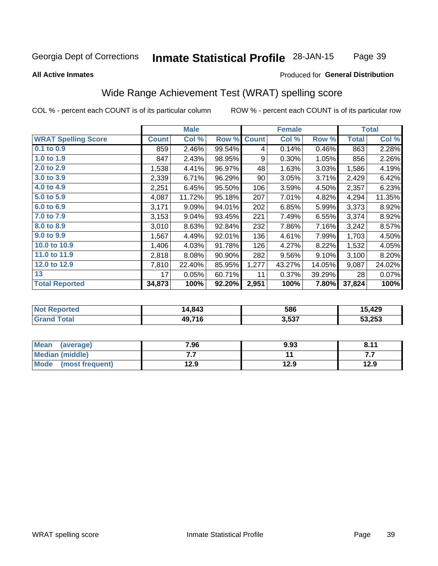#### **Inmate Statistical Profile 28-JAN-15** Page 39

### **All Active Inmates**

### Produced for General Distribution

## Wide Range Achievement Test (WRAT) spelling score

COL % - percent each COUNT is of its particular column

|                            |              | <b>Male</b> |        |              | <b>Female</b> |        |              | <b>Total</b> |
|----------------------------|--------------|-------------|--------|--------------|---------------|--------|--------------|--------------|
| <b>WRAT Spelling Score</b> | <b>Count</b> | Col %       | Row %  | <b>Count</b> | Col %         | Row %  | <b>Total</b> | Col %        |
| $0.1$ to $0.9$             | 859          | 2.46%       | 99.54% | 4            | 0.14%         | 0.46%  | 863          | 2.28%        |
| 1.0 to 1.9                 | 847          | 2.43%       | 98.95% | 9            | 0.30%         | 1.05%  | 856          | 2.26%        |
| 2.0 to 2.9                 | 1,538        | 4.41%       | 96.97% | 48           | 1.63%         | 3.03%  | 1,586        | 4.19%        |
| 3.0 to 3.9                 | 2,339        | 6.71%       | 96.29% | 90           | 3.05%         | 3.71%  | 2,429        | 6.42%        |
| 4.0 to 4.9                 | 2,251        | 6.45%       | 95.50% | 106          | 3.59%         | 4.50%  | 2,357        | 6.23%        |
| 5.0 to 5.9                 | 4,087        | 11.72%      | 95.18% | 207          | 7.01%         | 4.82%  | 4,294        | 11.35%       |
| 6.0 to 6.9                 | 3,171        | 9.09%       | 94.01% | 202          | 6.85%         | 5.99%  | 3,373        | 8.92%        |
| 7.0 to 7.9                 | 3,153        | 9.04%       | 93.45% | 221          | 7.49%         | 6.55%  | 3,374        | 8.92%        |
| 8.0 to 8.9                 | 3,010        | 8.63%       | 92.84% | 232          | 7.86%         | 7.16%  | 3,242        | 8.57%        |
| 9.0 to 9.9                 | 1,567        | 4.49%       | 92.01% | 136          | 4.61%         | 7.99%  | 1,703        | 4.50%        |
| 10.0 to 10.9               | 1,406        | 4.03%       | 91.78% | 126          | 4.27%         | 8.22%  | 1,532        | 4.05%        |
| 11.0 to 11.9               | 2,818        | 8.08%       | 90.90% | 282          | 9.56%         | 9.10%  | 3,100        | 8.20%        |
| 12.0 to 12.9               | 7,810        | 22.40%      | 85.95% | 1,277        | 43.27%        | 14.05% | 9,087        | 24.02%       |
| 13                         | 17           | 0.05%       | 60.71% | 11           | 0.37%         | 39.29% | 28           | 0.07%        |
| <b>Total Reported</b>      | 34,873       | 100%        | 92.20% | 2,951        | 100%          | 7.80%  | 37,824       | 100%         |

| <b>Not Reported</b>          | 14,843 | 586   | 15,429 |
|------------------------------|--------|-------|--------|
| <b>Total</b><br><b>Grand</b> | 49,716 | 3,537 | 53,253 |

| <b>Mean</b><br>(average) | 7.96 | 9.93 | 8.11 |
|--------------------------|------|------|------|
| Median (middle)          | .    |      | .    |
| Mode<br>(most frequent)  | 12.9 | 12.9 | 12.9 |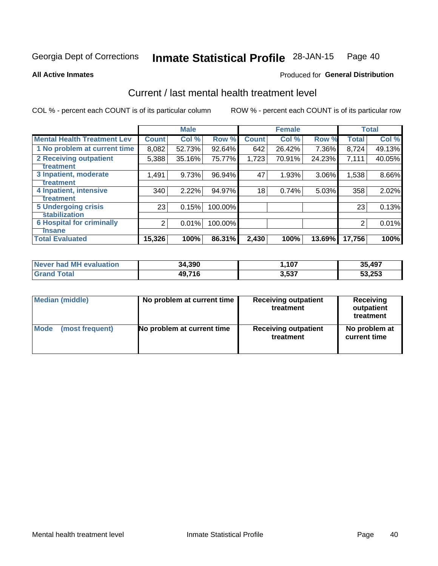#### Inmate Statistical Profile 28-JAN-15 Page 40

### **All Active Inmates**

## **Produced for General Distribution**

## Current / last mental health treatment level

COL % - percent each COUNT is of its particular column

|                                    |                | <b>Male</b> |         |              | <b>Female</b> |          |              | <b>Total</b> |
|------------------------------------|----------------|-------------|---------|--------------|---------------|----------|--------------|--------------|
| <b>Mental Health Treatment Lev</b> | <b>Count</b>   | Col %       | Row %   | <b>Count</b> | Col %         | Row %    | <b>Total</b> | Col %        |
| 1 No problem at current time       | 8,082          | 52.73%      | 92.64%  | 642          | 26.42%        | 7.36%    | 8,724        | 49.13%       |
| 2 Receiving outpatient             | 5,388          | 35.16%      | 75.77%  | 1,723        | 70.91%        | 24.23%   | 7,111        | 40.05%       |
| <b>Treatment</b>                   |                |             |         |              |               |          |              |              |
| 3 Inpatient, moderate              | 1,491          | 9.73%       | 96.94%  | 47           | 1.93%         | $3.06\%$ | 1,538        | 8.66%        |
| Treatment                          |                |             |         |              |               |          |              |              |
| 4 Inpatient, intensive             | 340            | 2.22%       | 94.97%  | 18           | 0.74%         | 5.03%    | 358          | 2.02%        |
| <b>Treatment</b>                   |                |             |         |              |               |          |              |              |
| <b>5 Undergoing crisis</b>         | 23             | 0.15%       | 100.00% |              |               |          | 23           | 0.13%        |
| <b>stabilization</b>               |                |             |         |              |               |          |              |              |
| <b>6 Hospital for criminally</b>   | $\overline{2}$ | 0.01%       | 100.00% |              |               |          | 2            | 0.01%        |
| <b>Tinsane</b>                     |                |             |         |              |               |          |              |              |
| <b>Total Evaluated</b>             | 15,326         | 100%        | 86.31%  | 2,430        | 100%          | 13.69%   | 17,756       | 100%         |

| Never had MH evaluation | 34,390 | ,107  | 35,497 |
|-------------------------|--------|-------|--------|
| <b>Grand Total</b>      | 49,716 | 3,537 | 53,253 |

| Median (middle) | No problem at current time | <b>Receiving outpatient</b><br>treatment | <b>Receiving</b><br>outpatient<br>treatment |  |  |
|-----------------|----------------------------|------------------------------------------|---------------------------------------------|--|--|
| <b>Mode</b>     | No problem at current time | <b>Receiving outpatient</b>              | No problem at                               |  |  |
| (most frequent) |                            | treatment                                | current time                                |  |  |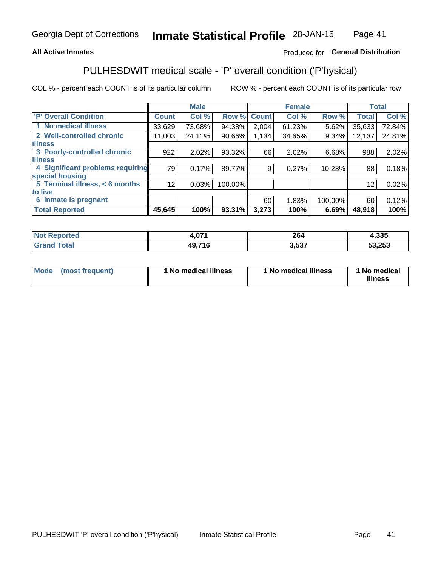## **All Active Inmates**

## Produced for General Distribution

## PULHESDWIT medical scale - 'P' overall condition ('P'hysical)

COL % - percent each COUNT is of its particular column

|                                  |                 | <b>Male</b> |         |              | <b>Female</b> |         |              | <b>Total</b> |
|----------------------------------|-----------------|-------------|---------|--------------|---------------|---------|--------------|--------------|
| 'P' Overall Condition            | <b>Count</b>    | Col %       | Row %   | <b>Count</b> | Col %         | Row %   | <b>Total</b> | Col %        |
| 1 No medical illness             | 33,629          | 73.68%      | 94.38%  | 2,004        | 61.23%        | 5.62%   | 35,633       | 72.84%       |
| 2 Well-controlled chronic        | 11,003          | 24.11%      | 90.66%  | 1.134        | 34.65%        | 9.34%   | 12,137       | 24.81%       |
| <b>illness</b>                   |                 |             |         |              |               |         |              |              |
| 3 Poorly-controlled chronic      | 922             | 2.02%       | 93.32%  | 66           | 2.02%         | 6.68%   | 988          | 2.02%        |
| <b>lillness</b>                  |                 |             |         |              |               |         |              |              |
| 4 Significant problems requiring | 79              | 0.17%       | 89.77%  | 9            | 0.27%         | 10.23%  | 88           | 0.18%        |
| special housing                  |                 |             |         |              |               |         |              |              |
| 5 Terminal illness, < 6 months   | 12 <sub>1</sub> | 0.03%       | 100.00% |              |               |         | 12           | 0.02%        |
| to live                          |                 |             |         |              |               |         |              |              |
| 6 Inmate is pregnant             |                 |             |         | 60           | 1.83%         | 100.00% | 60           | 0.12%        |
| <b>Total Reported</b>            | 45,645          | 100%        | 93.31%  | 3,273        | 100%          | 6.69%   | 48,918       | 100%         |

| тео | .071           | 20/<br>– ∪∸ | つつに<br>.ວວວ |
|-----|----------------|-------------|-------------|
|     | 49 71 <i>6</i> | -07         | 53,253      |

| Mode | (most frequent) | 1 No medical illness | 1 No medical illness | 1 No medical<br>illness |
|------|-----------------|----------------------|----------------------|-------------------------|
|------|-----------------|----------------------|----------------------|-------------------------|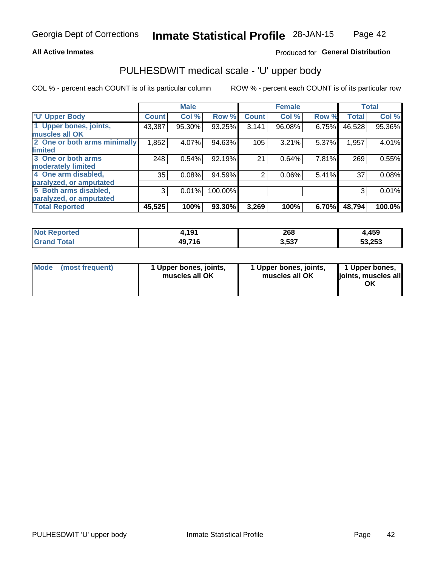### **All Active Inmates**

## Produced for General Distribution

## PULHESDWIT medical scale - 'U' upper body

COL % - percent each COUNT is of its particular column

|                              |              | <b>Male</b> |         |                | <b>Female</b> |       |              | <b>Total</b> |
|------------------------------|--------------|-------------|---------|----------------|---------------|-------|--------------|--------------|
| <b>U' Upper Body</b>         | <b>Count</b> | Col %       | Row %   | <b>Count</b>   | Col %         | Row % | <b>Total</b> | Col %        |
| 1 Upper bones, joints,       | 43,387       | 95.30%      | 93.25%  | 3,141          | 96.08%        | 6.75% | 46,528       | 95.36%       |
| muscles all OK               |              |             |         |                |               |       |              |              |
| 2 One or both arms minimally | 1,852        | 4.07%       | 94.63%  | 105            | 3.21%         | 5.37% | 1,957        | 4.01%        |
| limited                      |              |             |         |                |               |       |              |              |
| 3 One or both arms           | 248          | 0.54%       | 92.19%  | 21             | 0.64%         | 7.81% | 269          | 0.55%        |
| <b>moderately limited</b>    |              |             |         |                |               |       |              |              |
| 4 One arm disabled,          | 35           | 0.08%       | 94.59%  | $\overline{2}$ | 0.06%         | 5.41% | 37           | 0.08%        |
| paralyzed, or amputated      |              |             |         |                |               |       |              |              |
| 5 Both arms disabled,        | 3            | 0.01%       | 100.00% |                |               |       | 3            | 0.01%        |
| paralyzed, or amputated      |              |             |         |                |               |       |              |              |
| <b>Total Reported</b>        | 45,525       | 100%        | 93.30%  | 3,269          | 100%          | 6.70% | 48,794       | 100.0%       |

| <b>Not Reported</b>          | 1,191  | 268   | <b>1,459</b> |
|------------------------------|--------|-------|--------------|
| <b>Total</b><br><b>Grand</b> | 49,716 | 3,537 | 53,253       |

|  | Mode (most frequent) | 1 Upper bones, joints,<br>muscles all OK | 1 Upper bones, joints,<br>muscles all OK | 1 Upper bones,<br>joints, muscles all<br>ΟK |
|--|----------------------|------------------------------------------|------------------------------------------|---------------------------------------------|
|--|----------------------|------------------------------------------|------------------------------------------|---------------------------------------------|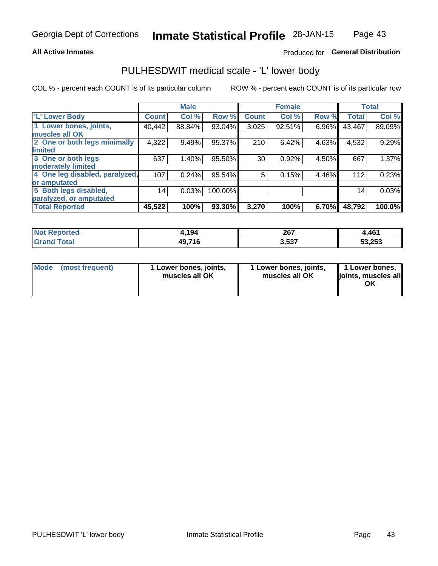### **All Active Inmates**

### Produced for General Distribution

## PULHESDWIT medical scale - 'L' lower body

COL % - percent each COUNT is of its particular column

|                                |              | <b>Male</b> |         |              | <b>Female</b> |       |              | <b>Total</b> |
|--------------------------------|--------------|-------------|---------|--------------|---------------|-------|--------------|--------------|
| 'L' Lower Body                 | <b>Count</b> | Col %       | Row %   | <b>Count</b> | Col %         | Row % | <b>Total</b> | Col %        |
| 1 Lower bones, joints,         | 40,442       | 88.84%      | 93.04%  | 3,025        | 92.51%        | 6.96% | 43,467       | 89.09%       |
| muscles all OK                 |              |             |         |              |               |       |              |              |
| 2 One or both legs minimally   | 4,322        | 9.49%       | 95.37%  | 210          | 6.42%         | 4.63% | 4,532        | 9.29%        |
| limited                        |              |             |         |              |               |       |              |              |
| 3 One or both legs             | 637          | 1.40%       | 95.50%  | 30           | 0.92%         | 4.50% | 667          | 1.37%        |
| moderately limited             |              |             |         |              |               |       |              |              |
| 4 One leg disabled, paralyzed, | 107          | 0.24%       | 95.54%  | 5            | 0.15%         | 4.46% | 112          | 0.23%        |
| or amputated                   |              |             |         |              |               |       |              |              |
| 5 Both legs disabled,          | 14           | 0.03%       | 100.00% |              |               |       | 14           | 0.03%        |
| paralyzed, or amputated        |              |             |         |              |               |       |              |              |
| <b>Total Reported</b>          | 45,522       | 100%        | 93.30%  | 3,270        | 100%          | 6.70% | 48,792       | 100.0%       |

| <b>Not Reported</b>   | 4,194  | 267   | 4,461  |
|-----------------------|--------|-------|--------|
| <b>Total</b><br>Grand | 49,716 | 3,537 | 53,253 |

| Mode (most frequent) | I Lower bones, joints,<br>muscles all OK | 1 Lower bones, joints,<br>muscles all OK | 1 Lower bones,<br>joints, muscles all<br>ΟK |
|----------------------|------------------------------------------|------------------------------------------|---------------------------------------------|
|----------------------|------------------------------------------|------------------------------------------|---------------------------------------------|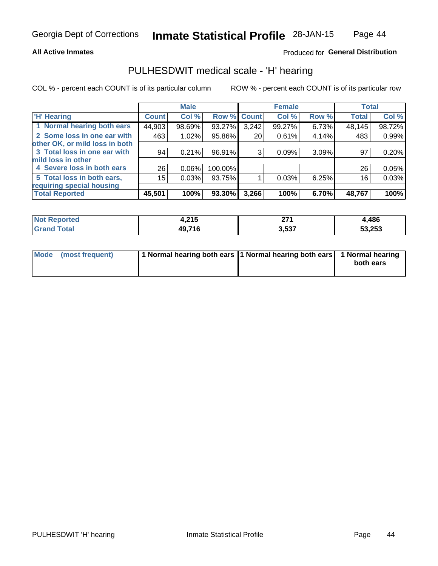### **All Active Inmates**

## Produced for General Distribution

## PULHESDWIT medical scale - 'H' hearing

COL % - percent each COUNT is of its particular column

|                                |              | <b>Male</b> |             |       | <b>Female</b> |       | <b>Total</b> |        |
|--------------------------------|--------------|-------------|-------------|-------|---------------|-------|--------------|--------|
| <b>'H' Hearing</b>             | <b>Count</b> | Col %       | Row % Count |       | Col %         | Row % | <b>Total</b> | Col %  |
| 1 Normal hearing both ears     | 44,903       | 98.69%      | 93.27%      | 3,242 | 99.27%        | 6.73% | 48,145       | 98.72% |
| 2 Some loss in one ear with    | 463          | 1.02%       | 95.86%      | 20    | 0.61%         | 4.14% | 483          | 0.99%  |
| other OK, or mild loss in both |              |             |             |       |               |       |              |        |
| 3 Total loss in one ear with   | 94           | 0.21%       | 96.91%      | 3     | 0.09%         | 3.09% | 97           | 0.20%  |
| mild loss in other             |              |             |             |       |               |       |              |        |
| 4 Severe loss in both ears     | 26           | 0.06%       | 100.00%     |       |               |       | 26           | 0.05%  |
| 5 Total loss in both ears,     | 15           | 0.03%       | 93.75%      |       | 0.03%         | 6.25% | 16           | 0.03%  |
| requiring special housing      |              |             |             |       |               |       |              |        |
| <b>Total Reported</b>          | 45,501       | 100%        | 93.30%      | 3,266 | 100%          | 6.70% | 48,767       | 100%   |

| <b>Not Reno</b><br>≅norted and | 24E<br>4.Z I J | 274<br>-- | .,486  |
|--------------------------------|----------------|-----------|--------|
| Total                          | 49,716         | 3,537     | 53,253 |

| Mode (most frequent) | 1 Normal hearing both ears 11 Normal hearing both ears 1 Normal hearing | both ears |
|----------------------|-------------------------------------------------------------------------|-----------|
|                      |                                                                         |           |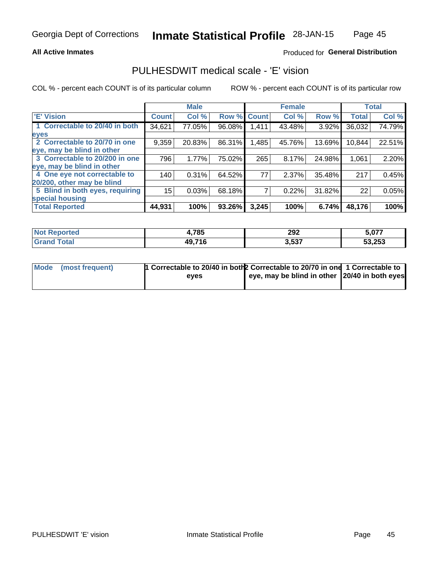### **All Active Inmates**

## Produced for General Distribution

## PULHESDWIT medical scale - 'E' vision

COL % - percent each COUNT is of its particular column

|                                 |              | <b>Male</b> |        |              | <b>Female</b> |        |              | <b>Total</b> |
|---------------------------------|--------------|-------------|--------|--------------|---------------|--------|--------------|--------------|
| 'E' Vision                      | <b>Count</b> | Col %       | Row %  | <b>Count</b> | Col %         | Row %  | <b>Total</b> | Col %        |
| 1 Correctable to 20/40 in both  | 34,621       | 77.05%      | 96.08% | .411         | 43.48%        | 3.92%  | 36,032       | 74.79%       |
| eyes                            |              |             |        |              |               |        |              |              |
| 2 Correctable to 20/70 in one   | 9,359        | 20.83%      | 86.31% | ,485         | 45.76%        | 13.69% | 10,844       | 22.51%       |
| leye, may be blind in other     |              |             |        |              |               |        |              |              |
| 3 Correctable to 20/200 in one  | 796          | 1.77%       | 75.02% | 265          | 8.17%         | 24.98% | 1,061        | 2.20%        |
| leye, may be blind in other     |              |             |        |              |               |        |              |              |
| 4 One eye not correctable to    | 140          | 0.31%       | 64.52% | 77           | 2.37%         | 35.48% | 217          | 0.45%        |
| 20/200, other may be blind      |              |             |        |              |               |        |              |              |
| 5 Blind in both eyes, requiring | 15           | 0.03%       | 68.18% |              | 0.22%         | 31.82% | 22           | 0.05%        |
| special housing                 |              |             |        |              |               |        |              |              |
| <b>Total Reported</b>           | 44,931       | 100%        | 93.26% | 3,245        | 100%          | 6.74%  | 48,176       | 100%         |

| <b>Not Reported</b>          | 4,785  | 292   | 5,077  |
|------------------------------|--------|-------|--------|
| <b>Total</b><br><b>Grand</b> | 49,716 | 3,537 | 53,253 |

| Mode (most frequent) | 1 Correctable to 20/40 in both 2 Correctable to 20/70 in one 1 Correctable to |                                                |  |
|----------------------|-------------------------------------------------------------------------------|------------------------------------------------|--|
|                      | eves                                                                          | eye, may be blind in other 120/40 in both eyes |  |
|                      |                                                                               |                                                |  |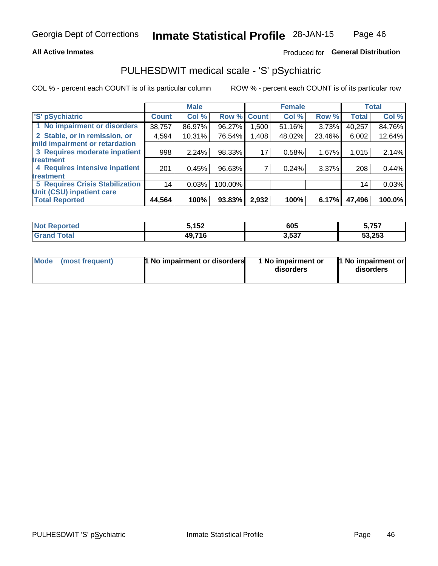### **All Active Inmates**

## Produced for General Distribution

## PULHESDWIT medical scale - 'S' pSychiatric

COL % - percent each COUNT is of its particular column

|                                        |              | <b>Male</b> |         |              | <b>Female</b> |        |              | <b>Total</b> |
|----------------------------------------|--------------|-------------|---------|--------------|---------------|--------|--------------|--------------|
| 'S' pSychiatric                        | <b>Count</b> | Col %       | Row %   | <b>Count</b> | Col %         | Row %  | <b>Total</b> | Col %        |
| 1 No impairment or disorders           | 38,757       | 86.97%      | 96.27%  | .500         | 51.16%        | 3.73%  | 40,257       | 84.76%       |
| 2 Stable, or in remission, or          | 4,594        | 10.31%      | 76.54%  | 1,408        | 48.02%        | 23.46% | 6,002        | 12.64%       |
| mild impairment or retardation         |              |             |         |              |               |        |              |              |
| 3 Requires moderate inpatient          | 998          | 2.24%       | 98.33%  | 17           | 0.58%         | 1.67%  | 1,015        | 2.14%        |
| treatment                              |              |             |         |              |               |        |              |              |
| 4 Requires intensive inpatient         | 201          | 0.45%       | 96.63%  |              | 0.24%         | 3.37%  | 208          | 0.44%        |
| treatment                              |              |             |         |              |               |        |              |              |
| <b>5 Requires Crisis Stabilization</b> | 14           | 0.03%       | 100.00% |              |               |        | 14           | 0.03%        |
| Unit (CSU) inpatient care              |              |             |         |              |               |        |              |              |
| <b>Total Reported</b>                  | 44,564       | 100%        | 93.83%  | 2,932        | 100%          | 6.17%  | 47,496       | 100.0%       |

| <b>Not Reported</b> | 5,152  | 605   | 5,757  |
|---------------------|--------|-------|--------|
| Total<br>Grand      | 49,716 | 3,537 | 53,253 |

| <b>Mode</b> | (most frequent) | <b>1 No impairment or disorders</b> | 1 No impairment or<br>disorders | 1 No impairment or<br>disorders |
|-------------|-----------------|-------------------------------------|---------------------------------|---------------------------------|
|-------------|-----------------|-------------------------------------|---------------------------------|---------------------------------|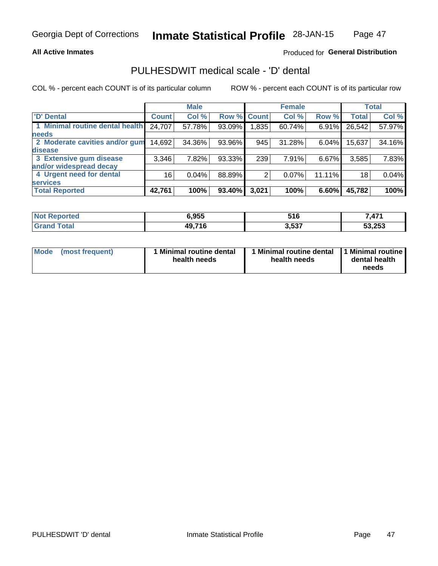### **All Active Inmates**

## Produced for General Distribution

## PULHESDWIT medical scale - 'D' dental

COL % - percent each COUNT is of its particular column

|                                 |              | <b>Male</b> |        |              | <b>Female</b> |        |              | <b>Total</b> |
|---------------------------------|--------------|-------------|--------|--------------|---------------|--------|--------------|--------------|
| <b>D'</b> Dental                | <b>Count</b> | Col %       | Row %  | <b>Count</b> | Col %         | Row %  | <b>Total</b> | Col %        |
| 1 Minimal routine dental health | 24,707       | 57.78%      | 93.09% | 1,835        | 60.74%        | 6.91%  | 26,542       | 57.97%       |
| <b>needs</b>                    |              |             |        |              |               |        |              |              |
| 2 Moderate cavities and/or gum  | 14,692       | 34.36%      | 93.96% | 945          | 31.28%        | 6.04%  | 15,637       | 34.16%       |
| disease                         |              |             |        |              |               |        |              |              |
| 3 Extensive gum disease         | 3,346        | 7.82%       | 93.33% | 239          | 7.91%         | 6.67%  | 3,585        | 7.83%        |
| and/or widespread decay         |              |             |        |              |               |        |              |              |
| 4 Urgent need for dental        | 16           | 0.04%       | 88.89% |              | 0.07%         | 11.11% | 18           | 0.04%        |
| <b>services</b>                 |              |             |        |              |               |        |              |              |
| <b>Total Reported</b>           | 42,761       | 100%        | 93.40% | 3,021        | 100%          | 6.60%  | 45,782       | 100%         |

| orted<br>NA | 6.955  | 516   | ,471   |
|-------------|--------|-------|--------|
| otal        | 49,716 | 3,537 | 53,253 |

| <b>Mode</b> | (most frequent) | <b>Minimal routine dental</b><br>health needs | 1 Minimal routine dental<br>health needs | <b>11 Minimal routine I</b><br>dental health<br>needs |
|-------------|-----------------|-----------------------------------------------|------------------------------------------|-------------------------------------------------------|
|-------------|-----------------|-----------------------------------------------|------------------------------------------|-------------------------------------------------------|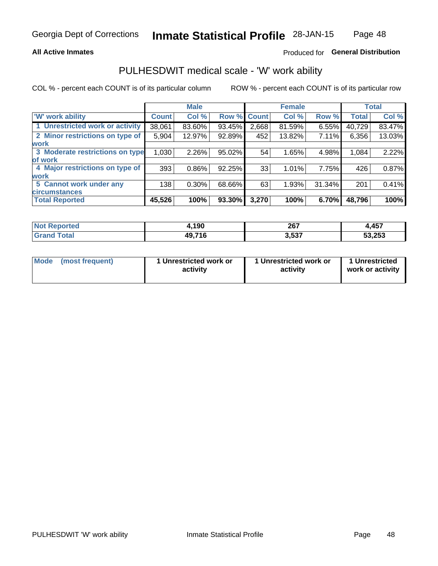### **All Active Inmates**

## Produced for General Distribution

## PULHESDWIT medical scale - 'W' work ability

COL % - percent each COUNT is of its particular column

|                                 |              | <b>Male</b> |        |              | <b>Female</b> |        |              | <b>Total</b> |
|---------------------------------|--------------|-------------|--------|--------------|---------------|--------|--------------|--------------|
| <b>W' work ability</b>          | <b>Count</b> | Col %       | Row %  | <b>Count</b> | Col %         | Row %  | <b>Total</b> | Col %        |
| 1 Unrestricted work or activity | 38,061       | 83.60%      | 93.45% | 2,668        | 81.59%        | 6.55%  | 40,729       | 83.47%       |
| 2 Minor restrictions on type of | 5,904        | 12.97%      | 92.89% | 452          | 13.82%        | 7.11%  | 6,356        | 13.03%       |
| <b>work</b>                     |              |             |        |              |               |        |              |              |
| 3 Moderate restrictions on type | 1,030        | 2.26%       | 95.02% | 54           | 1.65%         | 4.98%  | 1,084        | 2.22%        |
| lof work                        |              |             |        |              |               |        |              |              |
| 4 Major restrictions on type of | 393          | 0.86%       | 92.25% | 33           | 1.01%         | 7.75%  | 426          | 0.87%        |
| <b>work</b>                     |              |             |        |              |               |        |              |              |
| 5 Cannot work under any         | 138          | $0.30\%$    | 68.66% | 63           | 1.93%         | 31.34% | 201          | 0.41%        |
| <b>circumstances</b>            |              |             |        |              |               |        |              |              |
| <b>Total Reported</b>           | 45,526       | 100%        | 93.30% | 3,270        | 100%          | 6.70%  | 48,796       | 100%         |

| <b>Not Reported</b> | ,190   | 267   | 457<br>. |
|---------------------|--------|-------|----------|
| Total<br>Grand      | 49,716 | 3,537 | 53,253   |

| Mode            | 1 Unrestricted work or | 1 Unrestricted work or | 1 Unrestricted   |
|-----------------|------------------------|------------------------|------------------|
| (most frequent) | activity               | activity               | work or activity |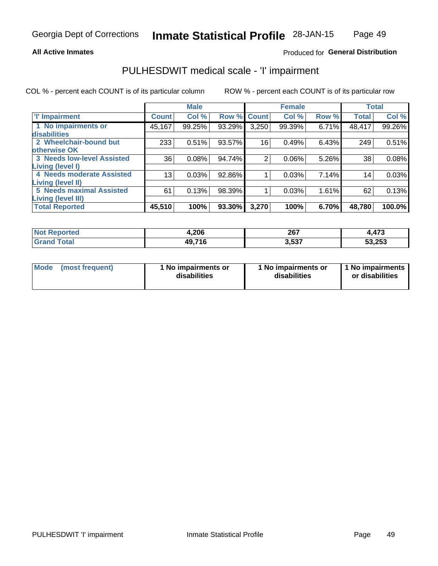### **All Active Inmates**

## Produced for General Distribution

## PULHESDWIT medical scale - 'I' impairment

COL % - percent each COUNT is of its particular column

|                                   |              | <b>Male</b> |             |       | <b>Female</b> |       |              | <b>Total</b> |
|-----------------------------------|--------------|-------------|-------------|-------|---------------|-------|--------------|--------------|
| <b>T' Impairment</b>              | <b>Count</b> | Col %       | Row % Count |       | Col %         | Row % | <b>Total</b> | Col %        |
| 1 No impairments or               | 45,167       | 99.25%      | 93.29%      | 3,250 | 99.39%        | 6.71% | 48,417       | 99.26%       |
| disabilities                      |              |             |             |       |               |       |              |              |
| 2 Wheelchair-bound but            | 233          | 0.51%       | 93.57%      | 16    | 0.49%         | 6.43% | 249          | 0.51%        |
| otherwise OK                      |              |             |             |       |               |       |              |              |
| <b>3 Needs low-level Assisted</b> | 36           | 0.08%       | 94.74%      | 2     | 0.06%         | 5.26% | 38           | 0.08%        |
| Living (level I)                  |              |             |             |       |               |       |              |              |
| 4 Needs moderate Assisted         | 13           | 0.03%       | 92.86%      |       | 0.03%         | 7.14% | 14           | 0.03%        |
| <b>Living (level II)</b>          |              |             |             |       |               |       |              |              |
| <b>5 Needs maximal Assisted</b>   | 61           | 0.13%       | 98.39%      |       | 0.03%         | 1.61% | 62           | 0.13%        |
| Living (level III)                |              |             |             |       |               |       |              |              |
| <b>Total Reported</b>             | 45,510       | 100%        | 93.30%      | 3,270 | 100%          | 6.70% | 48,780       | 100.0%       |

| orted      | 4,206  | 267         | 172<br>ט ו דר |
|------------|--------|-------------|---------------|
| <b>ota</b> | 49,716 | ドクラ<br>J.JJ | 53,253        |

| Mode | (most frequent) | 1 No impairments or<br>disabilities | 1 No impairments or<br>disabilities | 1 No impairments<br>or disabilities |
|------|-----------------|-------------------------------------|-------------------------------------|-------------------------------------|
|------|-----------------|-------------------------------------|-------------------------------------|-------------------------------------|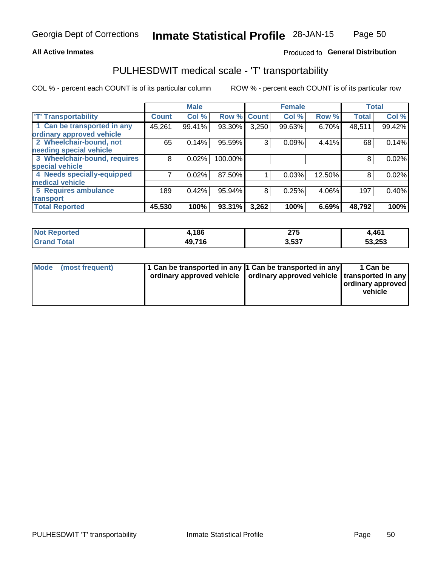### **All Active Inmates**

## Produced fo General Distribution

## PULHESDWIT medical scale - 'T' transportability

COL % - percent each COUNT is of its particular column

|                              |                    | <b>Male</b> |         |              | <b>Female</b> |        |              | <b>Total</b> |
|------------------------------|--------------------|-------------|---------|--------------|---------------|--------|--------------|--------------|
| <b>T' Transportability</b>   | Count <sup>!</sup> | Col %       | Row %   | <b>Count</b> | Col %         | Row %  | <b>Total</b> | Col %        |
| 1 Can be transported in any  | 45,261             | 99.41%      | 93.30%  | 3,250        | 99.63%        | 6.70%  | 48,511       | 99.42%       |
| ordinary approved vehicle    |                    |             |         |              |               |        |              |              |
| 2 Wheelchair-bound, not      | 65                 | 0.14%       | 95.59%  | 3            | 0.09%         | 4.41%  | 68           | 0.14%        |
| needing special vehicle      |                    |             |         |              |               |        |              |              |
| 3 Wheelchair-bound, requires | 8                  | 0.02%       | 100.00% |              |               |        | 8            | 0.02%        |
| special vehicle              |                    |             |         |              |               |        |              |              |
| 4 Needs specially-equipped   |                    | 0.02%       | 87.50%  |              | 0.03%         | 12.50% | 8            | 0.02%        |
| medical vehicle              |                    |             |         |              |               |        |              |              |
| <b>5 Requires ambulance</b>  | 189                | 0.42%       | 95.94%  | 8            | 0.25%         | 4.06%  | 197          | 0.40%        |
| transport                    |                    |             |         |              |               |        |              |              |
| <b>Total Reported</b>        | 45,530             | 100%        | 93.31%  | 3,262        | 100%          | 6.69%  | 48,792       | 100%         |

| <b>Not</b><br>Reported | l,186  | クフド<br>∸ ≀ √<br>___ | 4,461  |
|------------------------|--------|---------------------|--------|
| Total                  | 49,716 | 527<br>-<br>J,JJ.   | 53,253 |

|  | Mode (most frequent) | 1 Can be transported in any 1 Can be transported in any<br>ordinary approved vehicle   ordinary approved vehicle   transported in any |  | 1 Can be<br>  ordinary approved  <br>vehicle |
|--|----------------------|---------------------------------------------------------------------------------------------------------------------------------------|--|----------------------------------------------|
|--|----------------------|---------------------------------------------------------------------------------------------------------------------------------------|--|----------------------------------------------|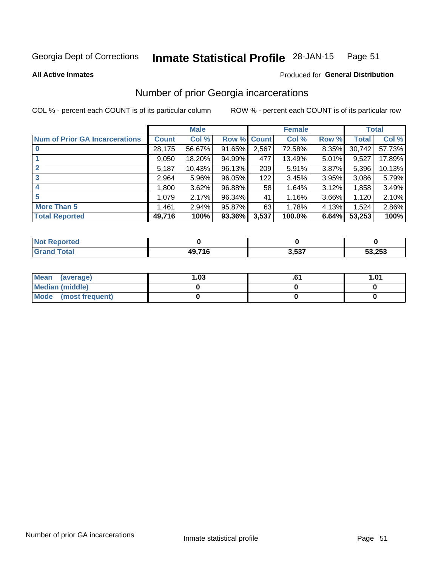#### Inmate Statistical Profile 28-JAN-15 Page 51

**All Active Inmates** 

### **Produced for General Distribution**

## Number of prior Georgia incarcerations

COL % - percent each COUNT is of its particular column

|                                       |              | <b>Male</b> |                    |       | <b>Female</b> |       |        | <b>Total</b> |
|---------------------------------------|--------------|-------------|--------------------|-------|---------------|-------|--------|--------------|
| <b>Num of Prior GA Incarcerations</b> | <b>Count</b> | Col %       | <b>Row % Count</b> |       | Col %         | Row % | Total  | Col %        |
| $\bf{0}$                              | 28,175       | 56.67%      | 91.65%             | 2,567 | 72.58%        | 8.35% | 30,742 | 57.73%       |
|                                       | 9,050        | 18.20%      | 94.99%             | 477   | 13.49%        | 5.01% | 9,527  | 17.89%       |
| $\mathbf{2}$                          | 5,187        | 10.43%      | 96.13%             | 209   | 5.91%         | 3.87% | 5,396  | 10.13%       |
| 3                                     | 2,964        | 5.96%       | 96.05%             | 122   | 3.45%         | 3.95% | 3,086  | 5.79%        |
| 4                                     | 1,800        | 3.62%       | 96.88%             | 58    | 1.64%         | 3.12% | 1,858  | 3.49%        |
| 5                                     | 1,079        | 2.17%       | 96.34%             | 41    | 1.16%         | 3.66% | 1,120  | 2.10%        |
| <b>More Than 5</b>                    | 1,461        | 2.94%       | 95.87%             | 63    | 1.78%         | 4.13% | 1,524  | 2.86%        |
| <b>Total Reported</b>                 | 49,716       | 100%        | 93.36%             | 3,537 | 100.0%        | 6.64% | 53,253 | 100%         |

| orted<br>'NI      |              |       |        |
|-------------------|--------------|-------|--------|
| <b>otal</b><br>Gr | <b>49716</b> | 3,537 | 53,253 |

| Mean (average)       | .03 | 1.01 |
|----------------------|-----|------|
| Median (middle)      |     |      |
| Mode (most frequent) |     |      |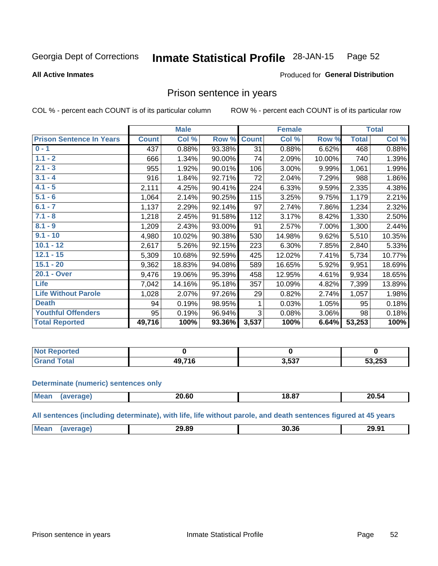#### **Inmate Statistical Profile 28-JAN-15** Page 52

#### **All Active Inmates**

## Produced for General Distribution

## Prison sentence in years

COL % - percent each COUNT is of its particular column

ROW % - percent each COUNT is of its particular row

|                                 |              | <b>Male</b> |        |              | <b>Female</b> |        |              | <b>Total</b> |
|---------------------------------|--------------|-------------|--------|--------------|---------------|--------|--------------|--------------|
| <b>Prison Sentence In Years</b> | <b>Count</b> | Col %       | Row %  | <b>Count</b> | Col %         | Row %  | <b>Total</b> | Col %        |
| $0 - 1$                         | 437          | 0.88%       | 93.38% | 31           | 0.88%         | 6.62%  | 468          | 0.88%        |
| $1.1 - 2$                       | 666          | 1.34%       | 90.00% | 74           | 2.09%         | 10.00% | 740          | 1.39%        |
| $2.1 - 3$                       | 955          | 1.92%       | 90.01% | 106          | 3.00%         | 9.99%  | 1,061        | 1.99%        |
| $3.1 - 4$                       | 916          | 1.84%       | 92.71% | 72           | 2.04%         | 7.29%  | 988          | 1.86%        |
| $4.1 - 5$                       | 2,111        | 4.25%       | 90.41% | 224          | 6.33%         | 9.59%  | 2,335        | 4.38%        |
| $5.1 - 6$                       | 1,064        | 2.14%       | 90.25% | 115          | 3.25%         | 9.75%  | 1,179        | 2.21%        |
| $6.1 - 7$                       | 1,137        | 2.29%       | 92.14% | 97           | 2.74%         | 7.86%  | 1,234        | 2.32%        |
| $7.1 - 8$                       | 1,218        | 2.45%       | 91.58% | 112          | 3.17%         | 8.42%  | 1,330        | 2.50%        |
| $8.1 - 9$                       | 1,209        | 2.43%       | 93.00% | 91           | 2.57%         | 7.00%  | 1,300        | 2.44%        |
| $9.1 - 10$                      | 4,980        | 10.02%      | 90.38% | 530          | 14.98%        | 9.62%  | 5,510        | 10.35%       |
| $10.1 - 12$                     | 2,617        | 5.26%       | 92.15% | 223          | 6.30%         | 7.85%  | 2,840        | 5.33%        |
| $12.1 - 15$                     | 5,309        | 10.68%      | 92.59% | 425          | 12.02%        | 7.41%  | 5,734        | 10.77%       |
| $15.1 - 20$                     | 9,362        | 18.83%      | 94.08% | 589          | 16.65%        | 5.92%  | 9,951        | 18.69%       |
| 20.1 - Over                     | 9,476        | 19.06%      | 95.39% | 458          | 12.95%        | 4.61%  | 9,934        | 18.65%       |
| <b>Life</b>                     | 7,042        | 14.16%      | 95.18% | 357          | 10.09%        | 4.82%  | 7,399        | 13.89%       |
| <b>Life Without Parole</b>      | 1,028        | 2.07%       | 97.26% | 29           | 0.82%         | 2.74%  | 1,057        | 1.98%        |
| <b>Death</b>                    | 94           | 0.19%       | 98.95% |              | 0.03%         | 1.05%  | 95           | 0.18%        |
| <b>Youthful Offenders</b>       | 95           | 0.19%       | 96.94% | 3            | 0.08%         | 3.06%  | 98           | 0.18%        |
| <b>Total Reported</b>           | 49,716       | 100%        | 93.36% | 3,537        | 100%          | 6.64%  | 53,253       | 100%         |

| <b>Reported</b><br>I NOT |            |       |        |
|--------------------------|------------|-------|--------|
|                          | 0.74c<br>. | 3,537 | 53,253 |

#### **Determinate (numeric) sentences only**

| <b>Me:</b> |       | .      | OO E         |
|------------|-------|--------|--------------|
|            | _J.OU | ា 8.៦. | <b>20.34</b> |
|            |       |        |              |

All sentences (including determinate), with life, life without parole, and death sentences figured at 45 years

| Mear.<br>29.89<br>30.36<br>י החי<br>29.Y<br>$\cdots$<br>____<br>____<br>. |
|---------------------------------------------------------------------------|
|---------------------------------------------------------------------------|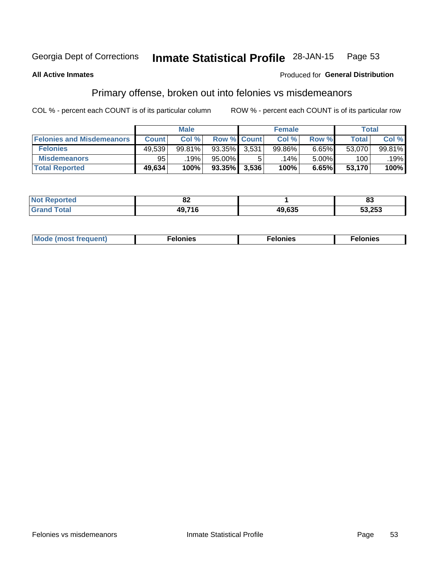#### **Inmate Statistical Profile 28-JAN-15** Page 53

### **All Active Inmates**

### Produced for General Distribution

## Primary offense, broken out into felonies vs misdemeanors

COL % - percent each COUNT is of its particular column

|                                  | <b>Male</b>  |        |                    |       | <b>Female</b> | Total |              |        |
|----------------------------------|--------------|--------|--------------------|-------|---------------|-------|--------------|--------|
| <b>Felonies and Misdemeanors</b> | <b>Count</b> | Col %  | <b>Row % Count</b> |       | Col %         | Row % | <b>Total</b> | Col %  |
| <b>Felonies</b>                  | 49,539       | 99.81% | 93.35%             | 3.531 | 99.86%        | 6.65% | 53,070       | 99.81% |
| <b>Misdemeanors</b>              | 95           | 19%    | 95.00%             |       | .14% '        | 5.00% | 100          | .19%   |
| <b>Total Reported</b>            | 49,634       | 100%   | $93.35\%$          | 3,536 | 100%          | 6.65% | 53,170       | 100%   |

| <b>Not</b>            | <u>…</u>       |        | ne.    |
|-----------------------|----------------|--------|--------|
| Reported              | 0Z             |        | oJ     |
| Total<br><b>Grand</b> | 10 71 <i>c</i> | 49,635 | 53,253 |

| Mo | ____ | 11 C.S<br>. | onies<br>. |
|----|------|-------------|------------|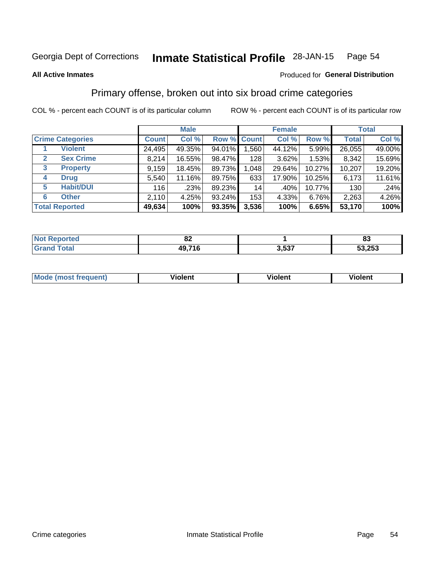#### **Inmate Statistical Profile 28-JAN-15** Page 54

**All Active Inmates** 

### Produced for General Distribution

## Primary offense, broken out into six broad crime categories

COL % - percent each COUNT is of its particular column

|                                 | <b>Male</b>  |        |           | <b>Female</b> |        |        | <b>Total</b> |        |
|---------------------------------|--------------|--------|-----------|---------------|--------|--------|--------------|--------|
| <b>Crime Categories</b>         | <b>Count</b> | Col %  |           | Row % Count   | Col %  | Row %  | <b>Total</b> | Col %  |
| <b>Violent</b>                  | 24,495       | 49.35% | 94.01%    | 1,560         | 44.12% | 5.99%  | 26,055       | 49.00% |
| <b>Sex Crime</b><br>2           | 8,214        | 16.55% | 98.47%    | 128           | 3.62%  | 1.53%  | 8,342        | 15.69% |
| $\mathbf{3}$<br><b>Property</b> | 9,159        | 18.45% | 89.73%    | 1,048         | 29.64% | 10.27% | 10,207       | 19.20% |
| <b>Drug</b><br>4                | 5,540        | 11.16% | 89.75%    | 633           | 17.90% | 10.25% | 6,173        | 11.61% |
| <b>Habit/DUI</b><br>5           | 116          | .23%   | 89.23%    | 14            | .40%   | 10.77% | 130          | .24%   |
| <b>Other</b><br>6               | 2,110        | 4.25%  | 93.24%    | 153           | 4.33%  | 6.76%  | 2,263        | 4.26%  |
| <b>Total Reported</b>           | 49,634       | 100%   | $93.35\%$ | 3,536         | 100%   | 6.65%  | 53,170       | 100%   |

| τeα<br>NO | e.<br>UZ.   |                  | oə     |
|-----------|-------------|------------------|--------|
|           | 716<br>49.7 | ` 527<br>. ວ.ວວ. | 53,253 |

| <b>Mode (most frequent)</b> | .<br><b>iolent</b> | 'iolent | ---<br>Violent |
|-----------------------------|--------------------|---------|----------------|
|                             |                    |         |                |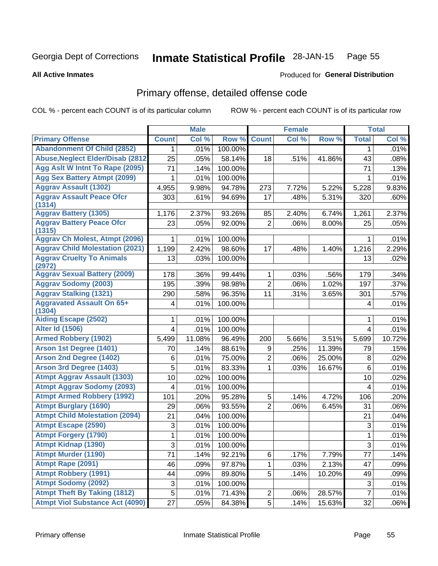#### **Inmate Statistical Profile 28-JAN-15** Page 55

#### **All Active Inmates**

## **Produced for General Distribution**

## Primary offense, detailed offense code

COL % - percent each COUNT is of its particular column

|                                            |                | <b>Male</b> |         |                | <b>Female</b> |        |                | <b>Total</b> |
|--------------------------------------------|----------------|-------------|---------|----------------|---------------|--------|----------------|--------------|
| <b>Primary Offense</b>                     | <b>Count</b>   | Col %       | Row %   | <b>Count</b>   | Col %         | Row %  | <b>Total</b>   | Col %        |
| <b>Abandonment Of Child (2852)</b>         | 1.             | .01%        | 100.00% |                |               |        | 1              | .01%         |
| <b>Abuse, Neglect Elder/Disab (2812)</b>   | 25             | .05%        | 58.14%  | 18             | .51%          | 41.86% | 43             | .08%         |
| Agg Aslt W Intnt To Rape (2095)            | 71             | .14%        | 100.00% |                |               |        | 71             | .13%         |
| <b>Agg Sex Battery Atmpt (2099)</b>        | 1              | .01%        | 100.00% |                |               |        | 1              | .01%         |
| <b>Aggrav Assault (1302)</b>               | 4,955          | 9.98%       | 94.78%  | 273            | 7.72%         | 5.22%  | 5,228          | 9.83%        |
| <b>Aggrav Assault Peace Ofcr</b><br>(1314) | 303            | .61%        | 94.69%  | 17             | .48%          | 5.31%  | 320            | .60%         |
| <b>Aggrav Battery (1305)</b>               | 1,176          | 2.37%       | 93.26%  | 85             | 2.40%         | 6.74%  | 1,261          | 2.37%        |
| <b>Aggrav Battery Peace Ofcr</b><br>(1315) | 23             | .05%        | 92.00%  | $\overline{2}$ | .06%          | 8.00%  | 25             | .05%         |
| <b>Aggrav Ch Molest, Atmpt (2096)</b>      |                | .01%        | 100.00% |                |               |        | 1              | .01%         |
| <b>Aggrav Child Molestation (2021)</b>     | 1,199          | 2.42%       | 98.60%  | 17             | .48%          | 1.40%  | 1,216          | 2.29%        |
| <b>Aggrav Cruelty To Animals</b><br>(2972) | 13             | .03%        | 100.00% |                |               |        | 13             | .02%         |
| <b>Aggrav Sexual Battery (2009)</b>        | 178            | .36%        | 99.44%  | 1              | .03%          | .56%   | 179            | .34%         |
| <b>Aggrav Sodomy (2003)</b>                | 195            | .39%        | 98.98%  | $\overline{2}$ | .06%          | 1.02%  | 197            | .37%         |
| <b>Aggrav Stalking (1321)</b>              | 290            | .58%        | 96.35%  | 11             | .31%          | 3.65%  | 301            | .57%         |
| <b>Aggravated Assault On 65+</b><br>(1304) | 4              | .01%        | 100.00% |                |               |        | 4              | .01%         |
| <b>Aiding Escape (2502)</b>                | 1              | .01%        | 100.00% |                |               |        | 1              | .01%         |
| <b>Alter Id (1506)</b>                     | $\overline{4}$ | .01%        | 100.00% |                |               |        | $\overline{4}$ | .01%         |
| <b>Armed Robbery (1902)</b>                | 5,499          | 11.08%      | 96.49%  | 200            | 5.66%         | 3.51%  | 5,699          | 10.72%       |
| Arson 1st Degree (1401)                    | 70             | .14%        | 88.61%  | 9              | .25%          | 11.39% | 79             | .15%         |
| <b>Arson 2nd Degree (1402)</b>             | $\,6$          | .01%        | 75.00%  | $\overline{2}$ | .06%          | 25.00% | 8              | .02%         |
| <b>Arson 3rd Degree (1403)</b>             | 5              | .01%        | 83.33%  | 1              | .03%          | 16.67% | 6              | .01%         |
| <b>Atmpt Aggrav Assault (1303)</b>         | 10             | .02%        | 100.00% |                |               |        | 10             | .02%         |
| <b>Atmpt Aggrav Sodomy (2093)</b>          | 4              | .01%        | 100.00% |                |               |        | 4              | .01%         |
| <b>Atmpt Armed Robbery (1992)</b>          | 101            | .20%        | 95.28%  | 5              | .14%          | 4.72%  | 106            | .20%         |
| <b>Atmpt Burglary (1690)</b>               | 29             | .06%        | 93.55%  | $\overline{2}$ | .06%          | 6.45%  | 31             | .06%         |
| <b>Atmpt Child Molestation (2094)</b>      | 21             | .04%        | 100.00% |                |               |        | 21             | .04%         |
| <b>Atmpt Escape (2590)</b>                 | 3              | .01%        | 100.00% |                |               |        | 3              | .01%         |
| <b>Atmpt Forgery (1790)</b>                | 1              | .01%        | 100.00% |                |               |        | 1              | .01%         |
| <b>Atmpt Kidnap (1390)</b>                 | 3              | .01%        | 100.00% |                |               |        | $\overline{3}$ | .01%         |
| Atmpt Murder (1190)                        | 71             | .14%        | 92.21%  | 6              | .17%          | 7.79%  | 77             | .14%         |
| Atmpt Rape (2091)                          | 46             | .09%        | 97.87%  | 1.             | .03%          | 2.13%  | 47             | .09%         |
| <b>Atmpt Robbery (1991)</b>                | 44             | .09%        | 89.80%  | 5              | .14%          | 10.20% | 49             | .09%         |
| <b>Atmpt Sodomy (2092)</b>                 | $\sqrt{3}$     | .01%        | 100.00% |                |               |        | 3              | .01%         |
| <b>Atmpt Theft By Taking (1812)</b>        | 5              | .01%        | 71.43%  | $\overline{2}$ | .06%          | 28.57% | $\overline{7}$ | .01%         |
| <b>Atmpt Viol Substance Act (4090)</b>     | 27             | .05%        | 84.38%  | 5              | .14%          | 15.63% | 32             | .06%         |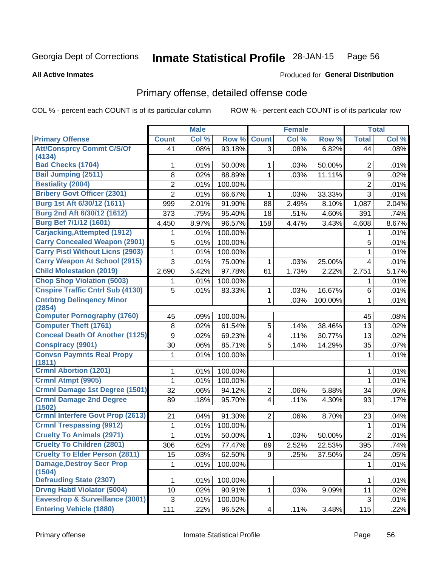#### Inmate Statistical Profile 28-JAN-15 Page 56

#### **All Active Inmates**

### **Produced for General Distribution**

## Primary offense, detailed offense code

COL % - percent each COUNT is of its particular column

|                                            |                 | <b>Male</b> |         |                         | <b>Female</b> |         |                | <b>Total</b> |
|--------------------------------------------|-----------------|-------------|---------|-------------------------|---------------|---------|----------------|--------------|
| <b>Primary Offense</b>                     | <b>Count</b>    | Col %       | Row %   | <b>Count</b>            | Col %         | Row %   | <b>Total</b>   | Col %        |
| <b>Att/Consprcy Commt C/S/Of</b>           | 41              | .08%        | 93.18%  | $\overline{3}$          | .08%          | 6.82%   | 44             | .08%         |
| (4134)                                     |                 |             |         |                         |               |         |                |              |
| <b>Bad Checks (1704)</b>                   | 1               | .01%        | 50.00%  | 1                       | .03%          | 50.00%  | $\overline{2}$ | .01%         |
| <b>Bail Jumping (2511)</b>                 | 8               | .02%        | 88.89%  | 1                       | .03%          | 11.11%  | 9              | .02%         |
| <b>Bestiality (2004)</b>                   | $\overline{2}$  | .01%        | 100.00% |                         |               |         | $\overline{2}$ | .01%         |
| <b>Bribery Govt Officer (2301)</b>         | $\overline{2}$  | .01%        | 66.67%  | 1                       | .03%          | 33.33%  | 3              | .01%         |
| Burg 1st Aft 6/30/12 (1611)                | 999             | 2.01%       | 91.90%  | 88                      | 2.49%         | 8.10%   | 1,087          | 2.04%        |
| Burg 2nd Aft 6/30/12 (1612)                | 373             | .75%        | 95.40%  | 18                      | .51%          | 4.60%   | 391            | .74%         |
| Burg Bef 7/1/12 (1601)                     | 4,450           | 8.97%       | 96.57%  | 158                     | 4.47%         | 3.43%   | 4,608          | 8.67%        |
| <b>Carjacking, Attempted (1912)</b>        |                 | .01%        | 100.00% |                         |               |         | 1              | .01%         |
| <b>Carry Concealed Weapon (2901)</b>       | 5               | .01%        | 100.00% |                         |               |         | 5              | .01%         |
| <b>Carry Pistl Without Licns (2903)</b>    | 1               | .01%        | 100.00% |                         |               |         | 1              | .01%         |
| <b>Carry Weapon At School (2915)</b>       | 3               | .01%        | 75.00%  | 1                       | .03%          | 25.00%  | 4              | .01%         |
| <b>Child Molestation (2019)</b>            | 2,690           | 5.42%       | 97.78%  | 61                      | 1.73%         | 2.22%   | 2,751          | 5.17%        |
| <b>Chop Shop Violation (5003)</b>          | 1               | .01%        | 100.00% |                         |               |         | 1              | .01%         |
| <b>Cnspire Traffic Cntrl Sub (4130)</b>    | 5               | .01%        | 83.33%  | 1                       | .03%          | 16.67%  | $\,6$          | .01%         |
| <b>Cntrbtng Delingency Minor</b><br>(2854) |                 |             |         | 1                       | .03%          | 100.00% | 1              | .01%         |
| <b>Computer Pornography (1760)</b>         | 45              | .09%        | 100.00% |                         |               |         | 45             | .08%         |
| <b>Computer Theft (1761)</b>               | 8               | .02%        | 61.54%  | 5                       | .14%          | 38.46%  | 13             | .02%         |
| <b>Conceal Death Of Another (1125)</b>     | 9               | .02%        | 69.23%  | $\overline{\mathbf{4}}$ | .11%          | 30.77%  | 13             | .02%         |
| <b>Conspiracy (9901)</b>                   | 30              | .06%        | 85.71%  | 5                       | .14%          | 14.29%  | 35             | .07%         |
| <b>Convsn Paymnts Real Propy</b><br>(1811) | 1               | .01%        | 100.00% |                         |               |         | 1              | .01%         |
| <b>Crmnl Abortion (1201)</b>               |                 | .01%        | 100.00% |                         |               |         | 1              | .01%         |
| Crmnl Atmpt (9905)                         | 1               | .01%        | 100.00% |                         |               |         | 1              | .01%         |
| <b>Crmnl Damage 1st Degree (1501)</b>      | 32              | .06%        | 94.12%  | $\overline{c}$          | .06%          | 5.88%   | 34             | .06%         |
| <b>Crmnl Damage 2nd Degree</b><br>(1502)   | 89              | .18%        | 95.70%  | $\overline{4}$          | .11%          | 4.30%   | 93             | .17%         |
| <b>Crmnl Interfere Govt Prop (2613)</b>    | 21              | .04%        | 91.30%  | $\overline{2}$          | .06%          | 8.70%   | 23             | .04%         |
| <b>Crmnl Trespassing (9912)</b>            | 1               | .01%        | 100.00% |                         |               |         | 1              | .01%         |
| <b>Cruelty To Animals (2971)</b>           | 1               | .01%        | 50.00%  | 1                       | .03%          | 50.00%  | $\overline{2}$ | .01%         |
| <b>Cruelty To Children (2801)</b>          | 306             | .62%        | 77.47%  | 89                      | 2.52%         | 22.53%  | 395            | .74%         |
| <b>Cruelty To Elder Person (2811)</b>      | 15              | .03%        | 62.50%  | 9                       | .25%          | 37.50%  | 24             | .05%         |
| <b>Damage, Destroy Secr Prop</b><br>(1504) | 1.              | .01%        | 100.00% |                         |               |         | 1              | .01%         |
| <b>Defrauding State (2307)</b>             | 1.              | .01%        | 100.00% |                         |               |         | 1              | .01%         |
| <b>Drvng Habtl Violator (5004)</b>         | 10 <sup>1</sup> | .02%        | 90.91%  | 1                       | .03%          | 9.09%   | 11             | .02%         |
| Eavesdrop & Surveillance (3001)            | 3               | .01%        | 100.00% |                         |               |         | $\mathbf{3}$   | .01%         |
| <b>Entering Vehicle (1880)</b>             | 111             | .22%        | 96.52%  | 4                       | .11%          | 3.48%   | 115            | .22%         |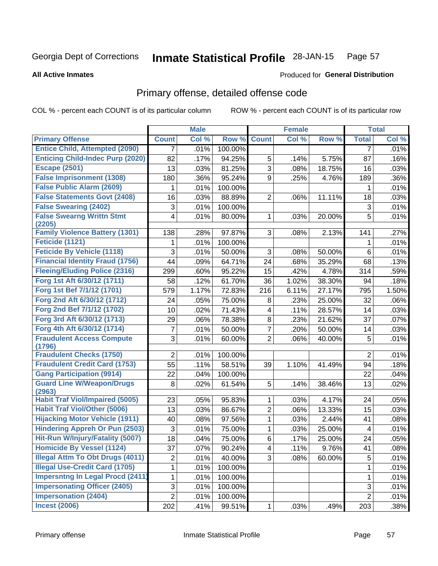#### **Inmate Statistical Profile 28-JAN-15** Page 57

**All Active Inmates** 

### Produced for General Distribution

## Primary offense, detailed offense code

COL % - percent each COUNT is of its particular column

|                                            |                | <b>Male</b> |         |                         | <b>Female</b> |        |                | <b>Total</b> |
|--------------------------------------------|----------------|-------------|---------|-------------------------|---------------|--------|----------------|--------------|
| <b>Primary Offense</b>                     | <b>Count</b>   | Col %       | Row %   | <b>Count</b>            | Col %         | Row %  | <b>Total</b>   | Col %        |
| <b>Entice Child, Attempted (2090)</b>      | 7              | .01%        | 100.00% |                         |               |        | 7              | .01%         |
| <b>Enticing Child-Indec Purp (2020)</b>    | 82             | .17%        | 94.25%  | 5                       | .14%          | 5.75%  | 87             | .16%         |
| <b>Escape (2501)</b>                       | 13             | .03%        | 81.25%  | $\overline{3}$          | .08%          | 18.75% | 16             | .03%         |
| <b>False Imprisonment (1308)</b>           | 180            | .36%        | 95.24%  | 9                       | .25%          | 4.76%  | 189            | .36%         |
| <b>False Public Alarm (2609)</b>           | 1              | .01%        | 100.00% |                         |               |        | 1              | .01%         |
| <b>False Statements Govt (2408)</b>        | 16             | .03%        | 88.89%  | $\overline{2}$          | .06%          | 11.11% | 18             | .03%         |
| <b>False Swearing (2402)</b>               | $\sqrt{3}$     | .01%        | 100.00% |                         |               |        | 3              | .01%         |
| <b>False Swearng Writtn Stmt</b><br>(2205) | 4              | .01%        | 80.00%  | $\mathbf{1}$            | .03%          | 20.00% | 5              | .01%         |
| <b>Family Violence Battery (1301)</b>      | 138            | .28%        | 97.87%  | 3                       | .08%          | 2.13%  | 141            | .27%         |
| Feticide (1121)                            | 1              | .01%        | 100.00% |                         |               |        | 1              | .01%         |
| <b>Feticide By Vehicle (1118)</b>          | 3              | .01%        | 50.00%  | 3                       | .08%          | 50.00% | 6              | .01%         |
| <b>Financial Identity Fraud (1756)</b>     | 44             | .09%        | 64.71%  | 24                      | .68%          | 35.29% | 68             | .13%         |
| <b>Fleeing/Eluding Police (2316)</b>       | 299            | .60%        | 95.22%  | 15                      | .42%          | 4.78%  | 314            | .59%         |
| Forg 1st Aft 6/30/12 (1711)                | 58             | .12%        | 61.70%  | 36                      | 1.02%         | 38.30% | 94             | .18%         |
| Forg 1st Bef 7/1/12 (1701)                 | 579            | 1.17%       | 72.83%  | 216                     | 6.11%         | 27.17% | 795            | 1.50%        |
| Forg 2nd Aft 6/30/12 (1712)                | 24             | .05%        | 75.00%  | 8                       | .23%          | 25.00% | 32             | .06%         |
| Forg 2nd Bef 7/1/12 (1702)                 | 10             | .02%        | 71.43%  | $\overline{\mathbf{4}}$ | .11%          | 28.57% | 14             | .03%         |
| Forg 3rd Aft 6/30/12 (1713)                | 29             | .06%        | 78.38%  | 8                       | .23%          | 21.62% | 37             | .07%         |
| Forg 4th Aft 6/30/12 (1714)                | 7              | .01%        | 50.00%  | $\overline{7}$          | .20%          | 50.00% | 14             | .03%         |
| <b>Fraudulent Access Compute</b><br>(1796) | 3              | .01%        | 60.00%  | $\overline{2}$          | .06%          | 40.00% | 5              | .01%         |
| <b>Fraudulent Checks (1750)</b>            | $\overline{2}$ | .01%        | 100.00% |                         |               |        | $\overline{2}$ | .01%         |
| <b>Fraudulent Credit Card (1753)</b>       | 55             | .11%        | 58.51%  | 39                      | 1.10%         | 41.49% | 94             | .18%         |
| <b>Gang Participation (9914)</b>           | 22             | .04%        | 100.00% |                         |               |        | 22             | .04%         |
| <b>Guard Line W/Weapon/Drugs</b><br>(2963) | 8              | .02%        | 61.54%  | 5                       | .14%          | 38.46% | 13             | .02%         |
| <b>Habit Traf Viol/Impaired (5005)</b>     | 23             | .05%        | 95.83%  | 1                       | .03%          | 4.17%  | 24             | .05%         |
| <b>Habit Traf Viol/Other (5006)</b>        | 13             | .03%        | 86.67%  | $\overline{2}$          | .06%          | 13.33% | 15             | .03%         |
| <b>Hijacking Motor Vehicle (1911)</b>      | 40             | .08%        | 97.56%  | $\mathbf{1}$            | .03%          | 2.44%  | 41             | .08%         |
| <b>Hindering Appreh Or Pun (2503)</b>      | 3              | .01%        | 75.00%  | 1                       | .03%          | 25.00% | 4              | .01%         |
| Hit-Run W/Injury/Fatality (5007)           | 18             | .04%        | 75.00%  | 6                       | .17%          | 25.00% | 24             | .05%         |
| <b>Homicide By Vessel (1124)</b>           | 37             | .07%        | 90.24%  | $\vert 4 \vert$         | .11%          | 9.76%  | 41             | .08%         |
| <b>Illegal Attm To Obt Drugs (4011)</b>    | $\overline{2}$ | .01%        | 40.00%  | 3 <sup>1</sup>          | .08%          | 60.00% | 5              | .01%         |
| <b>Illegal Use-Credit Card (1705)</b>      | 1              | .01%        | 100.00% |                         |               |        | 1              | .01%         |
| <b>Impersntng In Legal Procd (2411)</b>    | 1              | .01%        | 100.00% |                         |               |        | 1              | .01%         |
| <b>Impersonating Officer (2405)</b>        | 3              | .01%        | 100.00% |                         |               |        | 3              | .01%         |
| <b>Impersonation (2404)</b>                | $\overline{2}$ | .01%        | 100.00% |                         |               |        | $\overline{2}$ | .01%         |
| <b>Incest (2006)</b>                       | 202            | .41%        | 99.51%  | $\mathbf{1}$            | .03%          | .49%   | 203            | .38%         |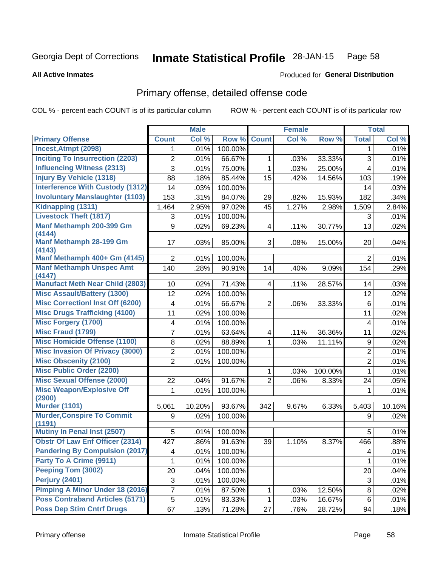#### Inmate Statistical Profile 28-JAN-15 Page 58

#### **All Active Inmates**

### **Produced for General Distribution**

## Primary offense, detailed offense code

COL % - percent each COUNT is of its particular column

|                                             |                | <b>Male</b> |         |                | <b>Female</b> |         |                  | <b>Total</b> |
|---------------------------------------------|----------------|-------------|---------|----------------|---------------|---------|------------------|--------------|
| <b>Primary Offense</b>                      | <b>Count</b>   | Col %       | Row %   | <b>Count</b>   | Col %         | Row %   | <b>Total</b>     | Col %        |
| Incest, Atmpt (2098)                        | 1.             | .01%        | 100.00% |                |               |         | $\mathbf 1$      | .01%         |
| <b>Inciting To Insurrection (2203)</b>      | $\overline{2}$ | .01%        | 66.67%  | $\mathbf{1}$   | .03%          | 33.33%  | 3                | .01%         |
| <b>Influencing Witness (2313)</b>           | 3              | .01%        | 75.00%  | 1              | .03%          | 25.00%  | 4                | .01%         |
| <b>Injury By Vehicle (1318)</b>             | 88             | .18%        | 85.44%  | 15             | .42%          | 14.56%  | 103              | .19%         |
| <b>Interference With Custody (1312)</b>     | 14             | .03%        | 100.00% |                |               |         | 14               | .03%         |
| <b>Involuntary Manslaughter (1103)</b>      | 153            | .31%        | 84.07%  | 29             | .82%          | 15.93%  | 182              | .34%         |
| Kidnapping (1311)                           | 1,464          | 2.95%       | 97.02%  | 45             | 1.27%         | 2.98%   | 1,509            | 2.84%        |
| <b>Livestock Theft (1817)</b>               | 3              | .01%        | 100.00% |                |               |         | 3                | .01%         |
| Manf Methamph 200-399 Gm<br>(4144)          | 9              | .02%        | 69.23%  | 4              | .11%          | 30.77%  | 13               | .02%         |
| Manf Methamph 28-199 Gm<br>(4143)           | 17             | .03%        | 85.00%  | 3              | .08%          | 15.00%  | 20               | .04%         |
| Manf Methamph 400+ Gm (4145)                | 2              | .01%        | 100.00% |                |               |         | $\overline{2}$   | .01%         |
| <b>Manf Methamph Unspec Amt</b><br>(4147)   | 140            | .28%        | 90.91%  | 14             | .40%          | 9.09%   | 154              | .29%         |
| <b>Manufact Meth Near Child (2803)</b>      | 10             | .02%        | 71.43%  | 4              | .11%          | 28.57%  | 14               | .03%         |
| <b>Misc Assault/Battery (1300)</b>          | 12             | .02%        | 100.00% |                |               |         | 12               | .02%         |
| <b>Misc Correctionl Inst Off (6200)</b>     | 4              | .01%        | 66.67%  | $\overline{2}$ | .06%          | 33.33%  | 6                | .01%         |
| <b>Misc Drugs Trafficking (4100)</b>        | 11             | .02%        | 100.00% |                |               |         | 11               | .02%         |
| <b>Misc Forgery (1700)</b>                  | 4              | .01%        | 100.00% |                |               |         | 4                | .01%         |
| <b>Misc Fraud (1799)</b>                    | 7              | .01%        | 63.64%  | $\overline{4}$ | .11%          | 36.36%  | 11               | .02%         |
| <b>Misc Homicide Offense (1100)</b>         | 8              | .02%        | 88.89%  | $\mathbf{1}$   | .03%          | 11.11%  | $\boldsymbol{9}$ | .02%         |
| <b>Misc Invasion Of Privacy (3000)</b>      | $\overline{2}$ | .01%        | 100.00% |                |               |         | $\overline{2}$   | .01%         |
| <b>Misc Obscenity (2100)</b>                | $\overline{2}$ | .01%        | 100.00% |                |               |         | $\overline{2}$   | .01%         |
| <b>Misc Public Order (2200)</b>             |                |             |         | $\mathbf{1}$   | .03%          | 100.00% | 1                | .01%         |
| <b>Misc Sexual Offense (2000)</b>           | 22             | .04%        | 91.67%  | $\overline{2}$ | .06%          | 8.33%   | 24               | .05%         |
| <b>Misc Weapon/Explosive Off</b><br>(2900)  | 1              | .01%        | 100.00% |                |               |         | 1                | .01%         |
| <b>Murder (1101)</b>                        | 5,061          | 10.20%      | 93.67%  | 342            | 9.67%         | 6.33%   | 5,403            | 10.16%       |
| <b>Murder, Conspire To Commit</b><br>(1191) | 9              | .02%        | 100.00% |                |               |         | 9                | .02%         |
| <b>Mutiny In Penal Inst (2507)</b>          | 5              | .01%        | 100.00% |                |               |         | 5                | .01%         |
| <b>Obstr Of Law Enf Officer (2314)</b>      | 427            | .86%        | 91.63%  | 39             | 1.10%         | 8.37%   | 466              | .88%         |
| <b>Pandering By Compulsion (2017)</b>       | 4              | .01%        | 100.00% |                |               |         | 4                | .01%         |
| Party To A Crime (9911)                     |                | .01%        | 100.00% |                |               |         | 1                | .01%         |
| Peeping Tom (3002)                          | 20             | .04%        | 100.00% |                |               |         | 20               | .04%         |
| <b>Perjury (2401)</b>                       | 3              | .01%        | 100.00% |                |               |         | 3                | .01%         |
| <b>Pimping A Minor Under 18 (2016)</b>      | 7              | .01%        | 87.50%  | 1              | .03%          | 12.50%  | 8                | .02%         |
| <b>Poss Contraband Articles (5171)</b>      | 5              | .01%        | 83.33%  | $\mathbf{1}$   | .03%          | 16.67%  | 6                | .01%         |
| <b>Poss Dep Stim Cntrf Drugs</b>            | 67             | .13%        | 71.28%  | 27             | .76%          | 28.72%  | 94               | .18%         |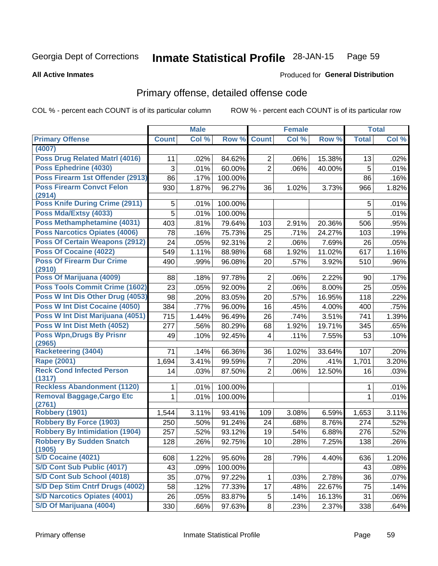#### Inmate Statistical Profile 28-JAN-15 Page 59

#### **All Active Inmates**

## **Produced for General Distribution**

## Primary offense, detailed offense code

COL % - percent each COUNT is of its particular column

|                                             |              | <b>Male</b> |                  |                | <b>Female</b> |        |              | <b>Total</b> |
|---------------------------------------------|--------------|-------------|------------------|----------------|---------------|--------|--------------|--------------|
| <b>Primary Offense</b>                      | <b>Count</b> | Col %       | Row <sup>%</sup> | <b>Count</b>   | Col %         | Row %  | <b>Total</b> | Col %        |
| (4007)                                      |              |             |                  |                |               |        |              |              |
| <b>Poss Drug Related Matrl (4016)</b>       | 11           | .02%        | 84.62%           | $\overline{2}$ | .06%          | 15.38% | 13           | .02%         |
| Poss Ephedrine (4030)                       | 3            | .01%        | 60.00%           | $\overline{2}$ | .06%          | 40.00% | 5            | .01%         |
| Poss Firearm 1st Offender (2913)            | 86           | .17%        | 100.00%          |                |               |        | 86           | .16%         |
| <b>Poss Firearm Convct Felon</b>            | 930          | 1.87%       | 96.27%           | 36             | 1.02%         | 3.73%  | 966          | 1.82%        |
| (2914)                                      |              |             |                  |                |               |        |              |              |
| Poss Knife During Crime (2911)              | 5            | .01%        | 100.00%          |                |               |        | 5            | .01%         |
| Poss Mda/Extsy (4033)                       | 5            | .01%        | 100.00%          |                |               |        | 5            | .01%         |
| Poss Methamphetamine (4031)                 | 403          | .81%        | 79.64%           | 103            | 2.91%         | 20.36% | 506          | .95%         |
| <b>Poss Narcotics Opiates (4006)</b>        | 78           | .16%        | 75.73%           | 25             | .71%          | 24.27% | 103          | .19%         |
| <b>Poss Of Certain Weapons (2912)</b>       | 24           | .05%        | 92.31%           | $\overline{2}$ | .06%          | 7.69%  | 26           | .05%         |
| <b>Poss Of Cocaine (4022)</b>               | 549          | 1.11%       | 88.98%           | 68             | 1.92%         | 11.02% | 617          | 1.16%        |
| <b>Poss Of Firearm Dur Crime</b><br>(2910)  | 490          | .99%        | 96.08%           | 20             | .57%          | 3.92%  | 510          | .96%         |
| Poss Of Marijuana (4009)                    | 88           | .18%        | 97.78%           | $\overline{2}$ | .06%          | 2.22%  | 90           | .17%         |
| <b>Poss Tools Commit Crime (1602)</b>       | 23           | .05%        | 92.00%           | $\overline{2}$ | .06%          | 8.00%  | 25           | .05%         |
| Poss W Int Dis Other Drug (4053)            | 98           | .20%        | 83.05%           | 20             | .57%          | 16.95% | 118          | .22%         |
| <b>Poss W Int Dist Cocaine (4050)</b>       | 384          | .77%        | 96.00%           | 16             | .45%          | 4.00%  | 400          | .75%         |
| Poss W Int Dist Marijuana (4051)            | 715          | 1.44%       | 96.49%           | 26             | .74%          | 3.51%  | 741          | 1.39%        |
| Poss W Int Dist Meth (4052)                 | 277          | .56%        | 80.29%           | 68             | 1.92%         | 19.71% | 345          | .65%         |
| <b>Poss Wpn, Drugs By Prisnr</b>            | 49           | .10%        | 92.45%           | 4              | .11%          | 7.55%  | 53           | .10%         |
| (2965)<br><b>Racketeering (3404)</b>        |              |             |                  |                |               |        |              |              |
| <b>Rape (2001)</b>                          | 71           | .14%        | 66.36%           | 36             | 1.02%         | 33.64% | 107          | .20%         |
| <b>Reck Cond Infected Person</b>            | 1,694        | 3.41%       | 99.59%           | $\overline{7}$ | .20%          | .41%   | 1,701        | 3.20%        |
| (1317)                                      | 14           | .03%        | 87.50%           | $\overline{2}$ | .06%          | 12.50% | 16           | .03%         |
| <b>Reckless Abandonment (1120)</b>          | 1            | .01%        | 100.00%          |                |               |        | 1            | .01%         |
| <b>Removal Baggage, Cargo Etc</b><br>(2761) | 1            | .01%        | 100.00%          |                |               |        | 1            | .01%         |
| <b>Robbery (1901)</b>                       | 1,544        | 3.11%       | 93.41%           | 109            | 3.08%         | 6.59%  | 1,653        | 3.11%        |
| <b>Robbery By Force (1903)</b>              | 250          | .50%        | 91.24%           | 24             | .68%          | 8.76%  | 274          | .52%         |
| <b>Robbery By Intimidation (1904)</b>       | 257          | .52%        | 93.12%           | 19             | .54%          | 6.88%  | 276          | .52%         |
| <b>Robbery By Sudden Snatch</b><br>(1905)   | 128          | .26%        | 92.75%           | 10             | .28%          | 7.25%  | 138          | .26%         |
| S/D Cocaine (4021)                          | 608          | 1.22%       | 95.60%           | 28             | .79%          | 4.40%  | 636          | 1.20%        |
| <b>S/D Cont Sub Public (4017)</b>           | 43           | .09%        | 100.00%          |                |               |        | 43           | .08%         |
| S/D Cont Sub School (4018)                  | 35           | .07%        | 97.22%           | 1              | .03%          | 2.78%  | 36           | .07%         |
| S/D Dep Stim Cntrf Drugs (4002)             | 58           | .12%        | 77.33%           | 17             | .48%          | 22.67% | 75           | .14%         |
| <b>S/D Narcotics Opiates (4001)</b>         | 26           | .05%        | 83.87%           | 5              | .14%          | 16.13% | 31           | .06%         |
| S/D Of Marijuana (4004)                     | 330          | .66%        | 97.63%           | 8              | .23%          | 2.37%  | 338          | .64%         |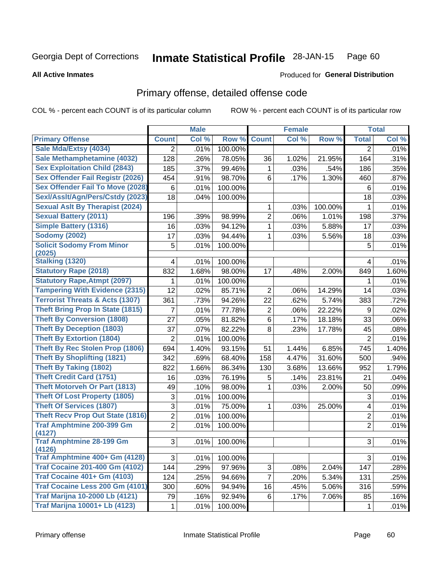#### **Inmate Statistical Profile 28-JAN-15** Page 60

**All Active Inmates** 

### **Produced for General Distribution**

## Primary offense, detailed offense code

COL % - percent each COUNT is of its particular column

| Col %<br>Col %<br>Row %<br>Col %<br><b>Primary Offense</b><br><b>Count</b><br>Row %<br><b>Count</b><br><b>Total</b><br>Sale Mda/Extsy (4034)<br>100.00%<br>.01%<br>$\overline{2}$<br>.01%<br>$\overline{2}$<br>Sale Methamphetamine (4032)<br>128<br>78.05%<br>.26%<br>36<br>1.02%<br>21.95%<br>164<br>.31%<br><b>Sex Exploitation Child (2843)</b><br>185<br>.37%<br>99.46%<br>.03%<br>.54%<br>186<br>.35%<br>1<br><b>Sex Offender Fail Registr (2026)</b><br>454<br>.91%<br>98.70%<br>6<br>.17%<br>1.30%<br>.87%<br>460<br><b>Sex Offender Fail To Move (2028)</b><br>6<br>100.00%<br>.01%<br>.01%<br>6<br>Sexl/Asslt/Agn/Pers/Cstdy (2023)<br>18<br>100.00%<br>18<br>.03%<br>.04%<br><b>Sexual Asit By Therapist (2024)</b><br>100.00%<br>.01%<br>1<br>.03%<br>1<br><b>Sexual Battery (2011)</b><br>$\overline{2}$<br>.39%<br>98.99%<br>1.01%<br>.37%<br>196<br>.06%<br>198<br><b>Simple Battery (1316)</b><br>94.12%<br>1<br>16<br>.03%<br>.03%<br>5.88%<br>17<br>.03%<br><b>Sodomy (2002)</b><br>17<br>94.44%<br>.03%<br>.03%<br>5.56%<br>18<br>.03%<br>1<br><b>Solicit Sodomy From Minor</b><br>5<br>5<br>.01%<br>100.00%<br>.01%<br>(2025)<br><b>Stalking (1320)</b><br>.01%<br>.01%<br>100.00%<br>4<br>4<br><b>Statutory Rape (2018)</b><br>98.00%<br>17<br>832<br>1.68%<br>2.00%<br>849<br>1.60%<br>.48%<br><b>Statutory Rape, Atmpt (2097)</b><br>.01%<br>100.00%<br>.01%<br>1<br>1<br><b>Tampering With Evidence (2315)</b><br>$\overline{2}$<br>12<br>.02%<br>85.71%<br>14.29%<br>.06%<br>14<br>.03%<br><b>Terrorist Threats &amp; Acts (1307)</b><br>361<br>94.26%<br>22<br>5.74%<br>383<br>.73%<br>.62%<br>.72%<br><b>Theft Bring Prop In State (1815)</b><br>$\overline{2}$<br>7<br>.01%<br>77.78%<br>.06%<br>22.22%<br>.02%<br>9<br><b>Theft By Conversion (1808)</b><br>6<br>27<br>.05%<br>81.82%<br>.17%<br>18.18%<br>.06%<br>33<br><b>Theft By Deception (1803)</b><br>37<br>82.22%<br>8<br>17.78%<br>.07%<br>.23%<br>.08%<br>45<br><b>Theft By Extortion (1804)</b><br>2<br>.01%<br>100.00%<br>$\overline{2}$<br>.01%<br><b>Theft By Rec Stolen Prop (1806)</b><br>694<br>1.40%<br>93.15%<br>51<br>1.44%<br>6.85%<br>1.40%<br>745<br><b>Theft By Shoplifting (1821)</b><br>342<br>.69%<br>68.40%<br>4.47%<br>31.60%<br>.94%<br>158<br>500<br><b>Theft By Taking (1802)</b><br>1.66%<br>86.34%<br>822<br>130<br>3.68%<br>13.66%<br>952<br>1.79%<br><b>Theft Credit Card (1751)</b><br>76.19%<br>16<br>.03%<br>5<br>.14%<br>23.81%<br>21<br>.04%<br><b>Theft Motorveh Or Part (1813)</b><br>98.00%<br>49<br>.10%<br>1<br>.03%<br>.09%<br>2.00%<br>50<br><b>Theft Of Lost Property (1805)</b><br>3<br>.01%<br>100.00%<br>$\mathfrak{S}$<br>.01%<br><b>Theft Of Services (1807)</b><br>3<br>.01%<br>75.00%<br>25.00%<br>1<br>4<br>.01%<br>.03%<br><b>Theft Recv Prop Out State (1816)</b><br>$\overline{2}$<br>$\overline{2}$<br>.01%<br>100.00%<br>.01%<br><b>Traf Amphtmine 200-399 Gm</b><br>$\overline{2}$<br>$\overline{2}$<br>.01%<br>100.00%<br>.01%<br>(4127)<br><b>Traf Amphtmine 28-199 Gm</b><br>.01%<br>3 <sup>1</sup><br>3<br>$.01\%$<br>100.00%<br>(4126)<br>Traf Amphtmine 400+ Gm (4128)<br>3<br>3<br>.01%<br>100.00%<br>.01%<br><b>Traf Cocaine 201-400 Gm (4102)</b><br>144<br>.29%<br>97.96%<br>3<br>147<br>.08%<br>2.04%<br>.28%<br><b>Traf Cocaine 401+ Gm (4103)</b><br>$\overline{7}$<br>124<br>.25%<br>94.66%<br>.20%<br>131<br>.25%<br>5.34%<br>Traf Cocaine Less 200 Gm (4101)<br>.59%<br>300<br>.60%<br>94.94%<br>16<br>.45%<br>5.06%<br>316<br><b>Traf Marijna 10-2000 Lb (4121)</b><br>79<br>.16%<br>92.94%<br>6<br>7.06%<br>.17%<br>85<br>.16% |                                      |   | <b>Male</b> |         | <b>Female</b> |   | <b>Total</b> |
|----------------------------------------------------------------------------------------------------------------------------------------------------------------------------------------------------------------------------------------------------------------------------------------------------------------------------------------------------------------------------------------------------------------------------------------------------------------------------------------------------------------------------------------------------------------------------------------------------------------------------------------------------------------------------------------------------------------------------------------------------------------------------------------------------------------------------------------------------------------------------------------------------------------------------------------------------------------------------------------------------------------------------------------------------------------------------------------------------------------------------------------------------------------------------------------------------------------------------------------------------------------------------------------------------------------------------------------------------------------------------------------------------------------------------------------------------------------------------------------------------------------------------------------------------------------------------------------------------------------------------------------------------------------------------------------------------------------------------------------------------------------------------------------------------------------------------------------------------------------------------------------------------------------------------------------------------------------------------------------------------------------------------------------------------------------------------------------------------------------------------------------------------------------------------------------------------------------------------------------------------------------------------------------------------------------------------------------------------------------------------------------------------------------------------------------------------------------------------------------------------------------------------------------------------------------------------------------------------------------------------------------------------------------------------------------------------------------------------------------------------------------------------------------------------------------------------------------------------------------------------------------------------------------------------------------------------------------------------------------------------------------------------------------------------------------------------------------------------------------------------------------------------------------------------------------------------------------------------------------------------------------------------------------------------------------------------------------------------------------------------------------------------------------------------------------------------------------------------------------------------------------------------------------------------------------------------------------------|--------------------------------------|---|-------------|---------|---------------|---|--------------|
|                                                                                                                                                                                                                                                                                                                                                                                                                                                                                                                                                                                                                                                                                                                                                                                                                                                                                                                                                                                                                                                                                                                                                                                                                                                                                                                                                                                                                                                                                                                                                                                                                                                                                                                                                                                                                                                                                                                                                                                                                                                                                                                                                                                                                                                                                                                                                                                                                                                                                                                                                                                                                                                                                                                                                                                                                                                                                                                                                                                                                                                                                                                                                                                                                                                                                                                                                                                                                                                                                                                                                                                              |                                      |   |             |         |               |   |              |
|                                                                                                                                                                                                                                                                                                                                                                                                                                                                                                                                                                                                                                                                                                                                                                                                                                                                                                                                                                                                                                                                                                                                                                                                                                                                                                                                                                                                                                                                                                                                                                                                                                                                                                                                                                                                                                                                                                                                                                                                                                                                                                                                                                                                                                                                                                                                                                                                                                                                                                                                                                                                                                                                                                                                                                                                                                                                                                                                                                                                                                                                                                                                                                                                                                                                                                                                                                                                                                                                                                                                                                                              |                                      |   |             |         |               |   |              |
|                                                                                                                                                                                                                                                                                                                                                                                                                                                                                                                                                                                                                                                                                                                                                                                                                                                                                                                                                                                                                                                                                                                                                                                                                                                                                                                                                                                                                                                                                                                                                                                                                                                                                                                                                                                                                                                                                                                                                                                                                                                                                                                                                                                                                                                                                                                                                                                                                                                                                                                                                                                                                                                                                                                                                                                                                                                                                                                                                                                                                                                                                                                                                                                                                                                                                                                                                                                                                                                                                                                                                                                              |                                      |   |             |         |               |   |              |
|                                                                                                                                                                                                                                                                                                                                                                                                                                                                                                                                                                                                                                                                                                                                                                                                                                                                                                                                                                                                                                                                                                                                                                                                                                                                                                                                                                                                                                                                                                                                                                                                                                                                                                                                                                                                                                                                                                                                                                                                                                                                                                                                                                                                                                                                                                                                                                                                                                                                                                                                                                                                                                                                                                                                                                                                                                                                                                                                                                                                                                                                                                                                                                                                                                                                                                                                                                                                                                                                                                                                                                                              |                                      |   |             |         |               |   |              |
|                                                                                                                                                                                                                                                                                                                                                                                                                                                                                                                                                                                                                                                                                                                                                                                                                                                                                                                                                                                                                                                                                                                                                                                                                                                                                                                                                                                                                                                                                                                                                                                                                                                                                                                                                                                                                                                                                                                                                                                                                                                                                                                                                                                                                                                                                                                                                                                                                                                                                                                                                                                                                                                                                                                                                                                                                                                                                                                                                                                                                                                                                                                                                                                                                                                                                                                                                                                                                                                                                                                                                                                              |                                      |   |             |         |               |   |              |
|                                                                                                                                                                                                                                                                                                                                                                                                                                                                                                                                                                                                                                                                                                                                                                                                                                                                                                                                                                                                                                                                                                                                                                                                                                                                                                                                                                                                                                                                                                                                                                                                                                                                                                                                                                                                                                                                                                                                                                                                                                                                                                                                                                                                                                                                                                                                                                                                                                                                                                                                                                                                                                                                                                                                                                                                                                                                                                                                                                                                                                                                                                                                                                                                                                                                                                                                                                                                                                                                                                                                                                                              |                                      |   |             |         |               |   |              |
|                                                                                                                                                                                                                                                                                                                                                                                                                                                                                                                                                                                                                                                                                                                                                                                                                                                                                                                                                                                                                                                                                                                                                                                                                                                                                                                                                                                                                                                                                                                                                                                                                                                                                                                                                                                                                                                                                                                                                                                                                                                                                                                                                                                                                                                                                                                                                                                                                                                                                                                                                                                                                                                                                                                                                                                                                                                                                                                                                                                                                                                                                                                                                                                                                                                                                                                                                                                                                                                                                                                                                                                              |                                      |   |             |         |               |   |              |
|                                                                                                                                                                                                                                                                                                                                                                                                                                                                                                                                                                                                                                                                                                                                                                                                                                                                                                                                                                                                                                                                                                                                                                                                                                                                                                                                                                                                                                                                                                                                                                                                                                                                                                                                                                                                                                                                                                                                                                                                                                                                                                                                                                                                                                                                                                                                                                                                                                                                                                                                                                                                                                                                                                                                                                                                                                                                                                                                                                                                                                                                                                                                                                                                                                                                                                                                                                                                                                                                                                                                                                                              |                                      |   |             |         |               |   |              |
|                                                                                                                                                                                                                                                                                                                                                                                                                                                                                                                                                                                                                                                                                                                                                                                                                                                                                                                                                                                                                                                                                                                                                                                                                                                                                                                                                                                                                                                                                                                                                                                                                                                                                                                                                                                                                                                                                                                                                                                                                                                                                                                                                                                                                                                                                                                                                                                                                                                                                                                                                                                                                                                                                                                                                                                                                                                                                                                                                                                                                                                                                                                                                                                                                                                                                                                                                                                                                                                                                                                                                                                              |                                      |   |             |         |               |   |              |
|                                                                                                                                                                                                                                                                                                                                                                                                                                                                                                                                                                                                                                                                                                                                                                                                                                                                                                                                                                                                                                                                                                                                                                                                                                                                                                                                                                                                                                                                                                                                                                                                                                                                                                                                                                                                                                                                                                                                                                                                                                                                                                                                                                                                                                                                                                                                                                                                                                                                                                                                                                                                                                                                                                                                                                                                                                                                                                                                                                                                                                                                                                                                                                                                                                                                                                                                                                                                                                                                                                                                                                                              |                                      |   |             |         |               |   |              |
|                                                                                                                                                                                                                                                                                                                                                                                                                                                                                                                                                                                                                                                                                                                                                                                                                                                                                                                                                                                                                                                                                                                                                                                                                                                                                                                                                                                                                                                                                                                                                                                                                                                                                                                                                                                                                                                                                                                                                                                                                                                                                                                                                                                                                                                                                                                                                                                                                                                                                                                                                                                                                                                                                                                                                                                                                                                                                                                                                                                                                                                                                                                                                                                                                                                                                                                                                                                                                                                                                                                                                                                              |                                      |   |             |         |               |   |              |
|                                                                                                                                                                                                                                                                                                                                                                                                                                                                                                                                                                                                                                                                                                                                                                                                                                                                                                                                                                                                                                                                                                                                                                                                                                                                                                                                                                                                                                                                                                                                                                                                                                                                                                                                                                                                                                                                                                                                                                                                                                                                                                                                                                                                                                                                                                                                                                                                                                                                                                                                                                                                                                                                                                                                                                                                                                                                                                                                                                                                                                                                                                                                                                                                                                                                                                                                                                                                                                                                                                                                                                                              |                                      |   |             |         |               |   |              |
|                                                                                                                                                                                                                                                                                                                                                                                                                                                                                                                                                                                                                                                                                                                                                                                                                                                                                                                                                                                                                                                                                                                                                                                                                                                                                                                                                                                                                                                                                                                                                                                                                                                                                                                                                                                                                                                                                                                                                                                                                                                                                                                                                                                                                                                                                                                                                                                                                                                                                                                                                                                                                                                                                                                                                                                                                                                                                                                                                                                                                                                                                                                                                                                                                                                                                                                                                                                                                                                                                                                                                                                              |                                      |   |             |         |               |   |              |
|                                                                                                                                                                                                                                                                                                                                                                                                                                                                                                                                                                                                                                                                                                                                                                                                                                                                                                                                                                                                                                                                                                                                                                                                                                                                                                                                                                                                                                                                                                                                                                                                                                                                                                                                                                                                                                                                                                                                                                                                                                                                                                                                                                                                                                                                                                                                                                                                                                                                                                                                                                                                                                                                                                                                                                                                                                                                                                                                                                                                                                                                                                                                                                                                                                                                                                                                                                                                                                                                                                                                                                                              |                                      |   |             |         |               |   |              |
|                                                                                                                                                                                                                                                                                                                                                                                                                                                                                                                                                                                                                                                                                                                                                                                                                                                                                                                                                                                                                                                                                                                                                                                                                                                                                                                                                                                                                                                                                                                                                                                                                                                                                                                                                                                                                                                                                                                                                                                                                                                                                                                                                                                                                                                                                                                                                                                                                                                                                                                                                                                                                                                                                                                                                                                                                                                                                                                                                                                                                                                                                                                                                                                                                                                                                                                                                                                                                                                                                                                                                                                              |                                      |   |             |         |               |   |              |
|                                                                                                                                                                                                                                                                                                                                                                                                                                                                                                                                                                                                                                                                                                                                                                                                                                                                                                                                                                                                                                                                                                                                                                                                                                                                                                                                                                                                                                                                                                                                                                                                                                                                                                                                                                                                                                                                                                                                                                                                                                                                                                                                                                                                                                                                                                                                                                                                                                                                                                                                                                                                                                                                                                                                                                                                                                                                                                                                                                                                                                                                                                                                                                                                                                                                                                                                                                                                                                                                                                                                                                                              |                                      |   |             |         |               |   |              |
|                                                                                                                                                                                                                                                                                                                                                                                                                                                                                                                                                                                                                                                                                                                                                                                                                                                                                                                                                                                                                                                                                                                                                                                                                                                                                                                                                                                                                                                                                                                                                                                                                                                                                                                                                                                                                                                                                                                                                                                                                                                                                                                                                                                                                                                                                                                                                                                                                                                                                                                                                                                                                                                                                                                                                                                                                                                                                                                                                                                                                                                                                                                                                                                                                                                                                                                                                                                                                                                                                                                                                                                              |                                      |   |             |         |               |   |              |
|                                                                                                                                                                                                                                                                                                                                                                                                                                                                                                                                                                                                                                                                                                                                                                                                                                                                                                                                                                                                                                                                                                                                                                                                                                                                                                                                                                                                                                                                                                                                                                                                                                                                                                                                                                                                                                                                                                                                                                                                                                                                                                                                                                                                                                                                                                                                                                                                                                                                                                                                                                                                                                                                                                                                                                                                                                                                                                                                                                                                                                                                                                                                                                                                                                                                                                                                                                                                                                                                                                                                                                                              |                                      |   |             |         |               |   |              |
|                                                                                                                                                                                                                                                                                                                                                                                                                                                                                                                                                                                                                                                                                                                                                                                                                                                                                                                                                                                                                                                                                                                                                                                                                                                                                                                                                                                                                                                                                                                                                                                                                                                                                                                                                                                                                                                                                                                                                                                                                                                                                                                                                                                                                                                                                                                                                                                                                                                                                                                                                                                                                                                                                                                                                                                                                                                                                                                                                                                                                                                                                                                                                                                                                                                                                                                                                                                                                                                                                                                                                                                              |                                      |   |             |         |               |   |              |
|                                                                                                                                                                                                                                                                                                                                                                                                                                                                                                                                                                                                                                                                                                                                                                                                                                                                                                                                                                                                                                                                                                                                                                                                                                                                                                                                                                                                                                                                                                                                                                                                                                                                                                                                                                                                                                                                                                                                                                                                                                                                                                                                                                                                                                                                                                                                                                                                                                                                                                                                                                                                                                                                                                                                                                                                                                                                                                                                                                                                                                                                                                                                                                                                                                                                                                                                                                                                                                                                                                                                                                                              |                                      |   |             |         |               |   |              |
|                                                                                                                                                                                                                                                                                                                                                                                                                                                                                                                                                                                                                                                                                                                                                                                                                                                                                                                                                                                                                                                                                                                                                                                                                                                                                                                                                                                                                                                                                                                                                                                                                                                                                                                                                                                                                                                                                                                                                                                                                                                                                                                                                                                                                                                                                                                                                                                                                                                                                                                                                                                                                                                                                                                                                                                                                                                                                                                                                                                                                                                                                                                                                                                                                                                                                                                                                                                                                                                                                                                                                                                              |                                      |   |             |         |               |   |              |
|                                                                                                                                                                                                                                                                                                                                                                                                                                                                                                                                                                                                                                                                                                                                                                                                                                                                                                                                                                                                                                                                                                                                                                                                                                                                                                                                                                                                                                                                                                                                                                                                                                                                                                                                                                                                                                                                                                                                                                                                                                                                                                                                                                                                                                                                                                                                                                                                                                                                                                                                                                                                                                                                                                                                                                                                                                                                                                                                                                                                                                                                                                                                                                                                                                                                                                                                                                                                                                                                                                                                                                                              |                                      |   |             |         |               |   |              |
|                                                                                                                                                                                                                                                                                                                                                                                                                                                                                                                                                                                                                                                                                                                                                                                                                                                                                                                                                                                                                                                                                                                                                                                                                                                                                                                                                                                                                                                                                                                                                                                                                                                                                                                                                                                                                                                                                                                                                                                                                                                                                                                                                                                                                                                                                                                                                                                                                                                                                                                                                                                                                                                                                                                                                                                                                                                                                                                                                                                                                                                                                                                                                                                                                                                                                                                                                                                                                                                                                                                                                                                              |                                      |   |             |         |               |   |              |
|                                                                                                                                                                                                                                                                                                                                                                                                                                                                                                                                                                                                                                                                                                                                                                                                                                                                                                                                                                                                                                                                                                                                                                                                                                                                                                                                                                                                                                                                                                                                                                                                                                                                                                                                                                                                                                                                                                                                                                                                                                                                                                                                                                                                                                                                                                                                                                                                                                                                                                                                                                                                                                                                                                                                                                                                                                                                                                                                                                                                                                                                                                                                                                                                                                                                                                                                                                                                                                                                                                                                                                                              |                                      |   |             |         |               |   |              |
|                                                                                                                                                                                                                                                                                                                                                                                                                                                                                                                                                                                                                                                                                                                                                                                                                                                                                                                                                                                                                                                                                                                                                                                                                                                                                                                                                                                                                                                                                                                                                                                                                                                                                                                                                                                                                                                                                                                                                                                                                                                                                                                                                                                                                                                                                                                                                                                                                                                                                                                                                                                                                                                                                                                                                                                                                                                                                                                                                                                                                                                                                                                                                                                                                                                                                                                                                                                                                                                                                                                                                                                              |                                      |   |             |         |               |   |              |
|                                                                                                                                                                                                                                                                                                                                                                                                                                                                                                                                                                                                                                                                                                                                                                                                                                                                                                                                                                                                                                                                                                                                                                                                                                                                                                                                                                                                                                                                                                                                                                                                                                                                                                                                                                                                                                                                                                                                                                                                                                                                                                                                                                                                                                                                                                                                                                                                                                                                                                                                                                                                                                                                                                                                                                                                                                                                                                                                                                                                                                                                                                                                                                                                                                                                                                                                                                                                                                                                                                                                                                                              |                                      |   |             |         |               |   |              |
|                                                                                                                                                                                                                                                                                                                                                                                                                                                                                                                                                                                                                                                                                                                                                                                                                                                                                                                                                                                                                                                                                                                                                                                                                                                                                                                                                                                                                                                                                                                                                                                                                                                                                                                                                                                                                                                                                                                                                                                                                                                                                                                                                                                                                                                                                                                                                                                                                                                                                                                                                                                                                                                                                                                                                                                                                                                                                                                                                                                                                                                                                                                                                                                                                                                                                                                                                                                                                                                                                                                                                                                              |                                      |   |             |         |               |   |              |
|                                                                                                                                                                                                                                                                                                                                                                                                                                                                                                                                                                                                                                                                                                                                                                                                                                                                                                                                                                                                                                                                                                                                                                                                                                                                                                                                                                                                                                                                                                                                                                                                                                                                                                                                                                                                                                                                                                                                                                                                                                                                                                                                                                                                                                                                                                                                                                                                                                                                                                                                                                                                                                                                                                                                                                                                                                                                                                                                                                                                                                                                                                                                                                                                                                                                                                                                                                                                                                                                                                                                                                                              |                                      |   |             |         |               |   |              |
|                                                                                                                                                                                                                                                                                                                                                                                                                                                                                                                                                                                                                                                                                                                                                                                                                                                                                                                                                                                                                                                                                                                                                                                                                                                                                                                                                                                                                                                                                                                                                                                                                                                                                                                                                                                                                                                                                                                                                                                                                                                                                                                                                                                                                                                                                                                                                                                                                                                                                                                                                                                                                                                                                                                                                                                                                                                                                                                                                                                                                                                                                                                                                                                                                                                                                                                                                                                                                                                                                                                                                                                              |                                      |   |             |         |               |   |              |
|                                                                                                                                                                                                                                                                                                                                                                                                                                                                                                                                                                                                                                                                                                                                                                                                                                                                                                                                                                                                                                                                                                                                                                                                                                                                                                                                                                                                                                                                                                                                                                                                                                                                                                                                                                                                                                                                                                                                                                                                                                                                                                                                                                                                                                                                                                                                                                                                                                                                                                                                                                                                                                                                                                                                                                                                                                                                                                                                                                                                                                                                                                                                                                                                                                                                                                                                                                                                                                                                                                                                                                                              |                                      |   |             |         |               |   |              |
|                                                                                                                                                                                                                                                                                                                                                                                                                                                                                                                                                                                                                                                                                                                                                                                                                                                                                                                                                                                                                                                                                                                                                                                                                                                                                                                                                                                                                                                                                                                                                                                                                                                                                                                                                                                                                                                                                                                                                                                                                                                                                                                                                                                                                                                                                                                                                                                                                                                                                                                                                                                                                                                                                                                                                                                                                                                                                                                                                                                                                                                                                                                                                                                                                                                                                                                                                                                                                                                                                                                                                                                              |                                      |   |             |         |               |   |              |
|                                                                                                                                                                                                                                                                                                                                                                                                                                                                                                                                                                                                                                                                                                                                                                                                                                                                                                                                                                                                                                                                                                                                                                                                                                                                                                                                                                                                                                                                                                                                                                                                                                                                                                                                                                                                                                                                                                                                                                                                                                                                                                                                                                                                                                                                                                                                                                                                                                                                                                                                                                                                                                                                                                                                                                                                                                                                                                                                                                                                                                                                                                                                                                                                                                                                                                                                                                                                                                                                                                                                                                                              |                                      |   |             |         |               |   |              |
|                                                                                                                                                                                                                                                                                                                                                                                                                                                                                                                                                                                                                                                                                                                                                                                                                                                                                                                                                                                                                                                                                                                                                                                                                                                                                                                                                                                                                                                                                                                                                                                                                                                                                                                                                                                                                                                                                                                                                                                                                                                                                                                                                                                                                                                                                                                                                                                                                                                                                                                                                                                                                                                                                                                                                                                                                                                                                                                                                                                                                                                                                                                                                                                                                                                                                                                                                                                                                                                                                                                                                                                              |                                      |   |             |         |               |   |              |
|                                                                                                                                                                                                                                                                                                                                                                                                                                                                                                                                                                                                                                                                                                                                                                                                                                                                                                                                                                                                                                                                                                                                                                                                                                                                                                                                                                                                                                                                                                                                                                                                                                                                                                                                                                                                                                                                                                                                                                                                                                                                                                                                                                                                                                                                                                                                                                                                                                                                                                                                                                                                                                                                                                                                                                                                                                                                                                                                                                                                                                                                                                                                                                                                                                                                                                                                                                                                                                                                                                                                                                                              |                                      |   |             |         |               |   |              |
|                                                                                                                                                                                                                                                                                                                                                                                                                                                                                                                                                                                                                                                                                                                                                                                                                                                                                                                                                                                                                                                                                                                                                                                                                                                                                                                                                                                                                                                                                                                                                                                                                                                                                                                                                                                                                                                                                                                                                                                                                                                                                                                                                                                                                                                                                                                                                                                                                                                                                                                                                                                                                                                                                                                                                                                                                                                                                                                                                                                                                                                                                                                                                                                                                                                                                                                                                                                                                                                                                                                                                                                              |                                      |   |             |         |               |   |              |
|                                                                                                                                                                                                                                                                                                                                                                                                                                                                                                                                                                                                                                                                                                                                                                                                                                                                                                                                                                                                                                                                                                                                                                                                                                                                                                                                                                                                                                                                                                                                                                                                                                                                                                                                                                                                                                                                                                                                                                                                                                                                                                                                                                                                                                                                                                                                                                                                                                                                                                                                                                                                                                                                                                                                                                                                                                                                                                                                                                                                                                                                                                                                                                                                                                                                                                                                                                                                                                                                                                                                                                                              |                                      |   |             |         |               |   |              |
|                                                                                                                                                                                                                                                                                                                                                                                                                                                                                                                                                                                                                                                                                                                                                                                                                                                                                                                                                                                                                                                                                                                                                                                                                                                                                                                                                                                                                                                                                                                                                                                                                                                                                                                                                                                                                                                                                                                                                                                                                                                                                                                                                                                                                                                                                                                                                                                                                                                                                                                                                                                                                                                                                                                                                                                                                                                                                                                                                                                                                                                                                                                                                                                                                                                                                                                                                                                                                                                                                                                                                                                              |                                      |   |             |         |               |   |              |
|                                                                                                                                                                                                                                                                                                                                                                                                                                                                                                                                                                                                                                                                                                                                                                                                                                                                                                                                                                                                                                                                                                                                                                                                                                                                                                                                                                                                                                                                                                                                                                                                                                                                                                                                                                                                                                                                                                                                                                                                                                                                                                                                                                                                                                                                                                                                                                                                                                                                                                                                                                                                                                                                                                                                                                                                                                                                                                                                                                                                                                                                                                                                                                                                                                                                                                                                                                                                                                                                                                                                                                                              | <b>Traf Marijna 10001+ Lb (4123)</b> | 1 | .01%        | 100.00% |               | 1 | .01%         |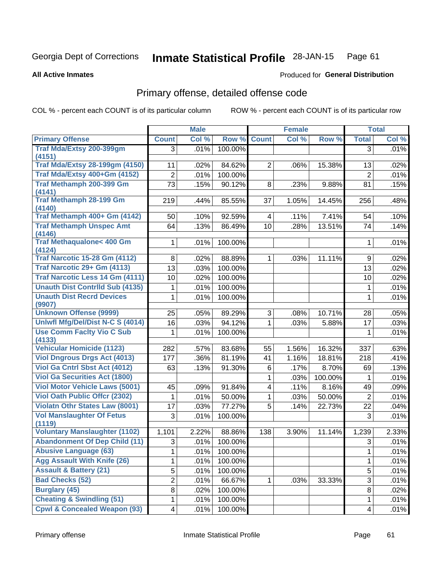#### Inmate Statistical Profile 28-JAN-15 Page 61

#### **All Active Inmates**

## **Produced for General Distribution**

## Primary offense, detailed offense code

COL % - percent each COUNT is of its particular column

|                                                                       |                          | <b>Male</b> |         |                | <b>Female</b> |         |                | <b>Total</b> |
|-----------------------------------------------------------------------|--------------------------|-------------|---------|----------------|---------------|---------|----------------|--------------|
| <b>Primary Offense</b>                                                | <b>Count</b>             | Col %       | Row %   | <b>Count</b>   | Col %         | Row %   | <b>Total</b>   | Col %        |
| Traf Mda/Extsy 200-399gm                                              | 3                        | .01%        | 100.00% |                |               |         | 3              | .01%         |
| (4151)                                                                |                          |             |         |                |               |         |                |              |
| <b>Traf Mda/Extsy 28-199gm (4150)</b><br>Traf Mda/Extsy 400+Gm (4152) | 11                       | .02%        | 84.62%  | $\overline{2}$ | .06%          | 15.38%  | 13             | .02%         |
|                                                                       | $\overline{2}$           | .01%        | 100.00% |                |               |         | $\overline{2}$ | .01%         |
| <b>Traf Methamph 200-399 Gm</b><br>(4141)                             | 73                       | .15%        | 90.12%  | 8              | .23%          | 9.88%   | 81             | .15%         |
| <b>Traf Methamph 28-199 Gm</b><br>(4140)                              | 219                      | .44%        | 85.55%  | 37             | 1.05%         | 14.45%  | 256            | .48%         |
| Traf Methamph 400+ Gm (4142)                                          | 50                       | .10%        | 92.59%  | 4              | .11%          | 7.41%   | 54             | .10%         |
| <b>Traf Methamph Unspec Amt</b><br>(4146)                             | 64                       | .13%        | 86.49%  | 10             | .28%          | 13.51%  | 74             | .14%         |
| <b>Traf Methaqualone&lt; 400 Gm</b><br>(4124)                         | $\mathbf{1}$             | .01%        | 100.00% |                |               |         | 1              | .01%         |
| <b>Traf Narcotic 15-28 Gm (4112)</b>                                  | 8                        | .02%        | 88.89%  | 1              | .03%          | 11.11%  | 9              | .02%         |
| Traf Narcotic 29+ Gm (4113)                                           | 13                       | .03%        | 100.00% |                |               |         | 13             | .02%         |
| <b>Traf Narcotic Less 14 Gm (4111)</b>                                | 10                       | .02%        | 100.00% |                |               |         | 10             | .02%         |
| <b>Unauth Dist Contrild Sub (4135)</b>                                | 1                        | .01%        | 100.00% |                |               |         | 1              | .01%         |
| <b>Unauth Dist Recrd Devices</b><br>(9907)                            | 1                        | .01%        | 100.00% |                |               |         | 1              | .01%         |
| <b>Unknown Offense (9999)</b>                                         | 25                       | .05%        | 89.29%  | 3              | .08%          | 10.71%  | 28             | .05%         |
| Uniwfl Mfg/Del/Dist N-C S (4014)                                      | 16                       | .03%        | 94.12%  | $\mathbf{1}$   | .03%          | 5.88%   | 17             | .03%         |
| <b>Use Comm Facity Vio C Sub</b><br>(4133)                            | 1                        | .01%        | 100.00% |                |               |         | 1              | .01%         |
| <b>Vehicular Homicide (1123)</b>                                      | 282                      | .57%        | 83.68%  | 55             | 1.56%         | 16.32%  | 337            | .63%         |
| <b>Viol Dngrous Drgs Act (4013)</b>                                   | 177                      | .36%        | 81.19%  | 41             | 1.16%         | 18.81%  | 218            | .41%         |
| Viol Ga Cntrl Sbst Act (4012)                                         | 63                       | .13%        | 91.30%  | 6              | .17%          | 8.70%   | 69             | .13%         |
| <b>Viol Ga Securities Act (1800)</b>                                  |                          |             |         | $\mathbf{1}$   | .03%          | 100.00% | 1              | .01%         |
| <b>Viol Motor Vehicle Laws (5001)</b>                                 | 45                       | .09%        | 91.84%  | $\overline{4}$ | .11%          | 8.16%   | 49             | .09%         |
| <b>Viol Oath Public Offer (2302)</b>                                  | 1                        | .01%        | 50.00%  | 1              | .03%          | 50.00%  | $\overline{2}$ | .01%         |
| <b>Violatn Othr States Law (8001)</b>                                 | 17                       | .03%        | 77.27%  | 5              | .14%          | 22.73%  | 22             | .04%         |
| <b>Vol Manslaughter Of Fetus</b><br>(1119)                            | 3                        | .01%        | 100.00% |                |               |         | 3              | .01%         |
| <b>Voluntary Manslaughter (1102)</b>                                  | 1,101                    | 2.22%       | 88.86%  | 138            | 3.90%         | 11.14%  | 1,239          | 2.33%        |
| <b>Abandonment Of Dep Child (11)</b>                                  | 3                        | .01%        | 100.00% |                |               |         | 3              | .01%         |
| <b>Abusive Language (63)</b>                                          | 1                        | .01%        | 100.00% |                |               |         | 1              | .01%         |
| <b>Agg Assault With Knife (26)</b>                                    | 1                        | .01%        | 100.00% |                |               |         | 1              | .01%         |
| <b>Assault &amp; Battery (21)</b>                                     | 5                        | .01%        | 100.00% |                |               |         | 5              | .01%         |
| <b>Bad Checks (52)</b>                                                | $\overline{2}$           | .01%        | 66.67%  |                | .03%          | 33.33%  | 3              | .01%         |
| <b>Burglary (45)</b>                                                  | 8                        | .02%        | 100.00% |                |               |         | 8              | .02%         |
| <b>Cheating &amp; Swindling (51)</b>                                  | 1                        | .01%        | 100.00% |                |               |         | 1              | .01%         |
| <b>Cpwl &amp; Concealed Weapon (93)</b>                               | $\overline{\mathcal{A}}$ | .01%        | 100.00% |                |               |         | $\overline{4}$ | .01%         |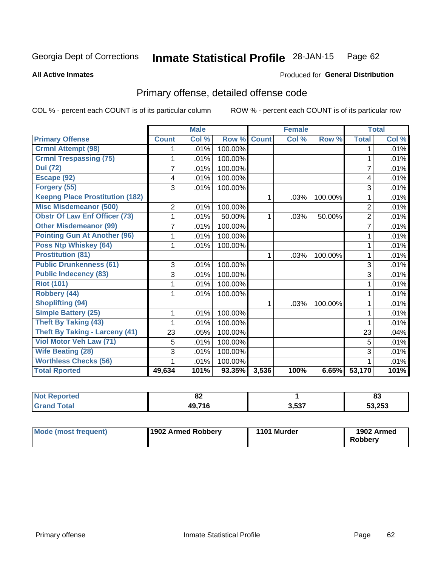#### Inmate Statistical Profile 28-JAN-15 Page 62

**All Active Inmates** 

## **Produced for General Distribution**

## Primary offense, detailed offense code

COL % - percent each COUNT is of its particular column

|                                        |                | <b>Male</b> |         |              | <b>Female</b> |         |                | <b>Total</b> |
|----------------------------------------|----------------|-------------|---------|--------------|---------------|---------|----------------|--------------|
| <b>Primary Offense</b>                 | <b>Count</b>   | Col %       | Row %   | <b>Count</b> | Col %         | Row %   | <b>Total</b>   | Col %        |
| <b>Crmnl Attempt (98)</b>              |                | .01%        | 100.00% |              |               |         | 1              | .01%         |
| <b>Crmnl Trespassing (75)</b>          | 1              | .01%        | 100.00% |              |               |         | 1              | .01%         |
| <b>Dui</b> (72)                        | $\overline{7}$ | .01%        | 100.00% |              |               |         | $\overline{7}$ | .01%         |
| Escape (92)                            | 4              | .01%        | 100.00% |              |               |         | 4              | .01%         |
| Forgery (55)                           | $\overline{3}$ | .01%        | 100.00% |              |               |         | 3              | .01%         |
| <b>Keepng Place Prostitution (182)</b> |                |             |         | 1            | .03%          | 100.00% | 1              | .01%         |
| <b>Misc Misdemeanor (500)</b>          | 2              | .01%        | 100.00% |              |               |         | $\overline{2}$ | .01%         |
| <b>Obstr Of Law Enf Officer (73)</b>   |                | .01%        | 50.00%  | 1            | .03%          | 50.00%  | $\overline{2}$ | .01%         |
| <b>Other Misdemeanor (99)</b>          | 7              | .01%        | 100.00% |              |               |         | $\overline{7}$ | .01%         |
| <b>Pointing Gun At Another (96)</b>    |                | .01%        | 100.00% |              |               |         |                | .01%         |
| <b>Poss Ntp Whiskey (64)</b>           | 1              | .01%        | 100.00% |              |               |         | 1              | .01%         |
| <b>Prostitution (81)</b>               |                |             |         | 1            | .03%          | 100.00% | 1              | .01%         |
| <b>Public Drunkenness (61)</b>         | 3              | .01%        | 100.00% |              |               |         | 3              | .01%         |
| <b>Public Indecency (83)</b>           | 3              | .01%        | 100.00% |              |               |         | 3              | .01%         |
| <b>Riot (101)</b>                      |                | .01%        | 100.00% |              |               |         |                | .01%         |
| Robbery (44)                           |                | .01%        | 100.00% |              |               |         | 1              | .01%         |
| <b>Shoplifting (94)</b>                |                |             |         | 1            | .03%          | 100.00% | 1              | .01%         |
| <b>Simple Battery (25)</b>             | 1              | .01%        | 100.00% |              |               |         | 1              | .01%         |
| <b>Theft By Taking (43)</b>            | 1              | .01%        | 100.00% |              |               |         | 1              | .01%         |
| <b>Theft By Taking - Larceny (41)</b>  | 23             | .05%        | 100.00% |              |               |         | 23             | .04%         |
| <b>Viol Motor Veh Law (71)</b>         | 5              | .01%        | 100.00% |              |               |         | 5              | .01%         |
| <b>Wife Beating (28)</b>               | 3              | .01%        | 100.00% |              |               |         | 3              | .01%         |
| <b>Worthless Checks (56)</b>           |                | .01%        | 100.00% |              |               |         |                | .01%         |
| <b>Total Rported</b>                   | 49,634         | 101%        | 93.35%  | 3,536        | 100%          | 6.65%   | 53,170         | 101%         |

| NOI    | 0C                    |       | 00     |
|--------|-----------------------|-------|--------|
| portea | ОZ                    |       | ൦ഄ     |
| 'ota.  | 49 71F<br>. IV<br>т., | 3,537 | 53,253 |

| <b>Mode (most frequent)</b> | 1902 Armed Robbery | 1101 Murder | 1902 Armed<br><b>Robbery</b> |
|-----------------------------|--------------------|-------------|------------------------------|
|-----------------------------|--------------------|-------------|------------------------------|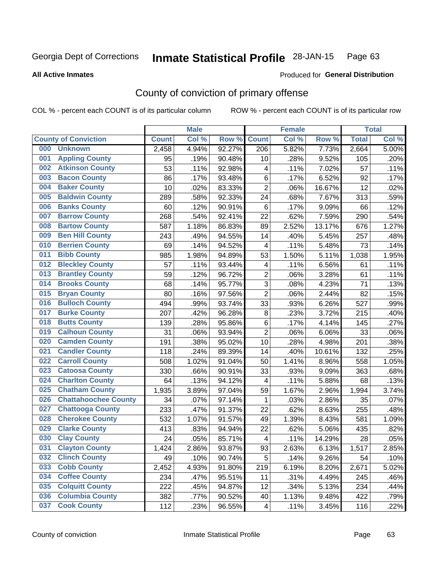#### **Inmate Statistical Profile 28-JAN-15** Page 63

**All Active Inmates** 

### Produced for General Distribution

## County of conviction of primary offense

COL % - percent each COUNT is of its particular column

|     |                             |              | <b>Male</b> |        |                          | <b>Female</b> |        |              | <b>Total</b> |
|-----|-----------------------------|--------------|-------------|--------|--------------------------|---------------|--------|--------------|--------------|
|     | <b>County of Conviction</b> | <b>Count</b> | Col %       | Row %  | <b>Count</b>             | Col %         | Row %  | <b>Total</b> | Col %        |
| 000 | <b>Unknown</b>              | 2,458        | 4.94%       | 92.27% | 206                      | 5.82%         | 7.73%  | 2,664        | 5.00%        |
| 001 | <b>Appling County</b>       | 95           | .19%        | 90.48% | 10                       | .28%          | 9.52%  | 105          | .20%         |
| 002 | <b>Atkinson County</b>      | 53           | .11%        | 92.98% | 4                        | .11%          | 7.02%  | 57           | .11%         |
| 003 | <b>Bacon County</b>         | 86           | .17%        | 93.48% | 6                        | .17%          | 6.52%  | 92           | .17%         |
| 004 | <b>Baker County</b>         | 10           | .02%        | 83.33% | $\overline{2}$           | .06%          | 16.67% | 12           | .02%         |
| 005 | <b>Baldwin County</b>       | 289          | .58%        | 92.33% | 24                       | .68%          | 7.67%  | 313          | .59%         |
| 006 | <b>Banks County</b>         | 60           | .12%        | 90.91% | 6                        | .17%          | 9.09%  | 66           | .12%         |
| 007 | <b>Barrow County</b>        | 268          | .54%        | 92.41% | 22                       | .62%          | 7.59%  | 290          | .54%         |
| 008 | <b>Bartow County</b>        | 587          | 1.18%       | 86.83% | 89                       | 2.52%         | 13.17% | 676          | 1.27%        |
| 009 | <b>Ben Hill County</b>      | 243          | .49%        | 94.55% | 14                       | .40%          | 5.45%  | 257          | .48%         |
| 010 | <b>Berrien County</b>       | 69           | .14%        | 94.52% | 4                        | .11%          | 5.48%  | 73           | .14%         |
| 011 | <b>Bibb County</b>          | 985          | 1.98%       | 94.89% | 53                       | 1.50%         | 5.11%  | 1,038        | 1.95%        |
| 012 | <b>Bleckley County</b>      | 57           | .11%        | 93.44% | 4                        | .11%          | 6.56%  | 61           | .11%         |
| 013 | <b>Brantley County</b>      | 59           | .12%        | 96.72% | $\overline{c}$           | .06%          | 3.28%  | 61           | .11%         |
| 014 | <b>Brooks County</b>        | 68           | .14%        | 95.77% | $\overline{3}$           | .08%          | 4.23%  | 71           | .13%         |
| 015 | <b>Bryan County</b>         | 80           | .16%        | 97.56% | $\overline{2}$           | .06%          | 2.44%  | 82           | .15%         |
| 016 | <b>Bulloch County</b>       | 494          | .99%        | 93.74% | 33                       | .93%          | 6.26%  | 527          | .99%         |
| 017 | <b>Burke County</b>         | 207          | .42%        | 96.28% | 8                        | .23%          | 3.72%  | 215          | .40%         |
| 018 | <b>Butts County</b>         | 139          | .28%        | 95.86% | 6                        | .17%          | 4.14%  | 145          | .27%         |
| 019 | <b>Calhoun County</b>       | 31           | .06%        | 93.94% | $\overline{2}$           | .06%          | 6.06%  | 33           | .06%         |
| 020 | <b>Camden County</b>        | 191          | .38%        | 95.02% | 10                       | .28%          | 4.98%  | 201          | .38%         |
| 021 | <b>Candler County</b>       | 118          | .24%        | 89.39% | 14                       | .40%          | 10.61% | 132          | .25%         |
| 022 | <b>Carroll County</b>       | 508          | 1.02%       | 91.04% | 50                       | 1.41%         | 8.96%  | 558          | 1.05%        |
| 023 | <b>Catoosa County</b>       | 330          | .66%        | 90.91% | 33                       | .93%          | 9.09%  | 363          | .68%         |
| 024 | <b>Charlton County</b>      | 64           | .13%        | 94.12% | 4                        | .11%          | 5.88%  | 68           | .13%         |
| 025 | <b>Chatham County</b>       | 1,935        | 3.89%       | 97.04% | 59                       | 1.67%         | 2.96%  | 1,994        | 3.74%        |
| 026 | <b>Chattahoochee County</b> | 34           | .07%        | 97.14% | 1                        | .03%          | 2.86%  | 35           | .07%         |
| 027 | <b>Chattooga County</b>     | 233          | .47%        | 91.37% | 22                       | .62%          | 8.63%  | 255          | .48%         |
| 028 | <b>Cherokee County</b>      | 532          | 1.07%       | 91.57% | 49                       | 1.39%         | 8.43%  | 581          | 1.09%        |
| 029 | <b>Clarke County</b>        | 413          | .83%        | 94.94% | 22                       | .62%          | 5.06%  | 435          | .82%         |
| 030 | <b>Clay County</b>          | 24           | .05%        | 85.71% | $\overline{\mathcal{A}}$ | .11%          | 14.29% | 28           | .05%         |
| 031 | <b>Clayton County</b>       | 1,424        | 2.86%       | 93.87% | 93                       | 2.63%         | 6.13%  | 1,517        | 2.85%        |
| 032 | <b>Clinch County</b>        | 49           | .10%        | 90.74% | 5                        | .14%          | 9.26%  | 54           | .10%         |
| 033 | <b>Cobb County</b>          | 2,452        | 4.93%       | 91.80% | 219                      | 6.19%         | 8.20%  | 2,671        | 5.02%        |
| 034 | <b>Coffee County</b>        | 234          | .47%        | 95.51% | 11                       | .31%          | 4.49%  | 245          | .46%         |
| 035 | <b>Colquitt County</b>      | 222          | .45%        | 94.87% | 12                       | .34%          | 5.13%  | 234          | .44%         |
| 036 | <b>Columbia County</b>      | 382          | .77%        | 90.52% | 40                       | 1.13%         | 9.48%  | 422          | .79%         |
| 037 | <b>Cook County</b>          | 112          | .23%        | 96.55% | 4                        | .11%          | 3.45%  | 116          | .22%         |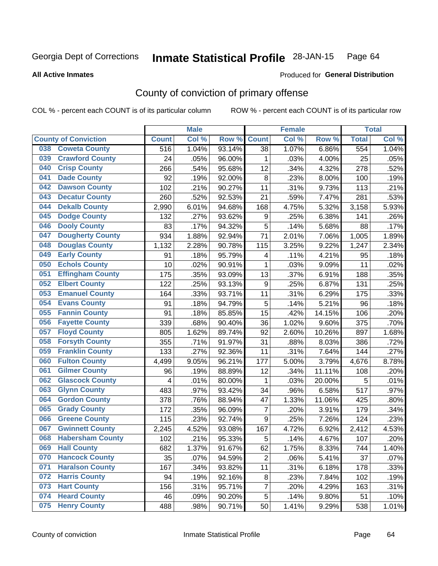#### **Inmate Statistical Profile 28-JAN-15** Page 64

### **All Active Inmates**

## **Produced for General Distribution**

## County of conviction of primary offense

COL % - percent each COUNT is of its particular column

|     |                             |              | <b>Male</b> |        |                  | <b>Female</b> |        |              | <b>Total</b> |
|-----|-----------------------------|--------------|-------------|--------|------------------|---------------|--------|--------------|--------------|
|     | <b>County of Conviction</b> | <b>Count</b> | Col %       | Row %  | <b>Count</b>     | Col %         | Row %  | <b>Total</b> | Col %        |
| 038 | <b>Coweta County</b>        | 516          | 1.04%       | 93.14% | 38               | 1.07%         | 6.86%  | 554          | 1.04%        |
| 039 | <b>Crawford County</b>      | 24           | .05%        | 96.00% | 1                | .03%          | 4.00%  | 25           | .05%         |
| 040 | <b>Crisp County</b>         | 266          | .54%        | 95.68% | 12               | .34%          | 4.32%  | 278          | .52%         |
| 041 | <b>Dade County</b>          | 92           | .19%        | 92.00% | 8                | .23%          | 8.00%  | 100          | .19%         |
| 042 | <b>Dawson County</b>        | 102          | .21%        | 90.27% | 11               | .31%          | 9.73%  | 113          | .21%         |
| 043 | <b>Decatur County</b>       | 260          | .52%        | 92.53% | 21               | .59%          | 7.47%  | 281          | .53%         |
| 044 | <b>Dekalb County</b>        | 2,990        | 6.01%       | 94.68% | 168              | 4.75%         | 5.32%  | 3,158        | 5.93%        |
| 045 | <b>Dodge County</b>         | 132          | .27%        | 93.62% | $\boldsymbol{9}$ | .25%          | 6.38%  | 141          | .26%         |
| 046 | <b>Dooly County</b>         | 83           | .17%        | 94.32% | 5                | .14%          | 5.68%  | 88           | .17%         |
| 047 | <b>Dougherty County</b>     | 934          | 1.88%       | 92.94% | 71               | 2.01%         | 7.06%  | 1,005        | 1.89%        |
| 048 | <b>Douglas County</b>       | 1,132        | 2.28%       | 90.78% | 115              | 3.25%         | 9.22%  | 1,247        | 2.34%        |
| 049 | <b>Early County</b>         | 91           | .18%        | 95.79% | 4                | .11%          | 4.21%  | 95           | .18%         |
| 050 | <b>Echols County</b>        | 10           | .02%        | 90.91% | $\mathbf{1}$     | .03%          | 9.09%  | 11           | .02%         |
| 051 | <b>Effingham County</b>     | 175          | .35%        | 93.09% | 13               | .37%          | 6.91%  | 188          | .35%         |
| 052 | <b>Elbert County</b>        | 122          | .25%        | 93.13% | $\boldsymbol{9}$ | .25%          | 6.87%  | 131          | .25%         |
| 053 | <b>Emanuel County</b>       | 164          | .33%        | 93.71% | 11               | .31%          | 6.29%  | 175          | .33%         |
| 054 | <b>Evans County</b>         | 91           | .18%        | 94.79% | 5                | .14%          | 5.21%  | 96           | .18%         |
| 055 | <b>Fannin County</b>        | 91           | .18%        | 85.85% | 15               | .42%          | 14.15% | 106          | .20%         |
| 056 | <b>Fayette County</b>       | 339          | .68%        | 90.40% | 36               | 1.02%         | 9.60%  | 375          | .70%         |
| 057 | <b>Floyd County</b>         | 805          | 1.62%       | 89.74% | 92               | 2.60%         | 10.26% | 897          | 1.68%        |
| 058 | <b>Forsyth County</b>       | 355          | .71%        | 91.97% | 31               | .88%          | 8.03%  | 386          | .72%         |
| 059 | <b>Franklin County</b>      | 133          | .27%        | 92.36% | 11               | .31%          | 7.64%  | 144          | .27%         |
| 060 | <b>Fulton County</b>        | 4,499        | 9.05%       | 96.21% | 177              | 5.00%         | 3.79%  | 4,676        | 8.78%        |
| 061 | <b>Gilmer County</b>        | 96           | .19%        | 88.89% | 12               | .34%          | 11.11% | 108          | .20%         |
| 062 | <b>Glascock County</b>      | 4            | .01%        | 80.00% | $\mathbf{1}$     | .03%          | 20.00% | 5            | .01%         |
| 063 | <b>Glynn County</b>         | 483          | .97%        | 93.42% | 34               | .96%          | 6.58%  | 517          | .97%         |
| 064 | <b>Gordon County</b>        | 378          | .76%        | 88.94% | 47               | 1.33%         | 11.06% | 425          | .80%         |
| 065 | <b>Grady County</b>         | 172          | .35%        | 96.09% | 7                | .20%          | 3.91%  | 179          | .34%         |
| 066 | <b>Greene County</b>        | 115          | .23%        | 92.74% | 9                | .25%          | 7.26%  | 124          | .23%         |
| 067 | <b>Gwinnett County</b>      | 2,245        | 4.52%       | 93.08% | 167              | 4.72%         | 6.92%  | 2,412        | 4.53%        |
| 068 | <b>Habersham County</b>     | 102          | .21%        | 95.33% | 5                | .14%          | 4.67%  | 107          | .20%         |
| 069 | <b>Hall County</b>          | 682          | 1.37%       | 91.67% | 62               | 1.75%         | 8.33%  | 744          | 1.40%        |
| 070 | <b>Hancock County</b>       | 35           | .07%        | 94.59% | $\overline{2}$   | .06%          | 5.41%  | 37           | .07%         |
| 071 | <b>Haralson County</b>      | 167          | .34%        | 93.82% | 11               | .31%          | 6.18%  | 178          | .33%         |
| 072 | <b>Harris County</b>        | 94           | .19%        | 92.16% | 8                | .23%          | 7.84%  | 102          | .19%         |
| 073 | <b>Hart County</b>          | 156          | .31%        | 95.71% | $\overline{7}$   | .20%          | 4.29%  | 163          | .31%         |
| 074 | <b>Heard County</b>         | 46           | .09%        | 90.20% | 5                | .14%          | 9.80%  | 51           | .10%         |
| 075 | <b>Henry County</b>         | 488          | .98%        | 90.71% | 50               | 1.41%         | 9.29%  | 538          | 1.01%        |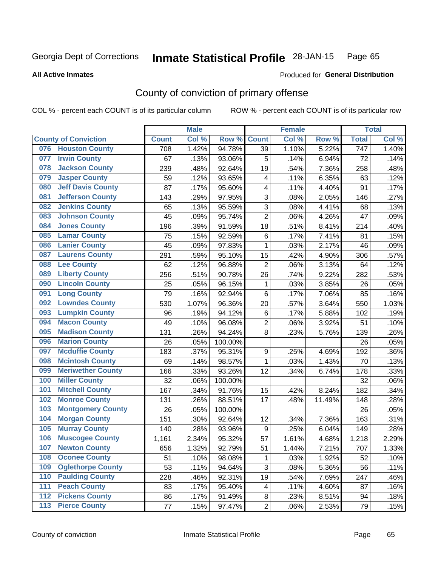#### **Inmate Statistical Profile 28-JAN-15** Page 65

#### **All Active Inmates**

## Produced for General Distribution

## County of conviction of primary offense

COL % - percent each COUNT is of its particular column

|                                 |              | <b>Male</b> |         |                         | <b>Female</b> |        |                  | <b>Total</b> |
|---------------------------------|--------------|-------------|---------|-------------------------|---------------|--------|------------------|--------------|
| <b>County of Conviction</b>     | <b>Count</b> | Col %       | Row %   | <b>Count</b>            | Col %         | Row %  | <b>Total</b>     | Col%         |
| <b>Houston County</b><br>076    | 708          | 1.42%       | 94.78%  | 39                      | 1.10%         | 5.22%  | $\overline{747}$ | 1.40%        |
| <b>Irwin County</b><br>077      | 67           | .13%        | 93.06%  | 5                       | .14%          | 6.94%  | 72               | .14%         |
| <b>Jackson County</b><br>078    | 239          | .48%        | 92.64%  | 19                      | .54%          | 7.36%  | 258              | .48%         |
| <b>Jasper County</b><br>079     | 59           | .12%        | 93.65%  | $\overline{\mathbf{4}}$ | .11%          | 6.35%  | 63               | .12%         |
| <b>Jeff Davis County</b><br>080 | 87           | .17%        | 95.60%  | 4                       | .11%          | 4.40%  | 91               | .17%         |
| 081<br><b>Jefferson County</b>  | 143          | .29%        | 97.95%  | 3                       | .08%          | 2.05%  | 146              | .27%         |
| <b>Jenkins County</b><br>082    | 65           | .13%        | 95.59%  | 3                       | .08%          | 4.41%  | 68               | .13%         |
| <b>Johnson County</b><br>083    | 45           | .09%        | 95.74%  | $\overline{2}$          | .06%          | 4.26%  | 47               | .09%         |
| <b>Jones County</b><br>084      | 196          | .39%        | 91.59%  | 18                      | .51%          | 8.41%  | 214              | .40%         |
| <b>Lamar County</b><br>085      | 75           | .15%        | 92.59%  | 6                       | .17%          | 7.41%  | 81               | .15%         |
| <b>Lanier County</b><br>086     | 45           | .09%        | 97.83%  | 1                       | .03%          | 2.17%  | 46               | .09%         |
| <b>Laurens County</b><br>087    | 291          | .59%        | 95.10%  | 15                      | .42%          | 4.90%  | 306              | .57%         |
| <b>Lee County</b><br>088        | 62           | .12%        | 96.88%  | $\overline{2}$          | .06%          | 3.13%  | 64               | .12%         |
| <b>Liberty County</b><br>089    | 256          | .51%        | 90.78%  | 26                      | .74%          | 9.22%  | 282              | .53%         |
| <b>Lincoln County</b><br>090    | 25           | .05%        | 96.15%  | 1                       | .03%          | 3.85%  | 26               | .05%         |
| <b>Long County</b><br>091       | 79           | .16%        | 92.94%  | 6                       | .17%          | 7.06%  | 85               | .16%         |
| <b>Lowndes County</b><br>092    | 530          | 1.07%       | 96.36%  | 20                      | .57%          | 3.64%  | 550              | 1.03%        |
| <b>Lumpkin County</b><br>093    | 96           | .19%        | 94.12%  | 6                       | .17%          | 5.88%  | 102              | .19%         |
| <b>Macon County</b><br>094      | 49           | .10%        | 96.08%  | $\overline{2}$          | .06%          | 3.92%  | 51               | .10%         |
| <b>Madison County</b><br>095    | 131          | .26%        | 94.24%  | 8                       | .23%          | 5.76%  | 139              | .26%         |
| <b>Marion County</b><br>096     | 26           | .05%        | 100.00% |                         |               |        | 26               | .05%         |
| <b>Mcduffie County</b><br>097   | 183          | .37%        | 95.31%  | $\boldsymbol{9}$        | .25%          | 4.69%  | 192              | .36%         |
| <b>Mcintosh County</b><br>098   | 69           | .14%        | 98.57%  | 1                       | .03%          | 1.43%  | 70               | .13%         |
| <b>Meriwether County</b><br>099 | 166          | .33%        | 93.26%  | 12                      | .34%          | 6.74%  | 178              | .33%         |
| <b>Miller County</b><br>100     | 32           | .06%        | 100.00% |                         |               |        | 32               | .06%         |
| <b>Mitchell County</b><br>101   | 167          | .34%        | 91.76%  | 15                      | .42%          | 8.24%  | 182              | .34%         |
| <b>Monroe County</b><br>102     | 131          | .26%        | 88.51%  | 17                      | .48%          | 11.49% | 148              | .28%         |
| <b>Montgomery County</b><br>103 | 26           | .05%        | 100.00% |                         |               |        | 26               | .05%         |
| <b>Morgan County</b><br>104     | 151          | .30%        | 92.64%  | 12                      | .34%          | 7.36%  | 163              | .31%         |
| <b>Murray County</b><br>105     | 140          | .28%        | 93.96%  | $\boldsymbol{9}$        | .25%          | 6.04%  | 149              | .28%         |
| <b>Muscogee County</b><br>106   | 1,161        | 2.34%       | 95.32%  | 57                      | 1.61%         | 4.68%  | 1,218            | 2.29%        |
| 107<br><b>Newton County</b>     | 656          | 1.32%       | 92.79%  | 51                      | 1.44%         | 7.21%  | 707              | 1.33%        |
| <b>Oconee County</b><br>108     | 51           | .10%        | 98.08%  | 1                       | .03%          | 1.92%  | 52               | .10%         |
| <b>Oglethorpe County</b><br>109 | 53           | .11%        | 94.64%  | 3                       | .08%          | 5.36%  | 56               | .11%         |
| <b>Paulding County</b><br>110   | 228          | .46%        | 92.31%  | 19                      | .54%          | 7.69%  | 247              | .46%         |
| <b>Peach County</b><br>111      | 83           | .17%        | 95.40%  | 4                       | .11%          | 4.60%  | 87               | .16%         |
| <b>Pickens County</b><br>$112$  | 86           | .17%        | 91.49%  | 8                       | .23%          | 8.51%  | 94               | .18%         |
| <b>Pierce County</b><br>$113$   | 77           | .15%        | 97.47%  | $\overline{c}$          | .06%          | 2.53%  | 79               | .15%         |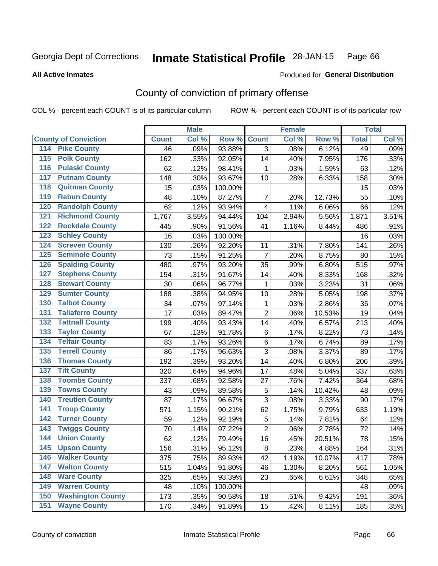#### **Inmate Statistical Profile 28-JAN-15** Page 66

### **All Active Inmates**

## Produced for General Distribution

## County of conviction of primary offense

COL % - percent each COUNT is of its particular column

|                                          |              | <b>Male</b> |         |                | <b>Female</b> |        |              | <b>Total</b> |
|------------------------------------------|--------------|-------------|---------|----------------|---------------|--------|--------------|--------------|
| <b>County of Conviction</b>              | <b>Count</b> | Col %       | Row %   | <b>Count</b>   | Col %         | Row %  | <b>Total</b> | Col %        |
| <b>Pike County</b><br>114                | 46           | .09%        | 93.88%  | $\overline{3}$ | .08%          | 6.12%  | 49           | .09%         |
| <b>Polk County</b><br>$\overline{115}$   | 162          | .33%        | 92.05%  | 14             | .40%          | 7.95%  | 176          | .33%         |
| <b>Pulaski County</b><br>116             | 62           | .12%        | 98.41%  | 1              | .03%          | 1.59%  | 63           | .12%         |
| <b>Putnam County</b><br>117              | 148          | .30%        | 93.67%  | 10             | .28%          | 6.33%  | 158          | .30%         |
| <b>Quitman County</b><br>118             | 15           | .03%        | 100.00% |                |               |        | 15           | .03%         |
| <b>Rabun County</b><br>119               | 48           | .10%        | 87.27%  | 7              | .20%          | 12.73% | 55           | .10%         |
| <b>Randolph County</b><br>120            | 62           | .12%        | 93.94%  | $\overline{4}$ | .11%          | 6.06%  | 66           | .12%         |
| <b>Richmond County</b><br>121            | 1,767        | 3.55%       | 94.44%  | 104            | 2.94%         | 5.56%  | 1,871        | 3.51%        |
| <b>Rockdale County</b><br>122            | 445          | .90%        | 91.56%  | 41             | 1.16%         | 8.44%  | 486          | .91%         |
| 123<br><b>Schley County</b>              | 16           | .03%        | 100.00% |                |               |        | 16           | .03%         |
| <b>Screven County</b><br>124             | 130          | .26%        | 92.20%  | 11             | .31%          | 7.80%  | 141          | .26%         |
| <b>Seminole County</b><br>125            | 73           | .15%        | 91.25%  | 7              | .20%          | 8.75%  | 80           | .15%         |
| <b>Spalding County</b><br>126            | 480          | .97%        | 93.20%  | 35             | .99%          | 6.80%  | 515          | .97%         |
| 127<br><b>Stephens County</b>            | 154          | .31%        | 91.67%  | 14             | .40%          | 8.33%  | 168          | .32%         |
| <b>Stewart County</b><br>128             | 30           | .06%        | 96.77%  | 1              | .03%          | 3.23%  | 31           | .06%         |
| <b>Sumter County</b><br>129              | 188          | .38%        | 94.95%  | 10             | .28%          | 5.05%  | 198          | .37%         |
| <b>Talbot County</b><br>130              | 34           | .07%        | 97.14%  | 1              | .03%          | 2.86%  | 35           | .07%         |
| <b>Taliaferro County</b><br>131          | 17           | .03%        | 89.47%  | $\overline{2}$ | .06%          | 10.53% | 19           | .04%         |
| <b>Tattnall County</b><br>132            | 199          | .40%        | 93.43%  | 14             | .40%          | 6.57%  | 213          | .40%         |
| 133<br><b>Taylor County</b>              | 67           | .13%        | 91.78%  | 6              | .17%          | 8.22%  | 73           | .14%         |
| <b>Telfair County</b><br>134             | 83           | .17%        | 93.26%  | 6              | .17%          | 6.74%  | 89           | .17%         |
| <b>Terrell County</b><br>135             | 86           | .17%        | 96.63%  | 3              | .08%          | 3.37%  | 89           | .17%         |
| <b>Thomas County</b><br>136              | 192          | .39%        | 93.20%  | 14             | .40%          | 6.80%  | 206          | .39%         |
| <b>Tift County</b><br>137                | 320          | .64%        | 94.96%  | 17             | .48%          | 5.04%  | 337          | .63%         |
| <b>Toombs County</b><br>138              | 337          | .68%        | 92.58%  | 27             | .76%          | 7.42%  | 364          | .68%         |
| <b>Towns County</b><br>139               | 43           | .09%        | 89.58%  | 5              | .14%          | 10.42% | 48           | .09%         |
| <b>Treutlen County</b><br>140            | 87           | .17%        | 96.67%  | 3              | .08%          | 3.33%  | 90           | .17%         |
| <b>Troup County</b><br>141               | 571          | 1.15%       | 90.21%  | 62             | 1.75%         | 9.79%  | 633          | 1.19%        |
| <b>Turner County</b><br>142              | 59           | .12%        | 92.19%  | 5              | .14%          | 7.81%  | 64           | .12%         |
| $\overline{143}$<br><b>Twiggs County</b> | 70           | .14%        | 97.22%  | $\overline{2}$ | .06%          | 2.78%  | 72           | .14%         |
| <b>Union County</b><br>144               | 62           | .12%        | 79.49%  | 16             | .45%          | 20.51% | 78           | .15%         |
| 145<br><b>Upson County</b>               | 156          | .31%        | 95.12%  | 8              | .23%          | 4.88%  | 164          | $.31\%$      |
| <b>Walker County</b><br>146              | 375          | .75%        | 89.93%  | 42             | 1.19%         | 10.07% | 417          | .78%         |
| $\overline{147}$<br><b>Walton County</b> | 515          | 1.04%       | 91.80%  | 46             | 1.30%         | 8.20%  | 561          | 1.05%        |
| <b>Ware County</b><br>148                | 325          | .65%        | 93.39%  | 23             | .65%          | 6.61%  | 348          | .65%         |
| <b>Warren County</b><br>149              | 48           | .10%        | 100.00% |                |               |        | 48           | .09%         |
| <b>Washington County</b><br>150          | 173          | .35%        | 90.58%  | 18             | .51%          | 9.42%  | 191          | .36%         |
| <b>Wayne County</b><br>151               | 170          | .34%        | 91.89%  | 15             | .42%          | 8.11%  | 185          | .35%         |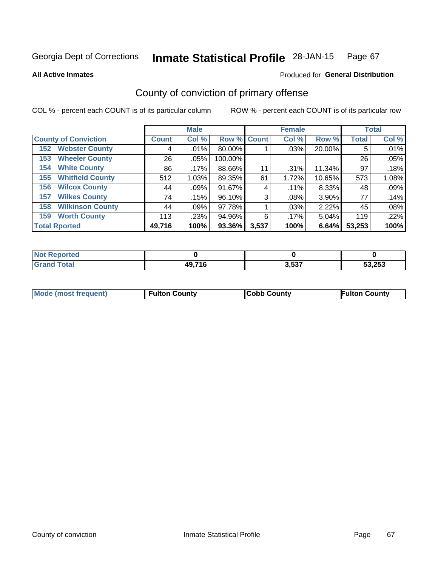#### **Inmate Statistical Profile 28-JAN-15** Page 67

**All Active Inmates** 

## **Produced for General Distribution**

## County of conviction of primary offense

COL % - percent each COUNT is of its particular column

|                                |              | <b>Male</b> |             |       | <b>Female</b> |        |              | <b>Total</b> |
|--------------------------------|--------------|-------------|-------------|-------|---------------|--------|--------------|--------------|
| <b>County of Conviction</b>    | <b>Count</b> | Col %       | Row % Count |       | Col %         | Row %  | <b>Total</b> | Col%         |
| <b>Webster County</b><br>152   | 4            | $.01\%$     | 80.00%      |       | .03%          | 20.00% | 5            | .01%         |
| <b>Wheeler County</b><br>153   | 26           | $.05\%$     | 100.00%     |       |               |        | 26           | .05%         |
| <b>White County</b><br>154     | 86           | $.17\%$     | 88.66%      | 11    | $.31\%$       | 11.34% | 97           | .18%         |
| <b>Whitfield County</b><br>155 | 512          | 1.03%       | 89.35%      | 61    | 1.72%         | 10.65% | 573          | 1.08%        |
| <b>Wilcox County</b><br>156    | 44           | .09%        | 91.67%      | 4     | $.11\%$       | 8.33%  | 48           | .09%         |
| <b>Wilkes County</b><br>157    | 74           | .15%        | 96.10%      | 3     | .08%          | 3.90%  | 77           | .14%         |
| <b>Wilkinson County</b><br>158 | 44           | .09%        | 97.78%      |       | .03%          | 2.22%  | 45           | .08%         |
| <b>Worth County</b><br>159     | 113          | .23%        | 94.96%      | 6     | $.17\%$       | 5.04%  | 119          | .22%         |
| <b>Total Rported</b>           | 49,716       | 100%        | 93.36%      | 3,537 | 100%          | 6.64%  | 53,253       | 100%         |

| <b>Not Reported</b> |        |       |        |
|---------------------|--------|-------|--------|
| <b>Grand Total</b>  | 49,716 | 3,537 | 53,253 |

| Mode (most frequent) | <b>Fulton County</b> | <b>ICobb County</b> | <b>Fulton County</b> |
|----------------------|----------------------|---------------------|----------------------|
|                      |                      |                     |                      |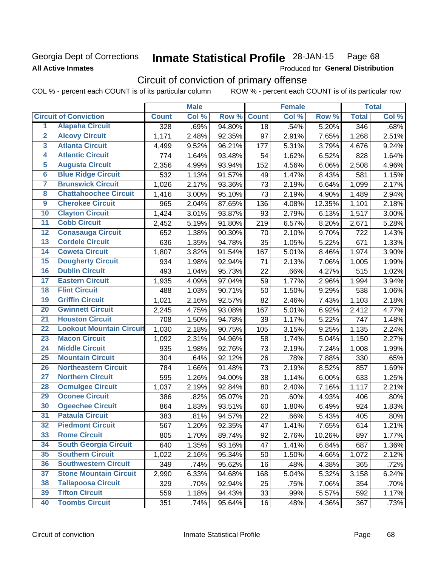## Georgia Dept of Corrections **All Active Inmates**

#### **Inmate Statistical Profile 28-JAN-15** Page 68

Produced for General Distribution

## Circuit of conviction of primary offense

COL % - percent each COUNT is of its particular column ROW % - percent each COUNT is of its particular row

|                         |                                 |                  | <b>Male</b> |        |              | <b>Female</b> |        |              | <b>Total</b> |
|-------------------------|---------------------------------|------------------|-------------|--------|--------------|---------------|--------|--------------|--------------|
|                         | <b>Circuit of Conviction</b>    | <b>Count</b>     | Col %       | Row %  | <b>Count</b> | Col %         | Row %  | <b>Total</b> | Col %        |
| 1                       | <b>Alapaha Circuit</b>          | $\overline{328}$ | .69%        | 94.80% | 18           | .54%          | 5.20%  | 346          | .68%         |
| $\overline{2}$          | <b>Alcovy Circuit</b>           | 1,171            | 2.48%       | 92.35% | 97           | 2.91%         | 7.65%  | 1,268        | 2.51%        |
| $\overline{\mathbf{3}}$ | <b>Atlanta Circuit</b>          | 4,499            | 9.52%       | 96.21% | 177          | 5.31%         | 3.79%  | 4,676        | 9.24%        |
| 4                       | <b>Atlantic Circuit</b>         | 774              | 1.64%       | 93.48% | 54           | 1.62%         | 6.52%  | 828          | 1.64%        |
| 5                       | <b>Augusta Circuit</b>          | 2,356            | 4.99%       | 93.94% | 152          | 4.56%         | 6.06%  | 2,508        | 4.96%        |
| $\overline{6}$          | <b>Blue Ridge Circuit</b>       | 532              | 1.13%       | 91.57% | 49           | 1.47%         | 8.43%  | 581          | 1.15%        |
| $\overline{\mathbf{7}}$ | <b>Brunswick Circuit</b>        | 1,026            | 2.17%       | 93.36% | 73           | 2.19%         | 6.64%  | 1,099        | 2.17%        |
| 8                       | <b>Chattahoochee Circuit</b>    | 1,416            | 3.00%       | 95.10% | 73           | 2.19%         | 4.90%  | 1,489        | 2.94%        |
| $\overline{9}$          | <b>Cherokee Circuit</b>         | 965              | 2.04%       | 87.65% | 136          | 4.08%         | 12.35% | 1,101        | 2.18%        |
| 10                      | <b>Clayton Circuit</b>          | 1,424            | 3.01%       | 93.87% | 93           | 2.79%         | 6.13%  | 1,517        | 3.00%        |
| $\overline{11}$         | <b>Cobb Circuit</b>             | 2,452            | 5.19%       | 91.80% | 219          | 6.57%         | 8.20%  | 2,671        | 5.28%        |
| $\overline{12}$         | <b>Conasauga Circuit</b>        | 652              | 1.38%       | 90.30% | 70           | 2.10%         | 9.70%  | 722          | 1.43%        |
| 13                      | <b>Cordele Circuit</b>          | 636              | 1.35%       | 94.78% | 35           | 1.05%         | 5.22%  | 671          | 1.33%        |
| 14                      | <b>Coweta Circuit</b>           | 1,807            | 3.82%       | 91.54% | 167          | 5.01%         | 8.46%  | 1,974        | 3.90%        |
| 15                      | <b>Dougherty Circuit</b>        | 934              | 1.98%       | 92.94% | 71           | 2.13%         | 7.06%  | 1,005        | 1.99%        |
| 16                      | <b>Dublin Circuit</b>           | 493              | 1.04%       | 95.73% | 22           | .66%          | 4.27%  | 515          | 1.02%        |
| 17                      | <b>Eastern Circuit</b>          | 1,935            | 4.09%       | 97.04% | 59           | 1.77%         | 2.96%  | 1,994        | 3.94%        |
| 18                      | <b>Flint Circuit</b>            | 488              | 1.03%       | 90.71% | 50           | 1.50%         | 9.29%  | 538          | 1.06%        |
| 19                      | <b>Griffin Circuit</b>          | 1,021            | 2.16%       | 92.57% | 82           | 2.46%         | 7.43%  | 1,103        | 2.18%        |
| $\overline{20}$         | <b>Gwinnett Circuit</b>         | 2,245            | 4.75%       | 93.08% | 167          | 5.01%         | 6.92%  | 2,412        | 4.77%        |
| $\overline{21}$         | <b>Houston Circuit</b>          | 708              | 1.50%       | 94.78% | 39           | 1.17%         | 5.22%  | 747          | 1.48%        |
| $\overline{22}$         | <b>Lookout Mountain Circuit</b> | 1,030            | 2.18%       | 90.75% | 105          | 3.15%         | 9.25%  | 1,135        | 2.24%        |
| 23                      | <b>Macon Circuit</b>            | 1,092            | 2.31%       | 94.96% | 58           | 1.74%         | 5.04%  | 1,150        | 2.27%        |
| $\overline{24}$         | <b>Middle Circuit</b>           | 935              | 1.98%       | 92.76% | 73           | 2.19%         | 7.24%  | 1,008        | 1.99%        |
| 25                      | <b>Mountain Circuit</b>         | 304              | .64%        | 92.12% | 26           | .78%          | 7.88%  | 330          | .65%         |
| 26                      | <b>Northeastern Circuit</b>     | 784              | 1.66%       | 91.48% | 73           | 2.19%         | 8.52%  | 857          | 1.69%        |
| $\overline{27}$         | <b>Northern Circuit</b>         | 595              | 1.26%       | 94.00% | 38           | 1.14%         | 6.00%  | 633          | 1.25%        |
| 28                      | <b>Ocmulgee Circuit</b>         | 1,037            | 2.19%       | 92.84% | 80           | 2.40%         | 7.16%  | 1,117        | 2.21%        |
| 29                      | <b>Oconee Circuit</b>           | 386              | .82%        | 95.07% | 20           | .60%          | 4.93%  | 406          | .80%         |
| 30                      | <b>Ogeechee Circuit</b>         | 864              | 1.83%       | 93.51% | 60           | 1.80%         | 6.49%  | 924          | 1.83%        |
| $\overline{31}$         | <b>Pataula Circuit</b>          | 383              | .81%        | 94.57% | 22           | .66%          | 5.43%  | 405          | .80%         |
| 32                      | <b>Piedmont Circuit</b>         | 567              | 1.20%       | 92.35% | 47           | 1.41%         | 7.65%  | 614          | 1.21%        |
| 33                      | <b>Rome Circuit</b>             | 805              | 1.70%       | 89.74% | 92           | 2.76%         | 10.26% | 897          | 1.77%        |
| 34                      | <b>South Georgia Circuit</b>    | 640              | 1.35%       | 93.16% | 47           | 1.41%         | 6.84%  | 687          | 1.36%        |
| 35                      | <b>Southern Circuit</b>         | 1,022            | 2.16%       | 95.34% | 50           | 1.50%         | 4.66%  | 1,072        | 2.12%        |
| 36                      | <b>Southwestern Circuit</b>     | 349              | .74%        | 95.62% | 16           | .48%          | 4.38%  | 365          | .72%         |
| 37                      | <b>Stone Mountain Circuit</b>   | 2,990            | 6.33%       | 94.68% | 168          | 5.04%         | 5.32%  | 3,158        | 6.24%        |
| 38                      | <b>Tallapoosa Circuit</b>       | 329              | .70%        | 92.94% | 25           | .75%          | 7.06%  | 354          | .70%         |
| 39                      | <b>Tifton Circuit</b>           | 559              | 1.18%       | 94.43% | 33           | .99%          | 5.57%  | 592          | 1.17%        |
| 40                      | <b>Toombs Circuit</b>           | 351              | .74%        | 95.64% | 16           | .48%          | 4.36%  | 367          | .73%         |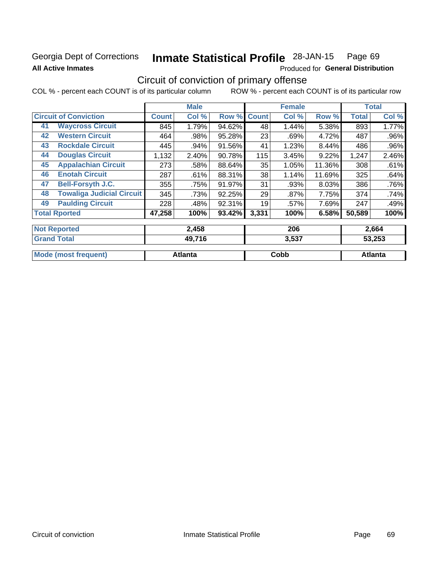## Georgia Dept of Corrections **All Active Inmates**

#### Inmate Statistical Profile 28-JAN-15 Page 69

Produced for General Distribution

## Circuit of conviction of primary offense

COL % - percent each COUNT is of its particular column ROW % - percent each COUNT is of its particular row

|                      |                                  |              | <b>Male</b> |        |              | <b>Female</b> |        |              | <b>Total</b> |
|----------------------|----------------------------------|--------------|-------------|--------|--------------|---------------|--------|--------------|--------------|
|                      | <b>Circuit of Conviction</b>     | <b>Count</b> | Col %       | Row %  | <b>Count</b> | Col %         | Row %  | <b>Total</b> | Col %        |
| 41                   | <b>Waycross Circuit</b>          | 845          | 1.79%       | 94.62% | 48           | 1.44%         | 5.38%  | 893          | 1.77%        |
| 42                   | <b>Western Circuit</b>           | 464          | .98%        | 95.28% | 23           | .69%          | 4.72%  | 487          | $.96\%$      |
| 43                   | <b>Rockdale Circuit</b>          | 445          | .94%        | 91.56% | 41           | 1.23%         | 8.44%  | 486          | $.96\%$      |
| 44                   | <b>Douglas Circuit</b>           | 1,132        | 2.40%       | 90.78% | 115          | 3.45%         | 9.22%  | 1,247        | 2.46%        |
| 45                   | <b>Appalachian Circuit</b>       | 273          | .58%        | 88.64% | 35           | 1.05%         | 11.36% | 308          | .61%         |
| 46                   | <b>Enotah Circuit</b>            | 287          | .61%        | 88.31% | 38           | 1.14%         | 11.69% | 325          | .64%         |
| 47                   | <b>Bell-Forsyth J.C.</b>         | 355          | .75%        | 91.97% | 31           | .93%          | 8.03%  | 386          | .76%         |
| 48                   | <b>Towaliga Judicial Circuit</b> | 345          | .73%        | 92.25% | 29           | $.87\%$       | 7.75%  | 374          | .74%         |
| 49                   | <b>Paulding Circuit</b>          | 228          | .48%        | 92.31% | 19           | .57%          | 7.69%  | 247          | .49%         |
| <b>Total Rported</b> |                                  | 47,258       | 100%        | 93.42% | 3,331        | 100%          | 6.58%  | 50,589       | 100%         |
| <b>Not Reported</b>  |                                  |              | 2,458       |        |              | 206           |        |              | 2,664        |
| Cronal Total         | AO 74C<br>2E27                   |              |             | ED OFD |              |               |        |              |              |

| , Gran⊂<br>Total            | 49,716  | 3.537 | 53.253  |
|-----------------------------|---------|-------|---------|
| <b>Mode (most frequent)</b> | Atlanta | Cobb  | Atlanta |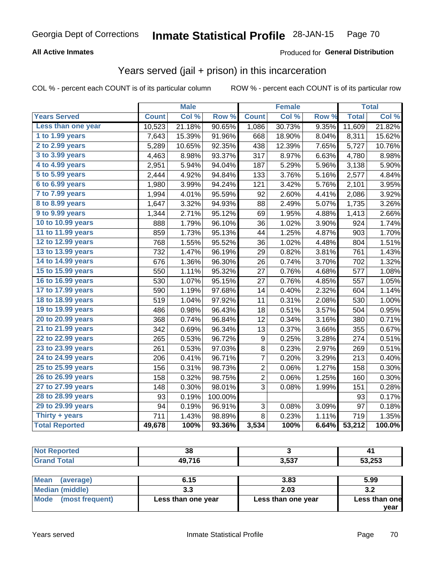## **All Active Inmates**

## Produced for General Distribution

## Years served (jail + prison) in this incarceration

COL % - percent each COUNT is of its particular column

|                        |              | <b>Male</b> |                  |                | <b>Female</b> |                  |              | <b>Total</b> |
|------------------------|--------------|-------------|------------------|----------------|---------------|------------------|--------------|--------------|
| <b>Years Served</b>    | <b>Count</b> | Col %       | Row <sup>%</sup> | <b>Count</b>   | Col %         | Row <sup>%</sup> | <b>Total</b> | Col %        |
| Less than one year     | 10,523       | 21.18%      | 90.65%           | 1,086          | 30.73%        | 9.35%            | 11,609       | 21.82%       |
| 1 to 1.99 years        | 7,643        | 15.39%      | 91.96%           | 668            | 18.90%        | 8.04%            | 8,311        | 15.62%       |
| 2 to 2.99 years        | 5,289        | 10.65%      | 92.35%           | 438            | 12.39%        | 7.65%            | 5,727        | 10.76%       |
| $3$ to $3.99$ years    | 4,463        | 8.98%       | 93.37%           | 317            | 8.97%         | 6.63%            | 4,780        | 8.98%        |
| 4 to 4.99 years        | 2,951        | 5.94%       | 94.04%           | 187            | 5.29%         | 5.96%            | 3,138        | 5.90%        |
| 5 to 5.99 years        | 2,444        | 4.92%       | 94.84%           | 133            | 3.76%         | 5.16%            | 2,577        | 4.84%        |
| 6 to 6.99 years        | 1,980        | 3.99%       | 94.24%           | 121            | 3.42%         | 5.76%            | 2,101        | 3.95%        |
| 7 to 7.99 years        | 1,994        | 4.01%       | 95.59%           | 92             | 2.60%         | 4.41%            | 2,086        | 3.92%        |
| <b>8 to 8.99 years</b> | 1,647        | 3.32%       | 94.93%           | 88             | 2.49%         | 5.07%            | 1,735        | 3.26%        |
| 9 to 9.99 years        | 1,344        | 2.71%       | 95.12%           | 69             | 1.95%         | 4.88%            | 1,413        | 2.66%        |
| 10 to 10.99 years      | 888          | 1.79%       | 96.10%           | 36             | 1.02%         | 3.90%            | 924          | 1.74%        |
| 11 to 11.99 years      | 859          | 1.73%       | 95.13%           | 44             | 1.25%         | 4.87%            | 903          | 1.70%        |
| 12 to 12.99 years      | 768          | 1.55%       | 95.52%           | 36             | 1.02%         | 4.48%            | 804          | 1.51%        |
| 13 to 13.99 years      | 732          | 1.47%       | 96.19%           | 29             | 0.82%         | 3.81%            | 761          | 1.43%        |
| 14 to 14.99 years      | 676          | 1.36%       | 96.30%           | 26             | 0.74%         | 3.70%            | 702          | 1.32%        |
| 15 to 15.99 years      | 550          | 1.11%       | 95.32%           | 27             | 0.76%         | 4.68%            | 577          | 1.08%        |
| 16 to 16.99 years      | 530          | 1.07%       | 95.15%           | 27             | 0.76%         | 4.85%            | 557          | 1.05%        |
| 17 to 17.99 years      | 590          | 1.19%       | 97.68%           | 14             | 0.40%         | 2.32%            | 604          | 1.14%        |
| 18 to 18.99 years      | 519          | 1.04%       | 97.92%           | 11             | 0.31%         | 2.08%            | 530          | 1.00%        |
| 19 to 19.99 years      | 486          | 0.98%       | 96.43%           | 18             | 0.51%         | 3.57%            | 504          | 0.95%        |
| 20 to 20.99 years      | 368          | 0.74%       | 96.84%           | 12             | 0.34%         | 3.16%            | 380          | 0.71%        |
| 21 to 21.99 years      | 342          | 0.69%       | 96.34%           | 13             | 0.37%         | 3.66%            | 355          | 0.67%        |
| 22 to 22.99 years      | 265          | 0.53%       | 96.72%           | 9              | 0.25%         | 3.28%            | 274          | 0.51%        |
| 23 to 23.99 years      | 261          | 0.53%       | 97.03%           | 8              | 0.23%         | 2.97%            | 269          | 0.51%        |
| 24 to 24.99 years      | 206          | 0.41%       | 96.71%           | 7              | 0.20%         | 3.29%            | 213          | 0.40%        |
| 25 to 25.99 years      | 156          | 0.31%       | 98.73%           | $\overline{c}$ | 0.06%         | 1.27%            | 158          | 0.30%        |
| 26 to 26.99 years      | 158          | 0.32%       | 98.75%           | $\overline{2}$ | 0.06%         | 1.25%            | 160          | 0.30%        |
| 27 to 27.99 years      | 148          | 0.30%       | 98.01%           | 3              | 0.08%         | 1.99%            | 151          | 0.28%        |
| 28 to 28.99 years      | 93           | 0.19%       | 100.00%          |                |               |                  | 93           | 0.17%        |
| 29 to 29.99 years      | 94           | 0.19%       | 96.91%           | 3              | 0.08%         | 3.09%            | 97           | 0.18%        |
| Thirty + years         | 711          | 1.43%       | 98.89%           | 8              | 0.23%         | 1.11%            | 719          | 1.35%        |
| <b>Total Reported</b>  | 49,678       | 100%        | 93.36%           | 3,534          | 100%          | 6.64%            | 53,212       | 100.0%       |

| <b>Not Reported</b>                               | 38                    |           | 41          |
|---------------------------------------------------|-----------------------|-----------|-------------|
| <b>Grand Total</b>                                | 49,716                | 3,537     | 53,253      |
|                                                   |                       |           |             |
| 1.002222<br>$\lambda$ and $\lambda$ and $\lambda$ | $^{\sim}$ 4 $^{\sim}$ | $\sim$ 00 | <b>P 00</b> |

| Mode (most frequent) | Less than one year | Less than one year | Less than one<br>vear |
|----------------------|--------------------|--------------------|-----------------------|
| Median (middle)      | J.J                | 2.03               | J.Z                   |
| ∣ Mean<br>(average)  | 6.15               | 3.83               | 5.99                  |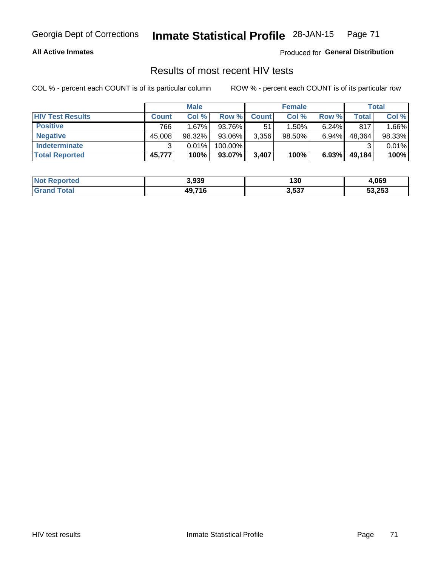## Georgia Dept of Corrections **Inmate Statistical Profile** 28-JAN-15 Page 71

### **All Active Inmates**

Produced for **General Distribution**

## Results of most recent HIV tests

COL % - percent each COUNT is of its particular column ROW % - percent each COUNT is of its particular row

|                         |              | <b>Male</b> |         |              | <b>Female</b> |          |        | Total  |
|-------------------------|--------------|-------------|---------|--------------|---------------|----------|--------|--------|
| <b>HIV Test Results</b> | <b>Count</b> | Col %       | Row %I  | <b>Count</b> | Col %         | Row %    | Total  | Col %  |
| <b>Positive</b>         | 766          | $1.67\%$    | 93.76%  | 51           | $1.50\%$      | $6.24\%$ | 817    | 1.66%  |
| <b>Negative</b>         | 45,008       | $98.32\%$   | 93.06%  | 3,356        | $98.50\%$     | $6.94\%$ | 48,364 | 98.33% |
| Indeterminate           | າ            | 0.01%       | 100.00% |              |               |          |        | 0.01%  |
| <b>Total Reported</b>   | 45,777       | 100%        | 93.07%  | 3,407        | 100%          | 6.93%    | 49,184 | 100%   |

| <b>Not Reported</b> | 3,939  | 130   | 1,069  |
|---------------------|--------|-------|--------|
| Total               | 49,716 | 3,537 | 53,253 |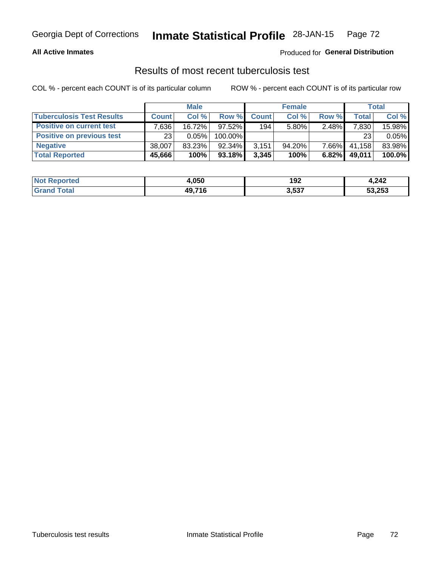## Georgia Dept of Corrections **Inmate Statistical Profile** 28-JAN-15 Page 72

### **All Active Inmates**

### Produced for **General Distribution**

## Results of most recent tuberculosis test

COL % - percent each COUNT is of its particular column ROW % - percent each COUNT is of its particular row

|                                  |              | <b>Male</b> |           |              | <b>Female</b> |       |              | Total  |
|----------------------------------|--------------|-------------|-----------|--------------|---------------|-------|--------------|--------|
| <b>Tuberculosis Test Results</b> | <b>Count</b> | Col%        | Row %     | <b>Count</b> | Col %         | Row % | <b>Total</b> | Col %  |
| <b>Positive on current test</b>  | .636         | 16.72%      | 97.52%    | 194          | $5.80\%$      | 2.48% | 7,830        | 15.98% |
| <b>Positive on previous test</b> | 23           | $0.05\%$    | 100.00%   |              |               |       | 23           | 0.05%  |
| <b>Negative</b>                  | 38.007       | 83.23%      | $92.34\%$ | 3,151        | $94.20\%$     | 7.66% | 41,158       | 83.98% |
| <b>Total Reported</b>            | 45,666       | 100%        | $93.18\%$ | 3,345        | 100%          | 6.82% | 49,011       | 100.0% |

| <b>Not Reported</b> | 4,050  | 192   | 4,242  |
|---------------------|--------|-------|--------|
| Total               | 49,716 | 3,537 | 53,253 |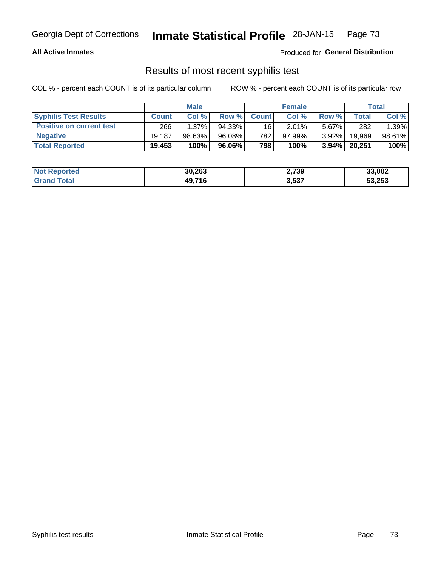# Georgia Dept of Corrections **Inmate Statistical Profile** 28-JAN-15 Page 73

### **All Active Inmates**

Produced for **General Distribution**

## Results of most recent syphilis test

COL % - percent each COUNT is of its particular column ROW % - percent each COUNT is of its particular row

|                                 | <b>Male</b>  |           |           | <b>Female</b>   |           |          | Total   |        |
|---------------------------------|--------------|-----------|-----------|-----------------|-----------|----------|---------|--------|
| <b>Syphilis Test Results</b>    | <b>Count</b> | Col%      | Row %I    | <b>Count</b>    | Col %     | Row %    | Total I | Col %  |
| <b>Positive on current test</b> | 266          | $1.37\%$  | $94.33\%$ | 16 <sub>1</sub> | 2.01%     | $5.67\%$ | 282     | 1.39%  |
| <b>Negative</b>                 | 19.187       | $98.63\%$ | 96.08%    | 782             | $97.99\%$ | $3.92\%$ | 19,969  | 98.61% |
| <b>Total Reported</b>           | 19,453       | 100%      | 96.06% l  | 798             | 100%      | $3.94\%$ | 20,251  | 100%   |

| <b>Not Reported</b> | 30,263 | 2,739 | 33,002 |
|---------------------|--------|-------|--------|
| <b>Grand Total</b>  | 49,716 | 3,537 | 53,253 |